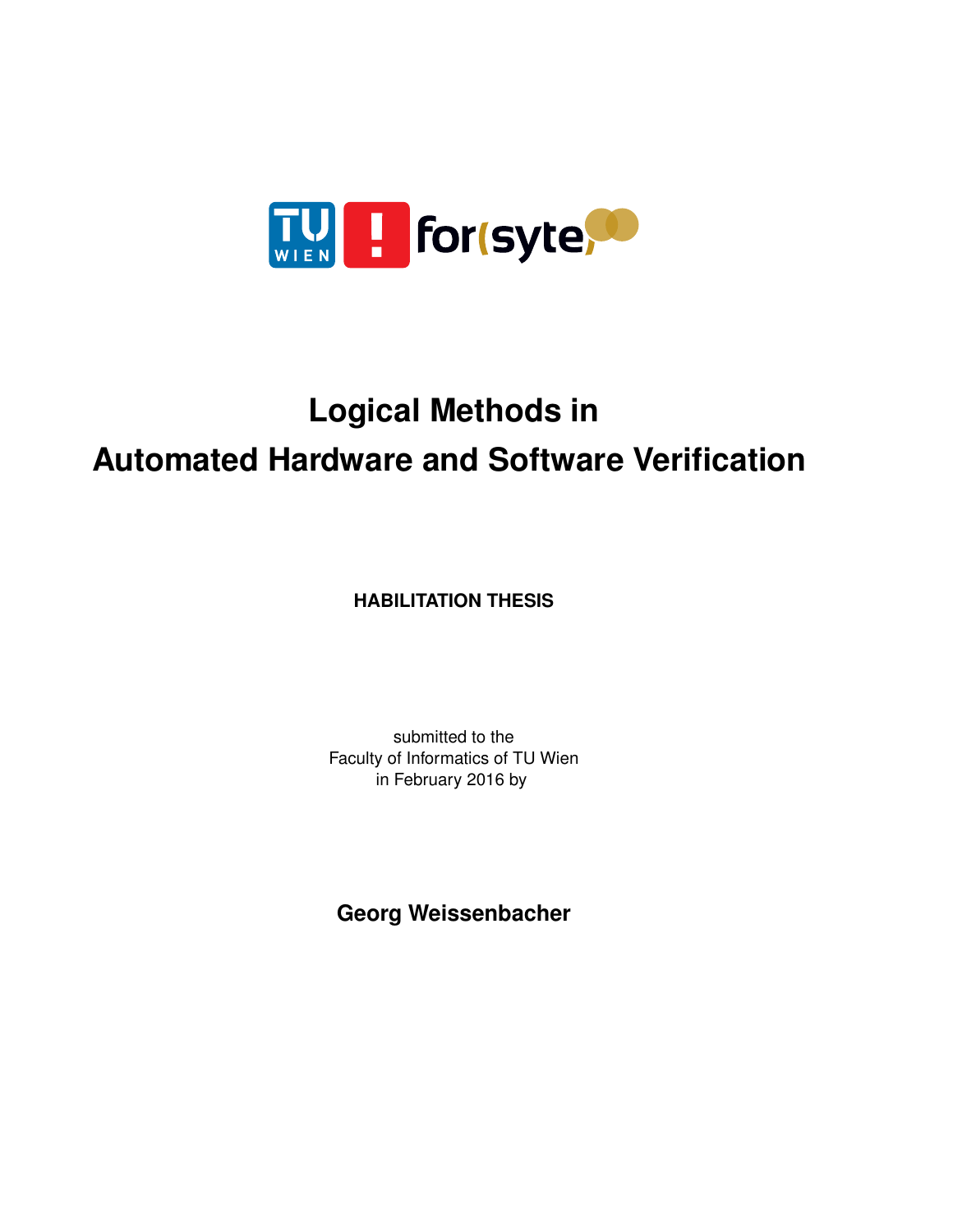

## **Logical Methods in Automated Hardware and Software Verification**

**HABILITATION THESIS**

submitted to the Faculty of Informatics of TU Wien in February 2016 by

**Georg Weissenbacher**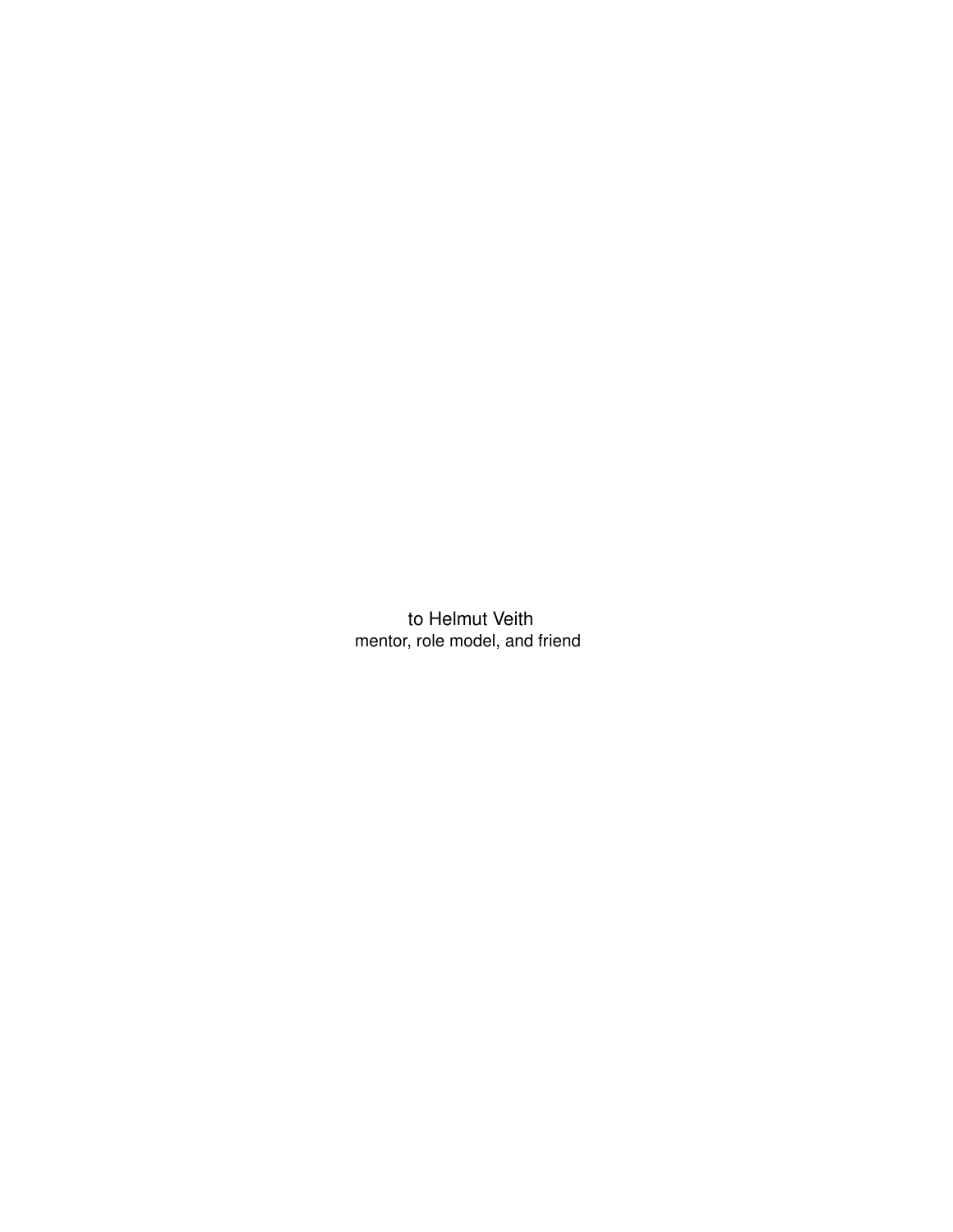to Helmut Veith mentor, role model, and friend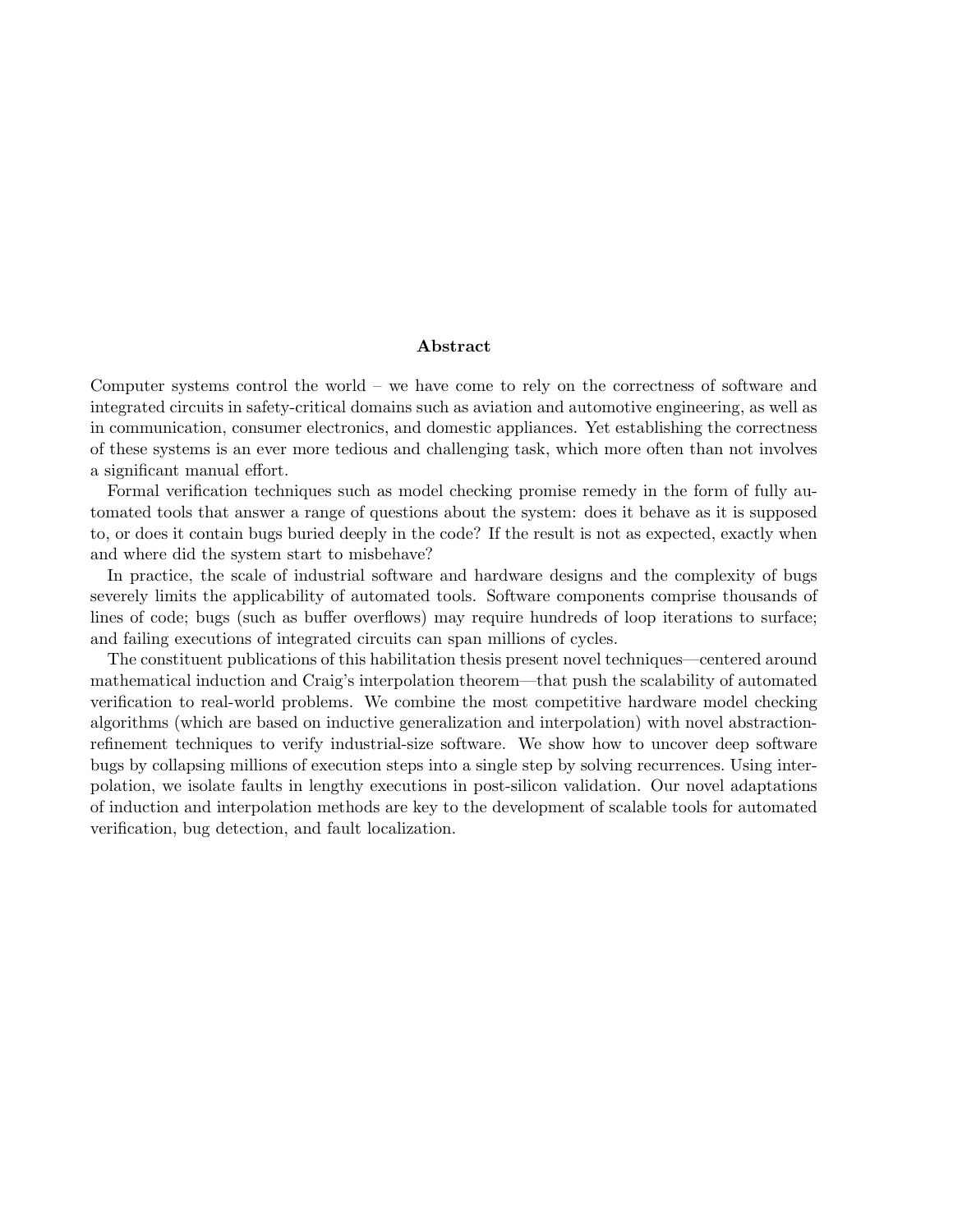#### Abstract

Computer systems control the world – we have come to rely on the correctness of software and integrated circuits in safety-critical domains such as aviation and automotive engineering, as well as in communication, consumer electronics, and domestic appliances. Yet establishing the correctness of these systems is an ever more tedious and challenging task, which more often than not involves a significant manual effort.

Formal verification techniques such as model checking promise remedy in the form of fully automated tools that answer a range of questions about the system: does it behave as it is supposed to, or does it contain bugs buried deeply in the code? If the result is not as expected, exactly when and where did the system start to misbehave?

In practice, the scale of industrial software and hardware designs and the complexity of bugs severely limits the applicability of automated tools. Software components comprise thousands of lines of code; bugs (such as buffer overflows) may require hundreds of loop iterations to surface; and failing executions of integrated circuits can span millions of cycles.

The constituent publications of this habilitation thesis present novel techniques—centered around mathematical induction and Craig's interpolation theorem—that push the scalability of automated verification to real-world problems. We combine the most competitive hardware model checking algorithms (which are based on inductive generalization and interpolation) with novel abstractionrefinement techniques to verify industrial-size software. We show how to uncover deep software bugs by collapsing millions of execution steps into a single step by solving recurrences. Using interpolation, we isolate faults in lengthy executions in post-silicon validation. Our novel adaptations of induction and interpolation methods are key to the development of scalable tools for automated verification, bug detection, and fault localization.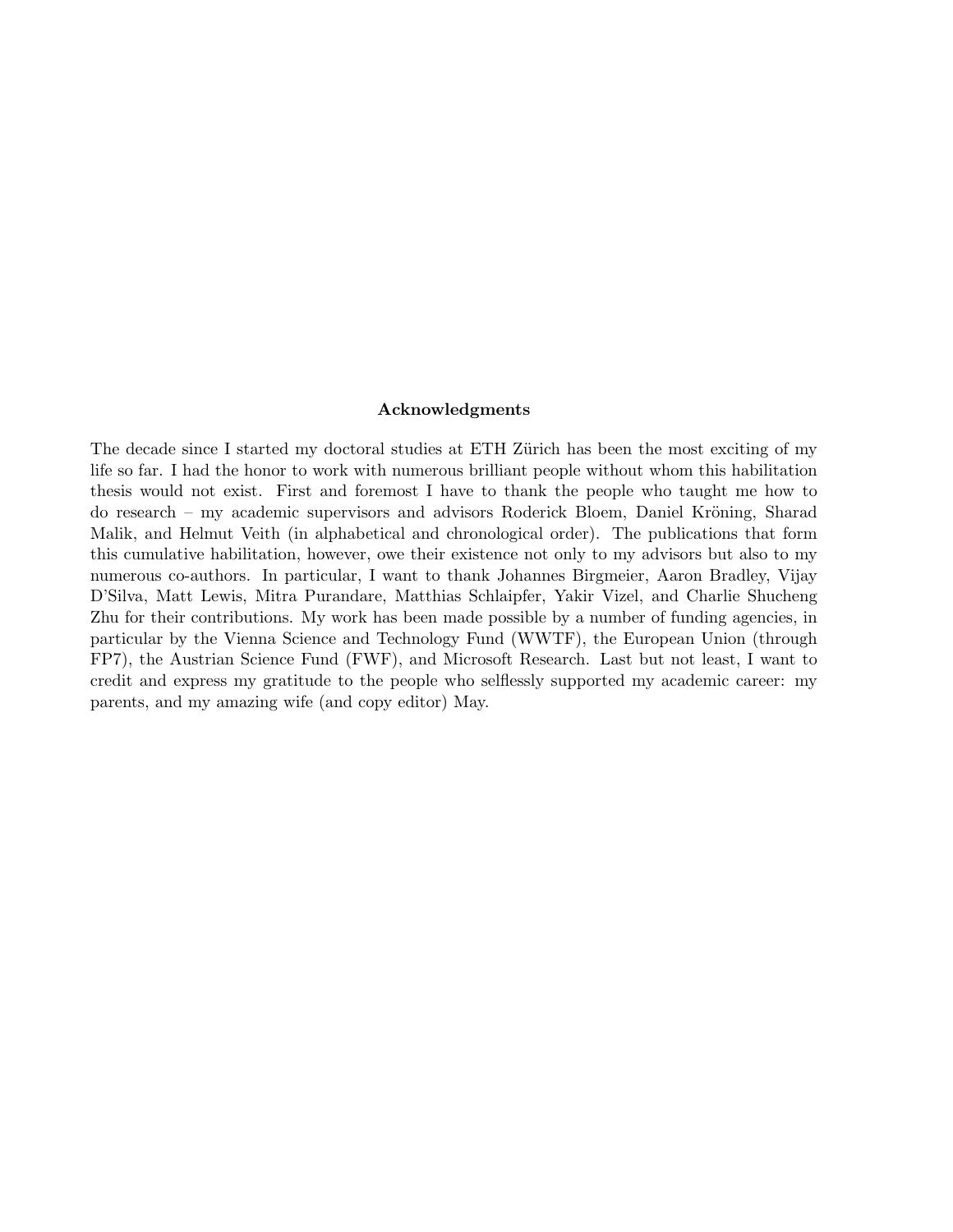#### Acknowledgments

The decade since I started my doctoral studies at ETH Zürich has been the most exciting of my life so far. I had the honor to work with numerous brilliant people without whom this habilitation thesis would not exist. First and foremost I have to thank the people who taught me how to do research – my academic supervisors and advisors Roderick Bloem, Daniel Kröning, Sharad Malik, and Helmut Veith (in alphabetical and chronological order). The publications that form this cumulative habilitation, however, owe their existence not only to my advisors but also to my numerous co-authors. In particular, I want to thank Johannes Birgmeier, Aaron Bradley, Vijay D'Silva, Matt Lewis, Mitra Purandare, Matthias Schlaipfer, Yakir Vizel, and Charlie Shucheng Zhu for their contributions. My work has been made possible by a number of funding agencies, in particular by the Vienna Science and Technology Fund (WWTF), the European Union (through FP7), the Austrian Science Fund (FWF), and Microsoft Research. Last but not least, I want to credit and express my gratitude to the people who selflessly supported my academic career: my parents, and my amazing wife (and copy editor) May.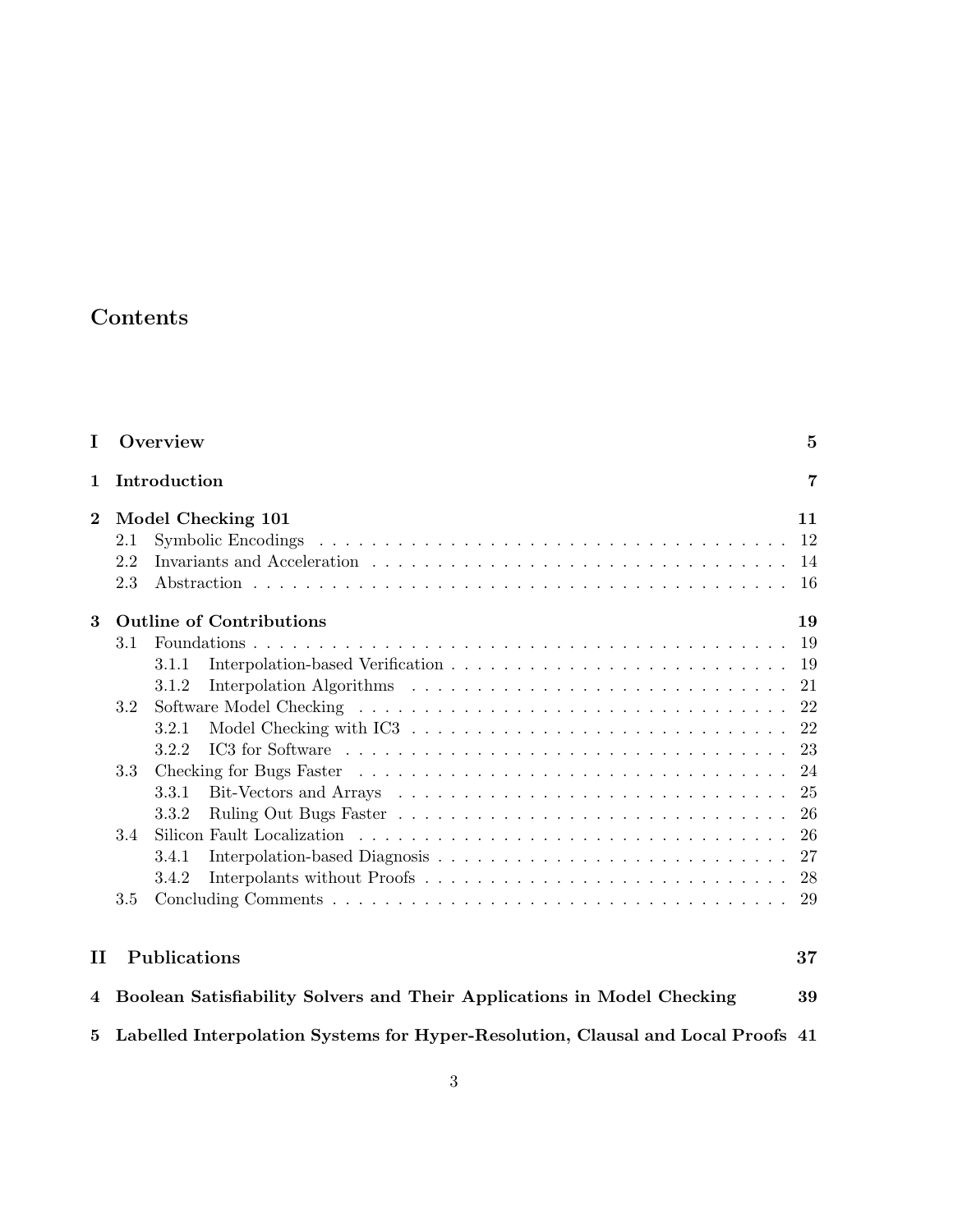## Contents

| I        | Overview                                                                         | $\overline{5}$ |
|----------|----------------------------------------------------------------------------------|----------------|
| 1        | Introduction                                                                     | $\overline{7}$ |
| $\bf{2}$ | Model Checking 101<br>Symbolic Encodings<br>$2.1\,$                              | 11<br>12       |
|          | 2.2<br>2.3                                                                       | 14<br>16       |
| 3        | <b>Outline of Contributions</b>                                                  | 19             |
|          | 3.1<br>3.1.1                                                                     | 19<br>19<br>21 |
|          | 3.1.2<br>3.2<br>3.2.1                                                            | 22<br>22       |
|          | 3.2.2<br>3.3<br>3.3.1                                                            | 23<br>24<br>25 |
|          | 3.3.2<br>3.4<br>3.4.1                                                            | 26<br>26<br>27 |
|          | 3.4.2<br>$3.5\,$                                                                 | 28<br>29       |
| п        | Publications                                                                     | 37             |
| 4        | Boolean Satisfiability Solvers and Their Applications in Model Checking          | 39             |
| 5        | Labelled Interpolation Systems for Hyper-Resolution, Clausal and Local Proofs 41 |                |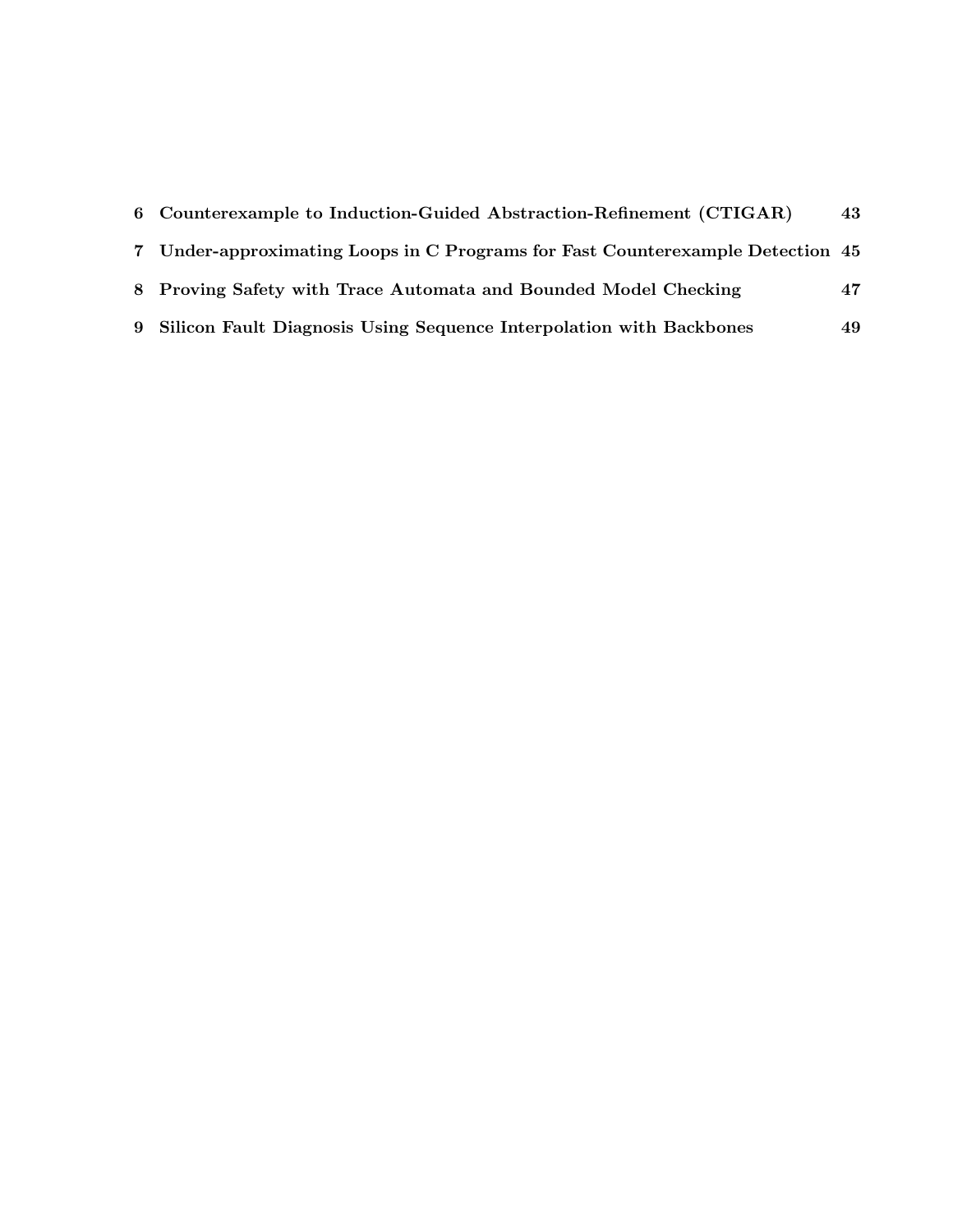| 6 Counterexample to Induction-Guided Abstraction-Refinement (CTIGAR)           | 43 |
|--------------------------------------------------------------------------------|----|
| 7 Under-approximating Loops in C Programs for Fast Counterexample Detection 45 |    |
| 8 Proving Safety with Trace Automata and Bounded Model Checking                | 47 |
| 9 Silicon Fault Diagnosis Using Sequence Interpolation with Backbones          | 49 |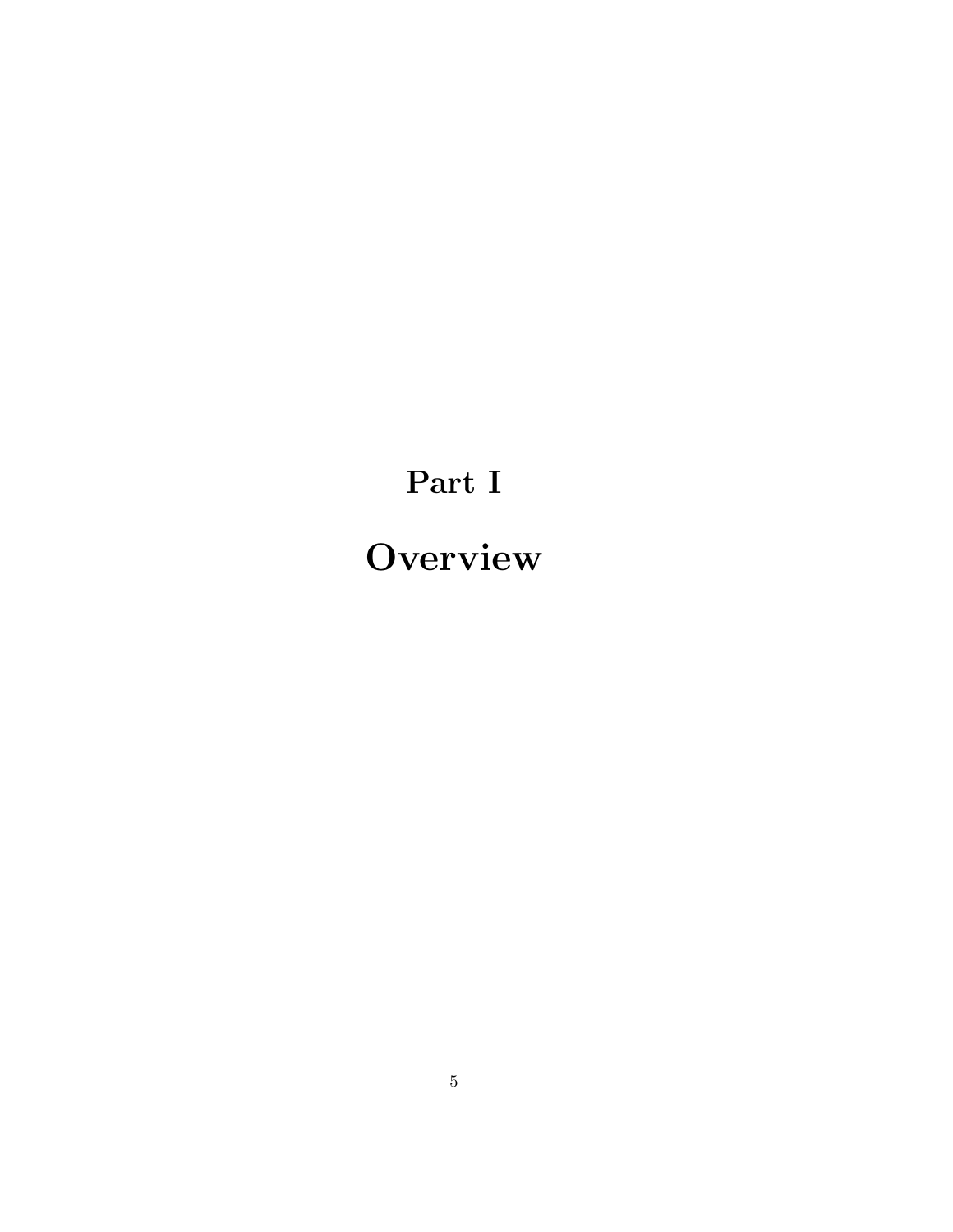# Part I **Overview**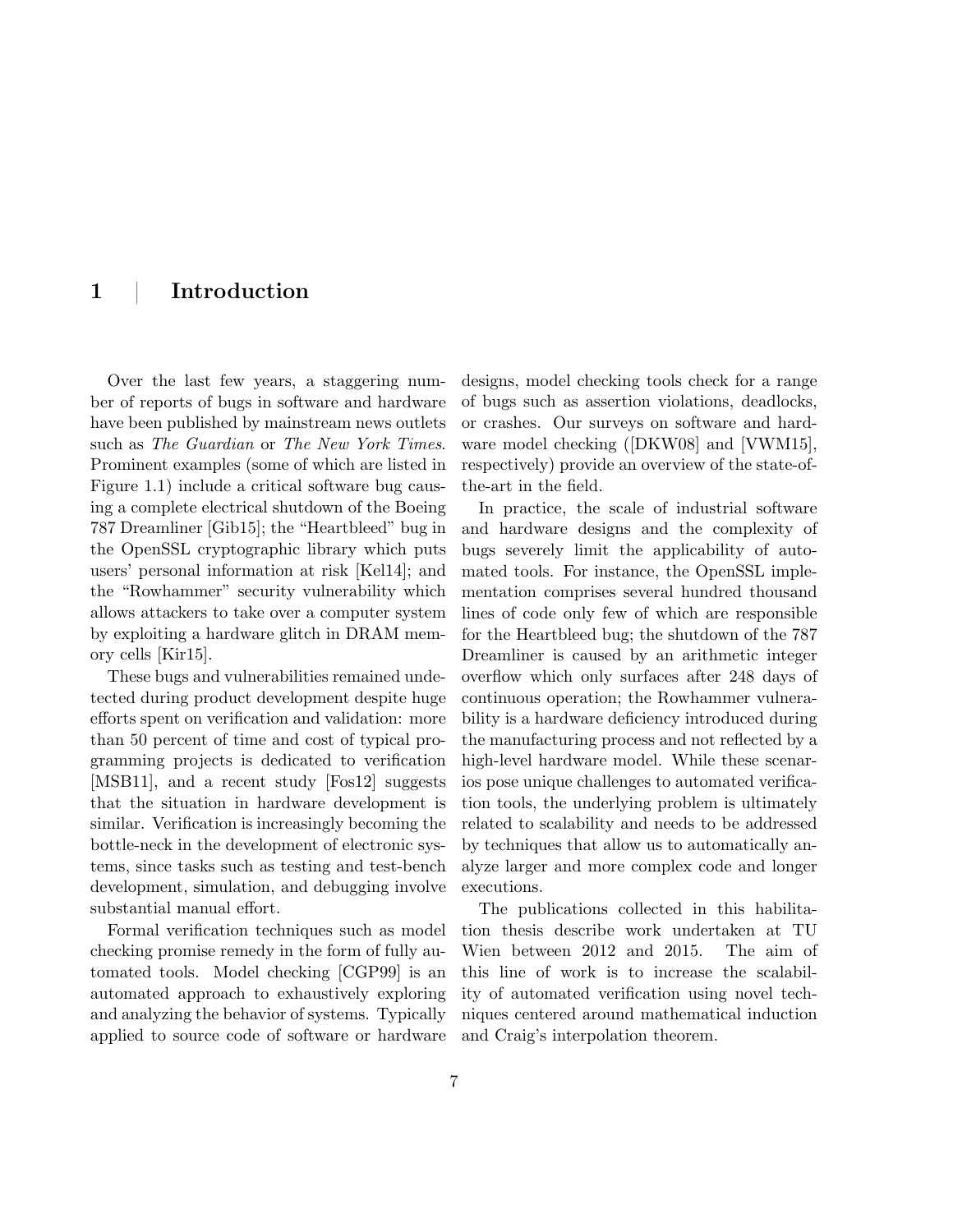### 1 | Introduction

Over the last few years, a staggering number of reports of bugs in software and hardware have been published by mainstream news outlets such as The Guardian or The New York Times. Prominent examples (some of which are listed in Figure 1.1) include a critical software bug causing a complete electrical shutdown of the Boeing 787 Dreamliner [Gib15]; the "Heartbleed" bug in the OpenSSL cryptographic library which puts users' personal information at risk [Kel14]; and the "Rowhammer" security vulnerability which allows attackers to take over a computer system by exploiting a hardware glitch in DRAM memory cells [Kir15].

These bugs and vulnerabilities remained undetected during product development despite huge efforts spent on verification and validation: more than 50 percent of time and cost of typical programming projects is dedicated to verification [MSB11], and a recent study [Fos12] suggests that the situation in hardware development is similar. Verification is increasingly becoming the bottle-neck in the development of electronic systems, since tasks such as testing and test-bench development, simulation, and debugging involve substantial manual effort.

Formal verification techniques such as model checking promise remedy in the form of fully automated tools. Model checking [CGP99] is an automated approach to exhaustively exploring and analyzing the behavior of systems. Typically applied to source code of software or hardware

designs, model checking tools check for a range of bugs such as assertion violations, deadlocks, or crashes. Our surveys on software and hardware model checking ([DKW08] and [VWM15], respectively) provide an overview of the state-ofthe-art in the field.

In practice, the scale of industrial software and hardware designs and the complexity of bugs severely limit the applicability of automated tools. For instance, the OpenSSL implementation comprises several hundred thousand lines of code only few of which are responsible for the Heartbleed bug; the shutdown of the 787 Dreamliner is caused by an arithmetic integer overflow which only surfaces after 248 days of continuous operation; the Rowhammer vulnerability is a hardware deficiency introduced during the manufacturing process and not reflected by a high-level hardware model. While these scenarios pose unique challenges to automated verification tools, the underlying problem is ultimately related to scalability and needs to be addressed by techniques that allow us to automatically analyze larger and more complex code and longer executions.

The publications collected in this habilitation thesis describe work undertaken at TU Wien between 2012 and 2015. The aim of this line of work is to increase the scalability of automated verification using novel techniques centered around mathematical induction and Craig's interpolation theorem.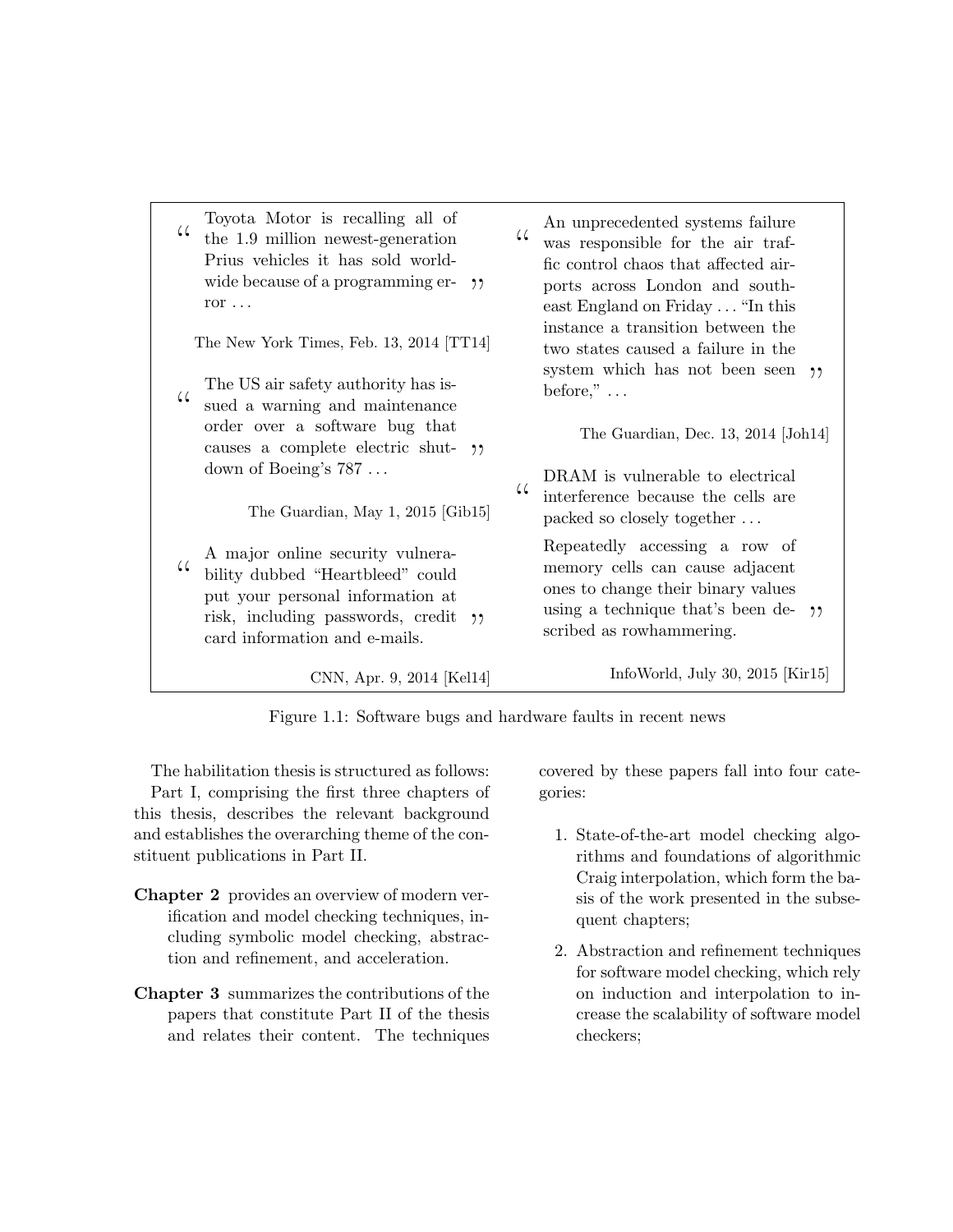| $\mathcal{C}$ | Toyota Motor is recalling all of<br>the 1.9 million newest-generation<br>Prius vehicles it has sold world-<br>wide because of a programming er-<br>ຳາ<br>ror $\ldots$            | $\mathcal{L}$ | An unprecedented systems failure<br>was responsible for the air traf-<br>fic control chaos that affected air-<br>ports across London and south-<br>east England on Friday  "In this |
|---------------|----------------------------------------------------------------------------------------------------------------------------------------------------------------------------------|---------------|-------------------------------------------------------------------------------------------------------------------------------------------------------------------------------------|
| $\mathcal{L}$ | The New York Times, Feb. 13, 2014 [TT14]<br>The US air safety authority has is-                                                                                                  |               | instance a transition between the<br>two states caused a failure in the<br>system which has not been seen $\gamma$<br>before," $\dots$                                              |
|               | sued a warning and maintenance<br>order over a software bug that<br>causes a complete electric shut- "<br>down of Boeing's $787$                                                 | 44            | The Guardian, Dec. 13, 2014 [Joh14]<br>DRAM is vulnerable to electrical                                                                                                             |
|               | The Guardian, May 1, 2015 [Gib15]                                                                                                                                                |               | interference because the cells are<br>packed so closely together                                                                                                                    |
| 44            | A major online security vulnera-<br>bility dubbed "Heartbleed" could<br>put your personal information at<br>risk, including passwords, credit "<br>card information and e-mails. |               | Repeatedly accessing a row of<br>memory cells can cause adjacent<br>ones to change their binary values<br>using a technique that's been de- $\gamma$<br>scribed as rowhammering.    |
|               | CNN, Apr. 9, 2014 [Kel14]                                                                                                                                                        |               | InfoWorld, July 30, 2015 [Kir15]                                                                                                                                                    |

Figure 1.1: Software bugs and hardware faults in recent news

The habilitation thesis is structured as follows:

Part I, comprising the first three chapters of this thesis, describes the relevant background and establishes the overarching theme of the constituent publications in Part II.

- Chapter 2 provides an overview of modern verification and model checking techniques, including symbolic model checking, abstraction and refinement, and acceleration.
- Chapter 3 summarizes the contributions of the papers that constitute Part II of the thesis and relates their content. The techniques

covered by these papers fall into four categories:

- 1. State-of-the-art model checking algorithms and foundations of algorithmic Craig interpolation, which form the basis of the work presented in the subsequent chapters;
- 2. Abstraction and refinement techniques for software model checking, which rely on induction and interpolation to increase the scalability of software model checkers;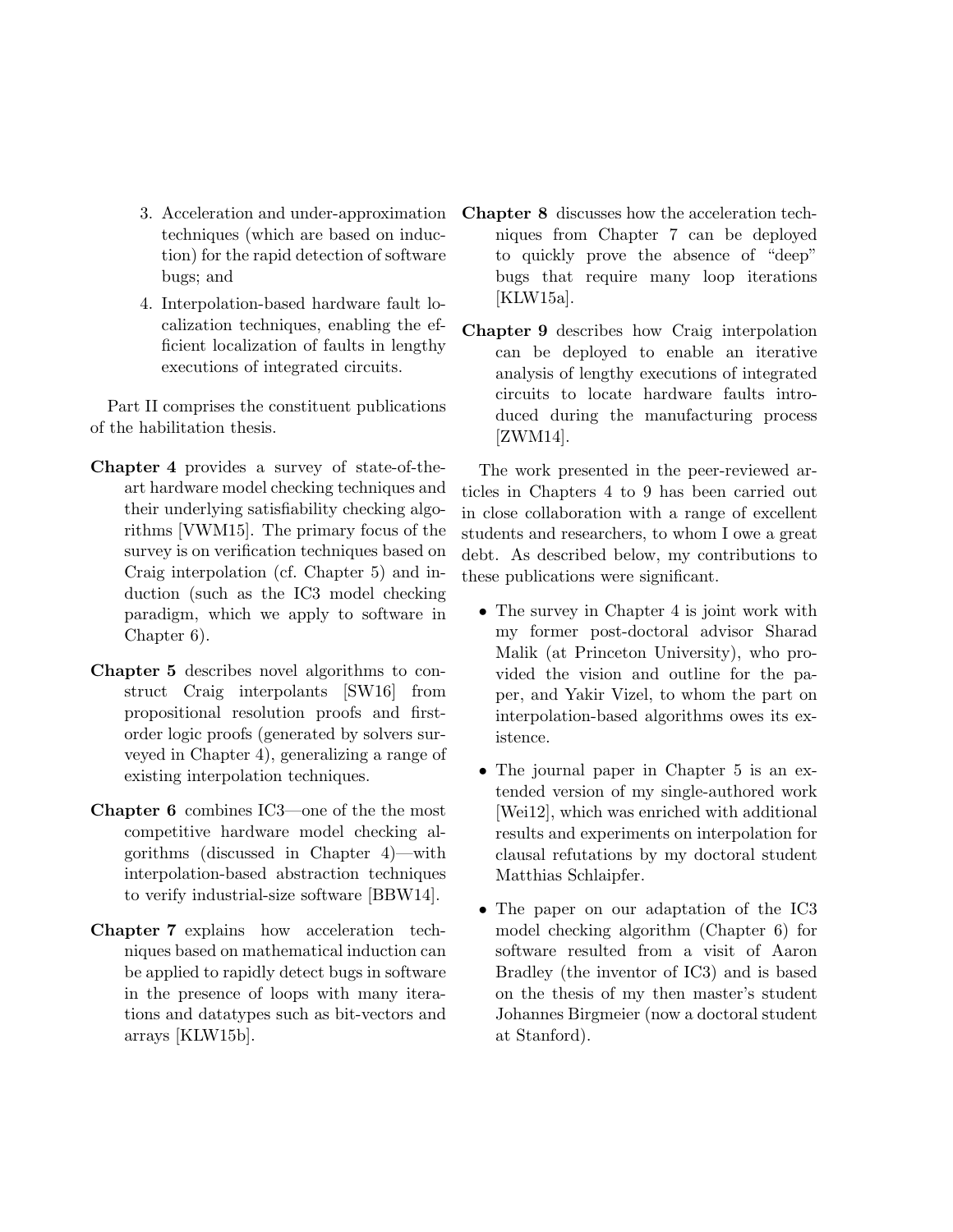- 3. Acceleration and under-approximation techniques (which are based on induction) for the rapid detection of software bugs; and
- 4. Interpolation-based hardware fault localization techniques, enabling the efficient localization of faults in lengthy executions of integrated circuits.

Part II comprises the constituent publications of the habilitation thesis.

- Chapter 4 provides a survey of state-of-theart hardware model checking techniques and their underlying satisfiability checking algorithms [VWM15]. The primary focus of the survey is on verification techniques based on Craig interpolation (cf. Chapter 5) and induction (such as the IC3 model checking paradigm, which we apply to software in Chapter 6).
- Chapter 5 describes novel algorithms to construct Craig interpolants [SW16] from propositional resolution proofs and firstorder logic proofs (generated by solvers surveyed in Chapter 4), generalizing a range of existing interpolation techniques.
- Chapter 6 combines IC3—one of the the most competitive hardware model checking algorithms (discussed in Chapter 4)—with interpolation-based abstraction techniques to verify industrial-size software [BBW14].
- Chapter 7 explains how acceleration techniques based on mathematical induction can be applied to rapidly detect bugs in software in the presence of loops with many iterations and datatypes such as bit-vectors and arrays [KLW15b].
- Chapter 8 discusses how the acceleration techniques from Chapter 7 can be deployed to quickly prove the absence of "deep" bugs that require many loop iterations [KLW15a].
- Chapter 9 describes how Craig interpolation can be deployed to enable an iterative analysis of lengthy executions of integrated circuits to locate hardware faults introduced during the manufacturing process [ZWM14].

The work presented in the peer-reviewed articles in Chapters 4 to 9 has been carried out in close collaboration with a range of excellent students and researchers, to whom I owe a great debt. As described below, my contributions to these publications were significant.

- The survey in Chapter 4 is joint work with my former post-doctoral advisor Sharad Malik (at Princeton University), who provided the vision and outline for the paper, and Yakir Vizel, to whom the part on interpolation-based algorithms owes its existence.
- The journal paper in Chapter 5 is an extended version of my single-authored work [Wei12], which was enriched with additional results and experiments on interpolation for clausal refutations by my doctoral student Matthias Schlaipfer.
- The paper on our adaptation of the IC3 model checking algorithm (Chapter 6) for software resulted from a visit of Aaron Bradley (the inventor of IC3) and is based on the thesis of my then master's student Johannes Birgmeier (now a doctoral student at Stanford).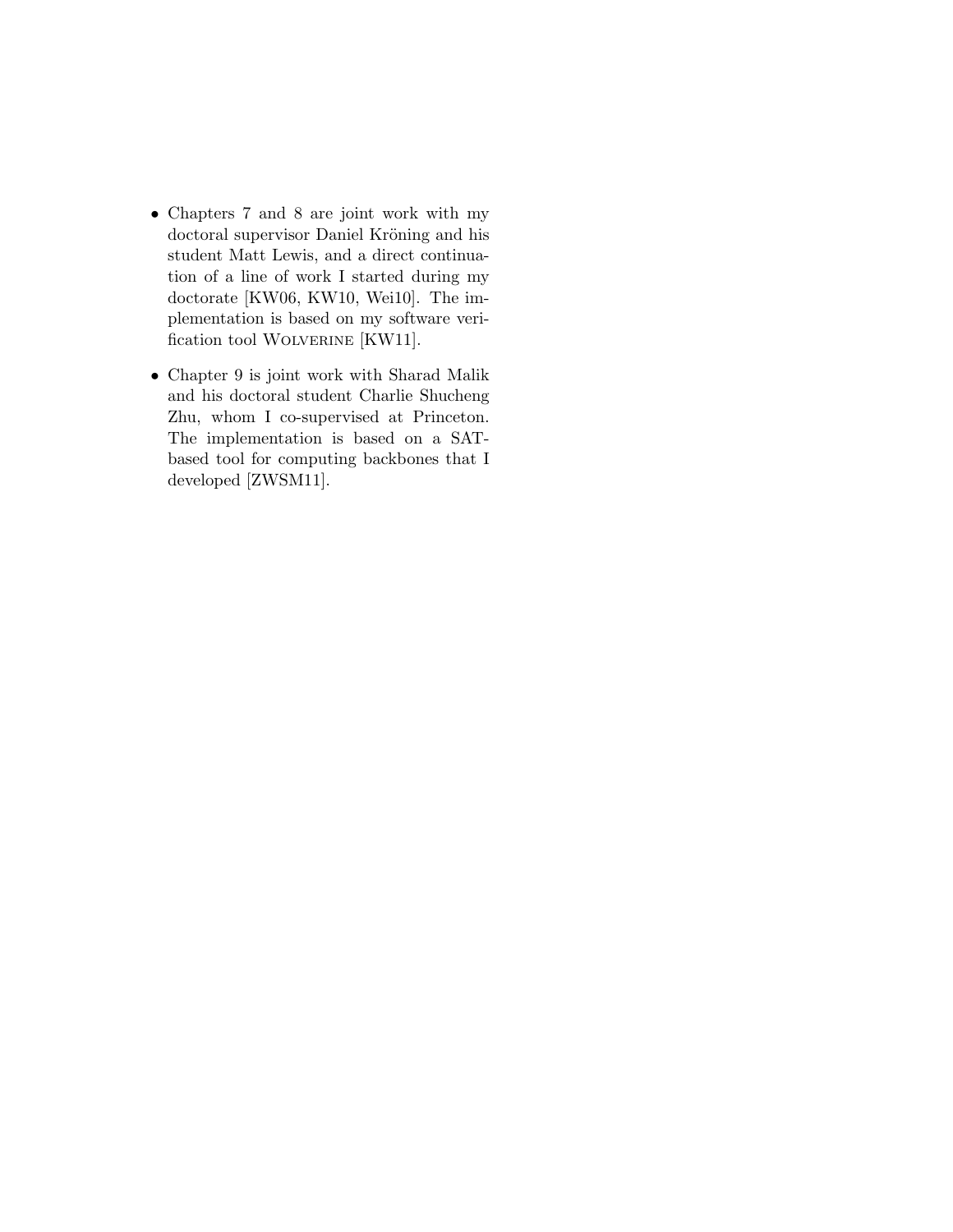- Chapters 7 and 8 are joint work with my doctoral supervisor Daniel Kröning and his student Matt Lewis, and a direct continuation of a line of work I started during my doctorate [KW06, KW10, Wei10]. The implementation is based on my software verification tool WOLVERINE [KW11].
- Chapter 9 is joint work with Sharad Malik and his doctoral student Charlie Shucheng Zhu, whom I co-supervised at Princeton. The implementation is based on a SATbased tool for computing backbones that I developed [ZWSM11].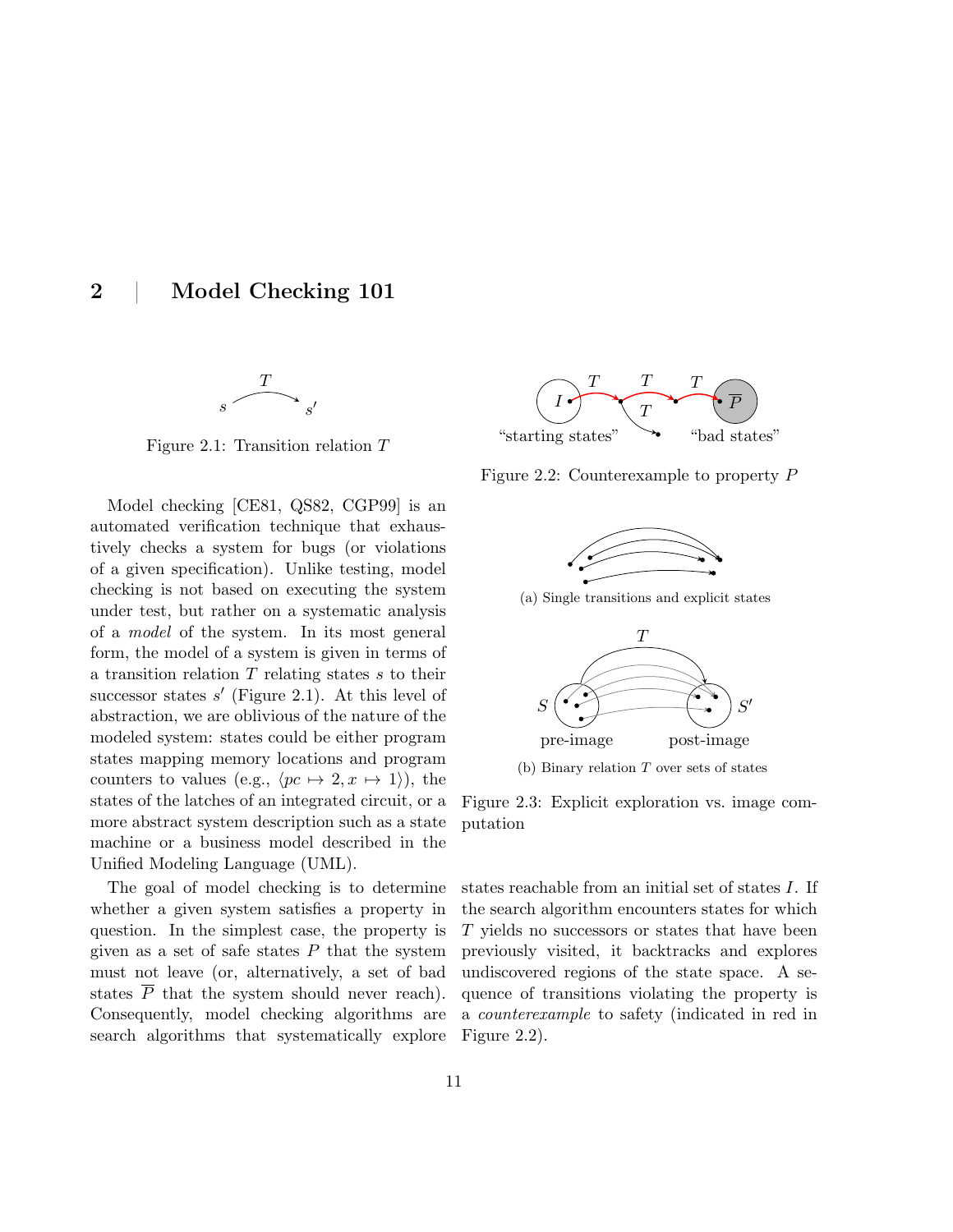2 | Model Checking 101



Figure 2.1: Transition relation T

Model checking [CE81, QS82, CGP99] is an automated verification technique that exhaustively checks a system for bugs (or violations of a given specification). Unlike testing, model checking is not based on executing the system under test, but rather on a systematic analysis of a model of the system. In its most general form, the model of a system is given in terms of a transition relation  $T$  relating states  $s$  to their successor states  $s'$  (Figure 2.1). At this level of abstraction, we are oblivious of the nature of the modeled system: states could be either program states mapping memory locations and program counters to values (e.g.,  $\langle pc \mapsto 2, x \mapsto 1 \rangle$ ), the states of the latches of an integrated circuit, or a more abstract system description such as a state machine or a business model described in the Unified Modeling Language (UML).

The goal of model checking is to determine whether a given system satisfies a property in question. In the simplest case, the property is given as a set of safe states  $P$  that the system must not leave (or, alternatively, a set of bad states  $\overline{P}$  that the system should never reach). Consequently, model checking algorithms are search algorithms that systematically explore



Figure 2.2: Counterexample to property P



(a) Single transitions and explicit states



(b) Binary relation T over sets of states

Figure 2.3: Explicit exploration vs. image computation

states reachable from an initial set of states I. If the search algorithm encounters states for which T yields no successors or states that have been previously visited, it backtracks and explores undiscovered regions of the state space. A sequence of transitions violating the property is a counterexample to safety (indicated in red in Figure 2.2).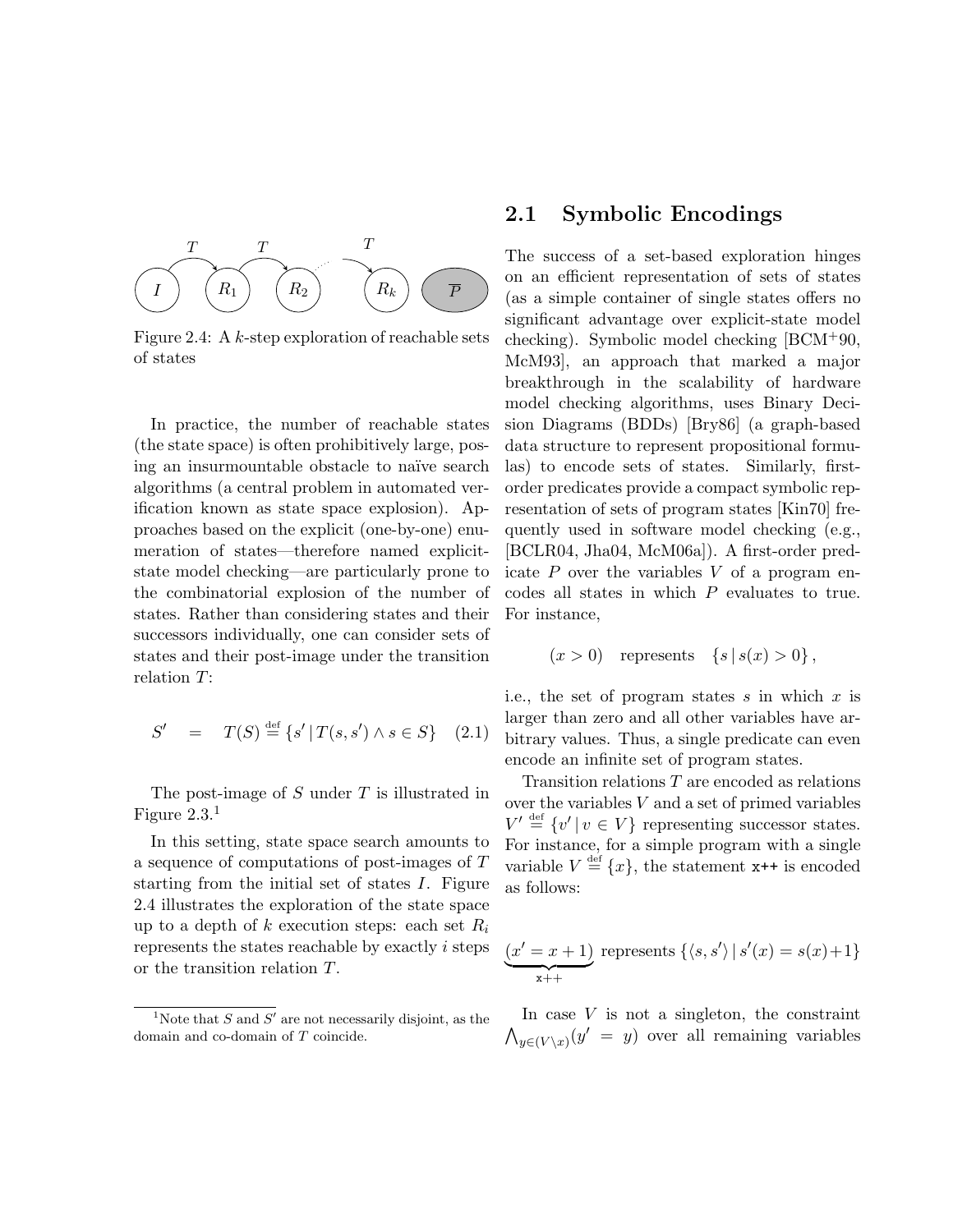

Figure 2.4: A  $k$ -step exploration of reachable sets of states

In practice, the number of reachable states (the state space) is often prohibitively large, posing an insurmountable obstacle to naïve search algorithms (a central problem in automated verification known as state space explosion). Approaches based on the explicit (one-by-one) enumeration of states—therefore named explicitstate model checking—are particularly prone to the combinatorial explosion of the number of states. Rather than considering states and their successors individually, one can consider sets of states and their post-image under the transition relation T:

$$
S' = T(S) \stackrel{\text{def}}{=} \{ s' \, | \, T(s, s') \land s \in S \} \quad (2.1)
$$

The post-image of  $S$  under  $T$  is illustrated in Figure  $2.3<sup>1</sup>$ 

In this setting, state space search amounts to a sequence of computations of post-images of T starting from the initial set of states I. Figure 2.4 illustrates the exploration of the state space up to a depth of k execution steps: each set  $R_i$ represents the states reachable by exactly i steps or the transition relation T.

#### 2.1 Symbolic Encodings

The success of a set-based exploration hinges on an efficient representation of sets of states (as a simple container of single states offers no significant advantage over explicit-state model checking). Symbolic model checking [BCM+90, McM93], an approach that marked a major breakthrough in the scalability of hardware model checking algorithms, uses Binary Decision Diagrams (BDDs) [Bry86] (a graph-based data structure to represent propositional formulas) to encode sets of states. Similarly, firstorder predicates provide a compact symbolic representation of sets of program states [Kin70] frequently used in software model checking (e.g., [BCLR04, Jha04, McM06a]). A first-order predicate  $P$  over the variables  $V$  of a program encodes all states in which P evaluates to true. For instance,

$$
(x > 0)
$$
 represents  $\{s \mid s(x) > 0\}$ ,

i.e., the set of program states s in which x is larger than zero and all other variables have arbitrary values. Thus, a single predicate can even encode an infinite set of program states.

Transition relations T are encoded as relations over the variables V and a set of primed variables  $V' \stackrel{\text{def}}{=} \{v' \mid v \in V\}$  representing successor states. For instance, for a simple program with a single variable  $V \stackrel{\text{def}}{=} \{x\}$ , the statement  $x^{++}$  is encoded as follows:

$$
(x' = x + 1)
$$
 represents  $\{\langle s, s' \rangle \mid s'(x) = s(x) + 1\}$   
 $x_{++}$ 

In case  $V$  is not a singleton, the constraint  $\bigwedge_{y \in (V \setminus x)} (y' = y)$  over all remaining variables

<sup>&</sup>lt;sup>1</sup>Note that S and S' are not necessarily disjoint, as the domain and co-domain of T coincide.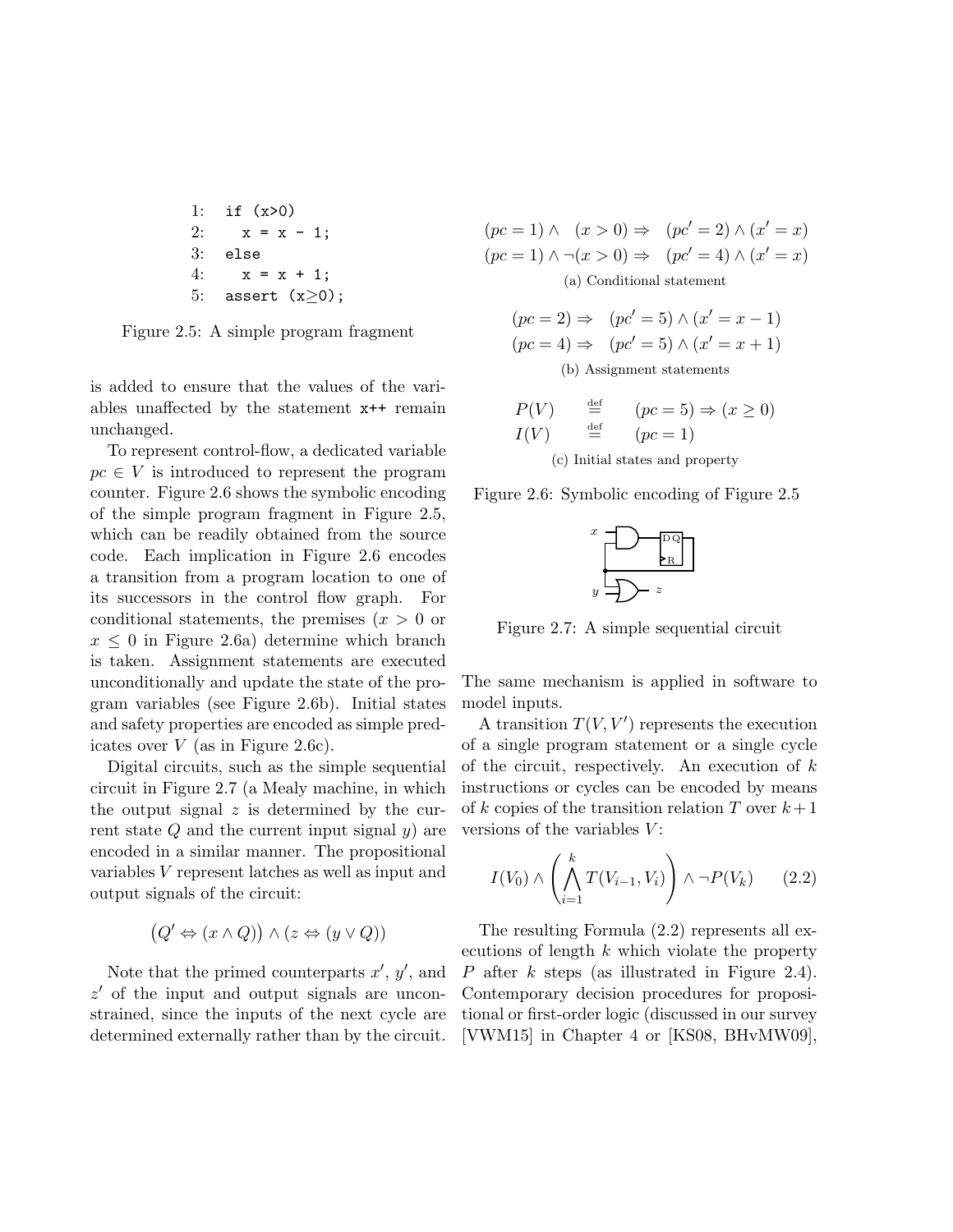```
1: if (x>0)
2: x = x - 1;
3: else
4: x = x + 1;
5: assert (x>0);
```
Figure 2.5: A simple program fragment

is added to ensure that the values of the variables unaffected by the statement x++ remain unchanged.

To represent control-flow, a dedicated variable  $pc \in V$  is introduced to represent the program counter. Figure 2.6 shows the symbolic encoding of the simple program fragment in Figure 2.5, which can be readily obtained from the source code. Each implication in Figure 2.6 encodes a transition from a program location to one of its successors in the control flow graph. For conditional statements, the premises  $(x > 0$  or  $x \leq 0$  in Figure 2.6a) determine which branch is taken. Assignment statements are executed unconditionally and update the state of the program variables (see Figure 2.6b). Initial states and safety properties are encoded as simple predicates over  $V$  (as in Figure 2.6c).

Digital circuits, such as the simple sequential circuit in Figure 2.7 (a Mealy machine, in which the output signal  $z$  is determined by the current state  $Q$  and the current input signal  $y$ ) are encoded in a similar manner. The propositional variables V represent latches as well as input and output signals of the circuit:

$$
(Q' \Leftrightarrow (x \wedge Q)) \wedge (z \Leftrightarrow (y \vee Q))
$$

Note that the primed counterparts  $x'$ ,  $y'$ , and  $z'$  of the input and output signals are unconstrained, since the inputs of the next cycle are determined externally rather than by the circuit.  $(pc = 1) \wedge (x > 0) \Rightarrow (pc' = 2) \wedge (x' = x)$  $(pc = 1) \wedge \neg(x > 0) \Rightarrow (pc' = 4) \wedge (x' = x)$ (a) Conditional statement

$$
(pc = 2) \Rightarrow (pc' = 5) \land (x' = x - 1)
$$

$$
(pc = 4) \Rightarrow (pc' = 5) \land (x' = x + 1)
$$
  
(b) Assignment statements

$$
P(V) \stackrel{\text{def}}{=} (pc = 5) \Rightarrow (x \ge 0)
$$
  

$$
I(V) \stackrel{\text{def}}{=} (pc = 1)
$$
  
(c) Initial states and property

Figure 2.6: Symbolic encoding of Figure 2.5



Figure 2.7: A simple sequential circuit

The same mechanism is applied in software to model inputs.

A transition  $T(V, V')$  represents the execution of a single program statement or a single cycle of the circuit, respectively. An execution of  $k$ instructions or cycles can be encoded by means of k copies of the transition relation T over  $k+1$ versions of the variables  $V$ :

$$
I(V_0) \wedge \left(\bigwedge_{i=1}^k T(V_{i-1}, V_i)\right) \wedge \neg P(V_k) \qquad (2.2)
$$

The resulting Formula (2.2) represents all executions of length k which violate the property P after k steps (as illustrated in Figure 2.4). Contemporary decision procedures for propositional or first-order logic (discussed in our survey [VWM15] in Chapter 4 or [KS08, BHvMW09],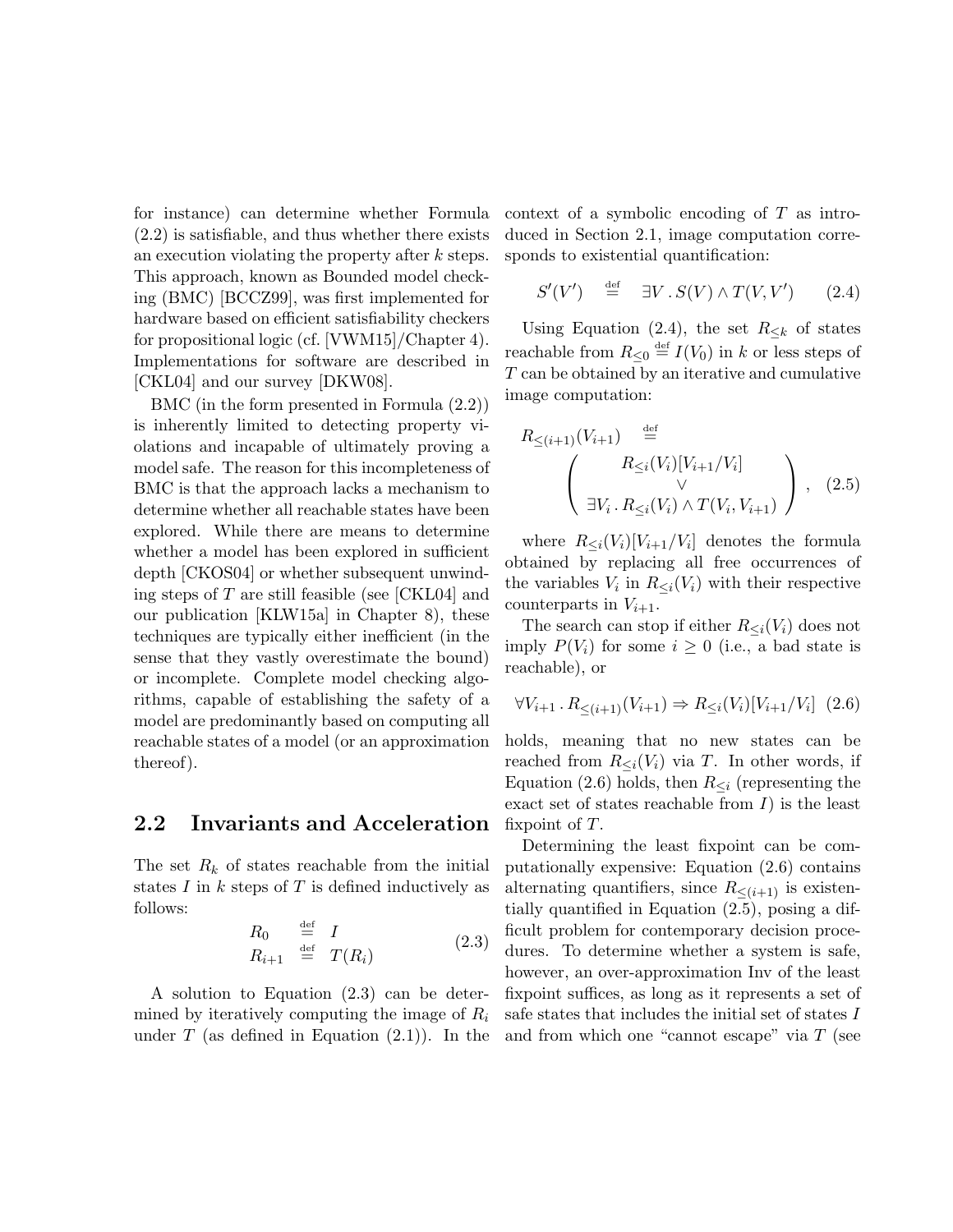for instance) can determine whether Formula (2.2) is satisfiable, and thus whether there exists an execution violating the property after  $k$  steps. This approach, known as Bounded model checking (BMC) [BCCZ99], was first implemented for hardware based on efficient satisfiability checkers for propositional logic (cf. [VWM15]/Chapter 4). Implementations for software are described in [CKL04] and our survey [DKW08].

BMC (in the form presented in Formula (2.2)) is inherently limited to detecting property violations and incapable of ultimately proving a model safe. The reason for this incompleteness of BMC is that the approach lacks a mechanism to determine whether all reachable states have been explored. While there are means to determine whether a model has been explored in sufficient depth [CKOS04] or whether subsequent unwinding steps of T are still feasible (see [CKL04] and our publication [KLW15a] in Chapter 8), these techniques are typically either inefficient (in the sense that they vastly overestimate the bound) or incomplete. Complete model checking algorithms, capable of establishing the safety of a model are predominantly based on computing all reachable states of a model (or an approximation thereof).

#### 2.2 Invariants and Acceleration

The set  $R_k$  of states reachable from the initial states  $I$  in  $k$  steps of  $T$  is defined inductively as follows:

$$
R_0 \stackrel{\text{def}}{=} I
$$
  
\n
$$
R_{i+1} \stackrel{\text{def}}{=} T(R_i)
$$
 (2.3)

A solution to Equation (2.3) can be determined by iteratively computing the image of  $R_i$ under  $T$  (as defined in Equation  $(2.1)$ ). In the context of a symbolic encoding of T as introduced in Section 2.1, image computation corresponds to existential quantification:

$$
S'(V') \stackrel{\text{def}}{=} \exists V \, . \, S(V) \wedge T(V, V') \qquad (2.4)
$$

Using Equation (2.4), the set  $R_{\leq k}$  of states reachable from  $R_{\leq 0} \stackrel{\text{def}}{=} I(V_0)$  in k or less steps of T can be obtained by an iterative and cumulative image computation:

$$
R_{\leq (i+1)}(V_{i+1}) \stackrel{\text{def}}{=} \left(\n\begin{array}{c}\nR_{\leq i}(V_i)[V_{i+1}/V_i] \\
\downarrow \\
\downarrow \\
\exists V_i. R_{\leq i}(V_i) \wedge T(V_i, V_{i+1})\n\end{array}\n\right), (2.5)
$$

where  $R_{\leq i}(V_i)[V_{i+1}/V_i]$  denotes the formula obtained by replacing all free occurrences of the variables  $V_i$  in  $R_{\leq i}(V_i)$  with their respective counterparts in  $V_{i+1}$ .

The search can stop if either  $R_{\leq i}(V_i)$  does not imply  $P(V_i)$  for some  $i \geq 0$  (i.e., a bad state is reachable), or

$$
\forall V_{i+1} \, . \, R_{\leq (i+1)}(V_{i+1}) \Rightarrow R_{\leq i}(V_i)[V_{i+1}/V_i] \tag{2.6}
$$

holds, meaning that no new states can be reached from  $R_{\leq i}(V_i)$  via T. In other words, if Equation (2.6) holds, then  $R_{\leq i}$  (representing the exact set of states reachable from  $I$ ) is the least fixpoint of T.

Determining the least fixpoint can be computationally expensive: Equation (2.6) contains alternating quantifiers, since  $R_{\leq (i+1)}$  is existentially quantified in Equation (2.5), posing a difficult problem for contemporary decision procedures. To determine whether a system is safe, however, an over-approximation Inv of the least fixpoint suffices, as long as it represents a set of safe states that includes the initial set of states I and from which one "cannot escape" via  $T$  (see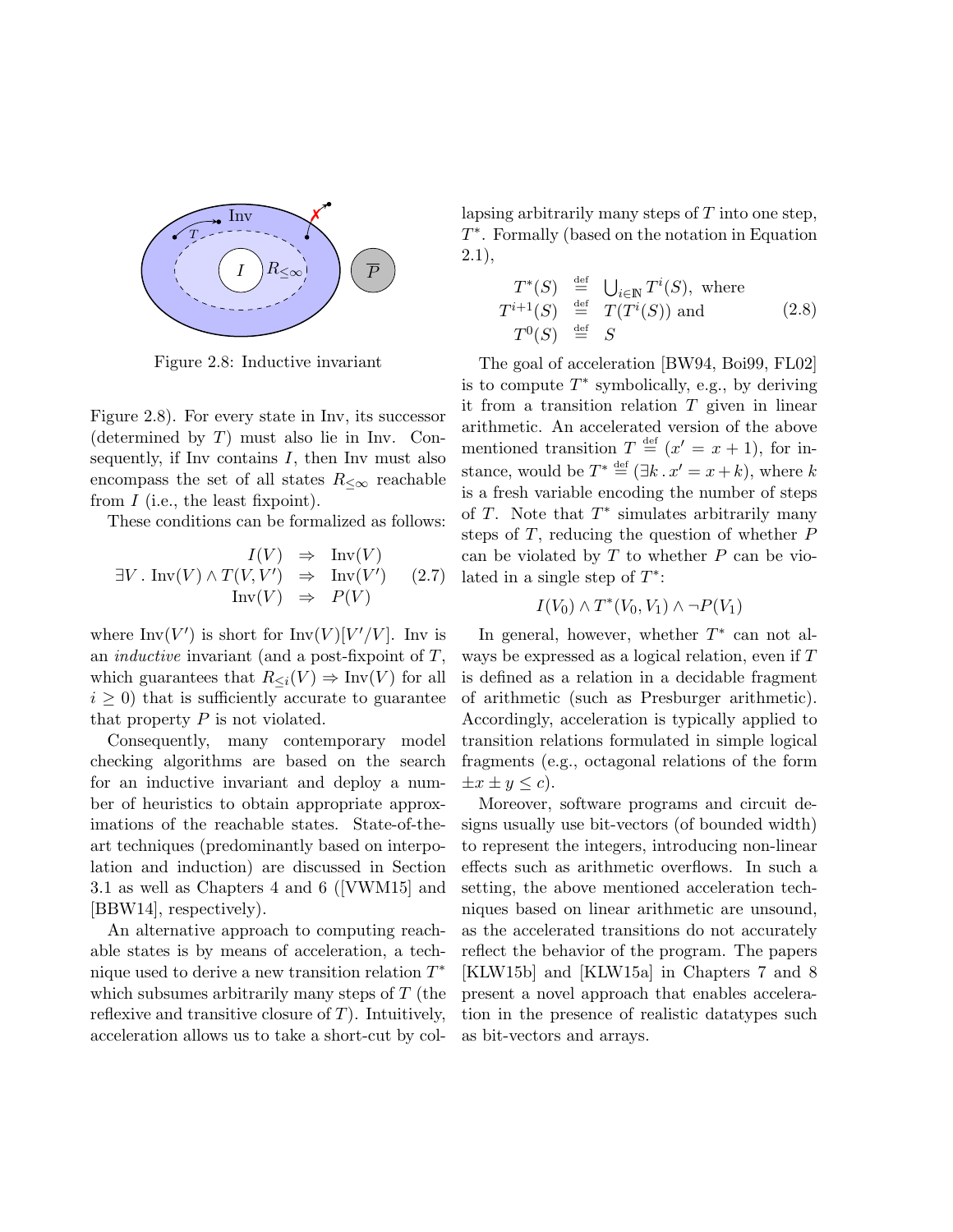

Figure 2.8: Inductive invariant

Figure 2.8). For every state in Inv, its successor (determined by  $T$ ) must also lie in Inv. Consequently, if Inv contains  $I$ , then Inv must also encompass the set of all states  $R_{\leq \infty}$  reachable from  $I$  (i.e., the least fixpoint).

These conditions can be formalized as follows:

$$
\exists V \,.\, \text{Inv}(V) \land T(V, V') \Rightarrow \text{Inv}(V') \quad (2.7)
$$
  

$$
\text{Inv}(V) \Rightarrow P(V)
$$

where  $\text{Inv}(V')$  is short for  $\text{Inv}(V)[V'/V]$ . Inv is an *inductive* invariant (and a post-fixpoint of  $T$ , which guarantees that  $R_{\leq i}(V) \Rightarrow \text{Inv}(V)$  for all  $i \geq 0$ ) that is sufficiently accurate to guarantee that property  $P$  is not violated.

Consequently, many contemporary model checking algorithms are based on the search for an inductive invariant and deploy a number of heuristics to obtain appropriate approximations of the reachable states. State-of-theart techniques (predominantly based on interpolation and induction) are discussed in Section 3.1 as well as Chapters 4 and 6 ([VWM15] and [BBW14], respectively).

An alternative approach to computing reachable states is by means of acceleration, a technique used to derive a new transition relation  $T^*$ which subsumes arbitrarily many steps of  $T$  (the reflexive and transitive closure of  $T$ ). Intuitively, acceleration allows us to take a short-cut by collapsing arbitrarily many steps of  $T$  into one step, T ∗ . Formally (based on the notation in Equation 2.1),

$$
T^*(S) \stackrel{\text{def}}{=} \bigcup_{i \in \mathbb{N}} T^i(S), \text{ where}
$$
  
\n
$$
T^{i+1}(S) \stackrel{\text{def}}{=} T(T^i(S)) \text{ and } T^0(S) \stackrel{\text{def}}{=} S
$$
 (2.8)

The goal of acceleration [BW94, Boi99, FL02] is to compute  $T^*$  symbolically, e.g., by deriving it from a transition relation  $T$  given in linear arithmetic. An accelerated version of the above mentioned transition  $T \stackrel{\text{def}}{=} (x' = x + 1)$ , for instance, would be  $T^* \stackrel{\text{def}}{=} (\exists k \, . \, x' = x + k)$ , where k is a fresh variable encoding the number of steps of  $T$ . Note that  $T^*$  simulates arbitrarily many steps of  $T$ , reducing the question of whether  $P$ can be violated by  $T$  to whether  $P$  can be violated in a single step of  $T^*$ :

$$
I(V_0) \wedge T^*(V_0, V_1) \wedge \neg P(V_1)
$$

In general, however, whether  $T^*$  can not always be expressed as a logical relation, even if T is defined as a relation in a decidable fragment of arithmetic (such as Presburger arithmetic). Accordingly, acceleration is typically applied to transition relations formulated in simple logical fragments (e.g., octagonal relations of the form  $\pm x \pm y \leq c$ .

Moreover, software programs and circuit designs usually use bit-vectors (of bounded width) to represent the integers, introducing non-linear effects such as arithmetic overflows. In such a setting, the above mentioned acceleration techniques based on linear arithmetic are unsound, as the accelerated transitions do not accurately reflect the behavior of the program. The papers [KLW15b] and [KLW15a] in Chapters 7 and 8 present a novel approach that enables acceleration in the presence of realistic datatypes such as bit-vectors and arrays.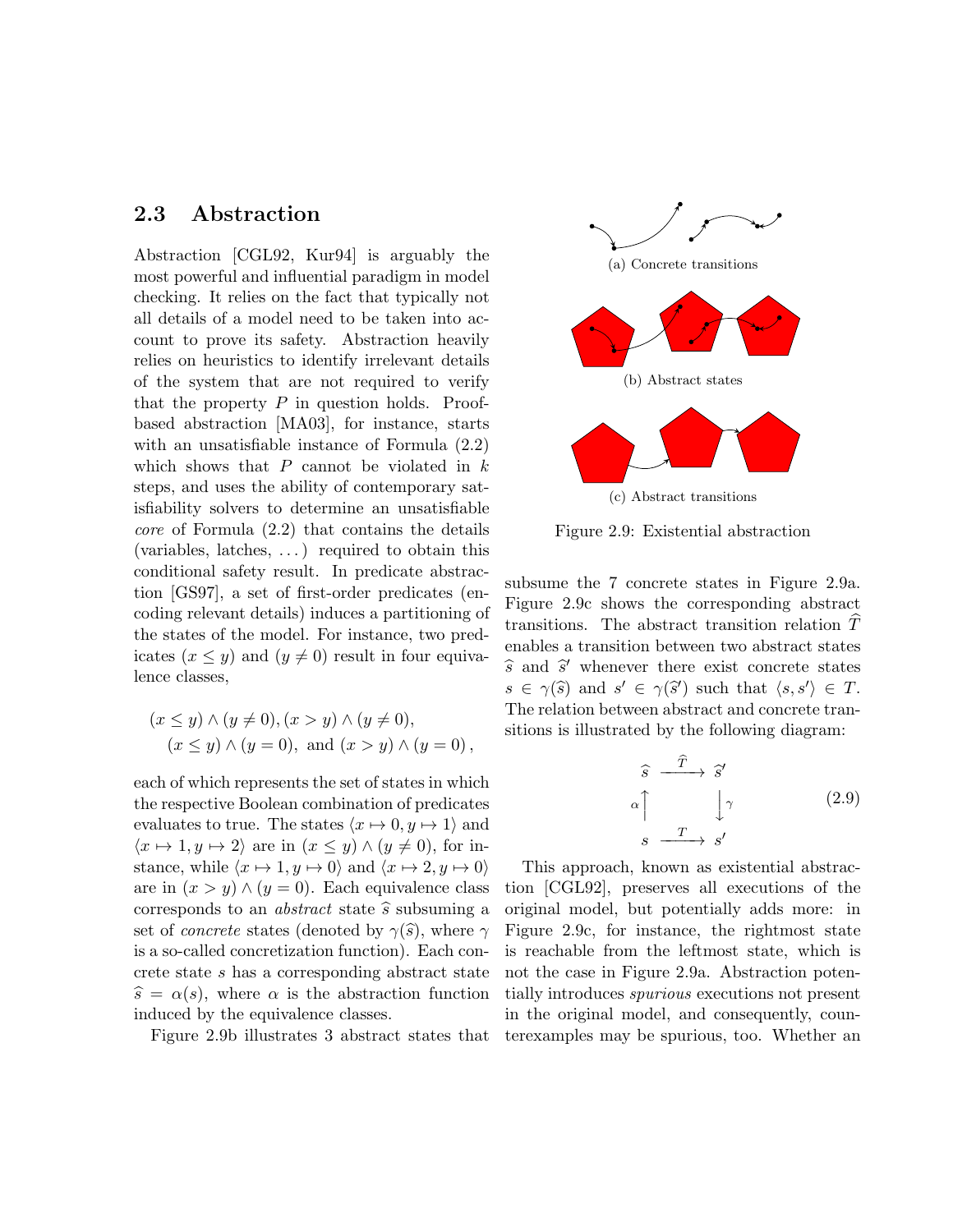#### 2.3 Abstraction

Abstraction [CGL92, Kur94] is arguably the most powerful and influential paradigm in model checking. It relies on the fact that typically not all details of a model need to be taken into account to prove its safety. Abstraction heavily relies on heuristics to identify irrelevant details of the system that are not required to verify that the property  $P$  in question holds. Proofbased abstraction [MA03], for instance, starts with an unsatisfiable instance of Formula (2.2) which shows that  $P$  cannot be violated in  $k$ steps, and uses the ability of contemporary satisfiability solvers to determine an unsatisfiable core of Formula (2.2) that contains the details (variables, latches, . . . ) required to obtain this conditional safety result. In predicate abstraction [GS97], a set of first-order predicates (encoding relevant details) induces a partitioning of the states of the model. For instance, two predicates  $(x \leq y)$  and  $(y \neq 0)$  result in four equivalence classes,

$$
(x \le y) \land (y \ne 0), (x > y) \land (y \ne 0),
$$
  

$$
(x \le y) \land (y = 0), \text{ and } (x > y) \land (y = 0),
$$

each of which represents the set of states in which the respective Boolean combination of predicates evaluates to true. The states  $\langle x \mapsto 0, y \mapsto 1 \rangle$  and  $\langle x \mapsto 1, y \mapsto 2 \rangle$  are in  $(x \le y) \wedge (y \ne 0)$ , for instance, while  $\langle x \mapsto 1, y \mapsto 0 \rangle$  and  $\langle x \mapsto 2, y \mapsto 0 \rangle$ are in  $(x > y) \wedge (y = 0)$ . Each equivalence class corresponds to an *abstract* state  $\hat{s}$  subsuming a set of *concrete* states (denoted by  $\gamma(\hat{s})$ , where  $\gamma$ is a so-called concretization function). Each concrete state s has a corresponding abstract state  $\hat{s} = \alpha(s)$ , where  $\alpha$  is the abstraction function induced by the equivalence classes.

Figure 2.9b illustrates 3 abstract states that



Figure 2.9: Existential abstraction

subsume the 7 concrete states in Figure 2.9a. Figure 2.9c shows the corresponding abstract transitions. The abstract transition relation  $T$ enables a transition between two abstract states  $\hat{s}$  and  $\hat{s}'$  whenever there exist concrete states  $s \in \gamma(\widehat{s})$  and  $s' \in \gamma(\widehat{s}')$  such that  $\langle s, s' \rangle \in T$ .<br>The relation between obstract and concrete tran The relation between abstract and concrete transitions is illustrated by the following diagram:

$$
\begin{array}{ccc}\n\widehat{s} & \xrightarrow{\widehat{T}} & \widehat{s}' \\
\alpha \uparrow & & \downarrow{\gamma} & & (2.9) \\
s & \xrightarrow{T} & s'\n\end{array}
$$

This approach, known as existential abstraction [CGL92], preserves all executions of the original model, but potentially adds more: in Figure 2.9c, for instance, the rightmost state is reachable from the leftmost state, which is not the case in Figure 2.9a. Abstraction potentially introduces spurious executions not present in the original model, and consequently, counterexamples may be spurious, too. Whether an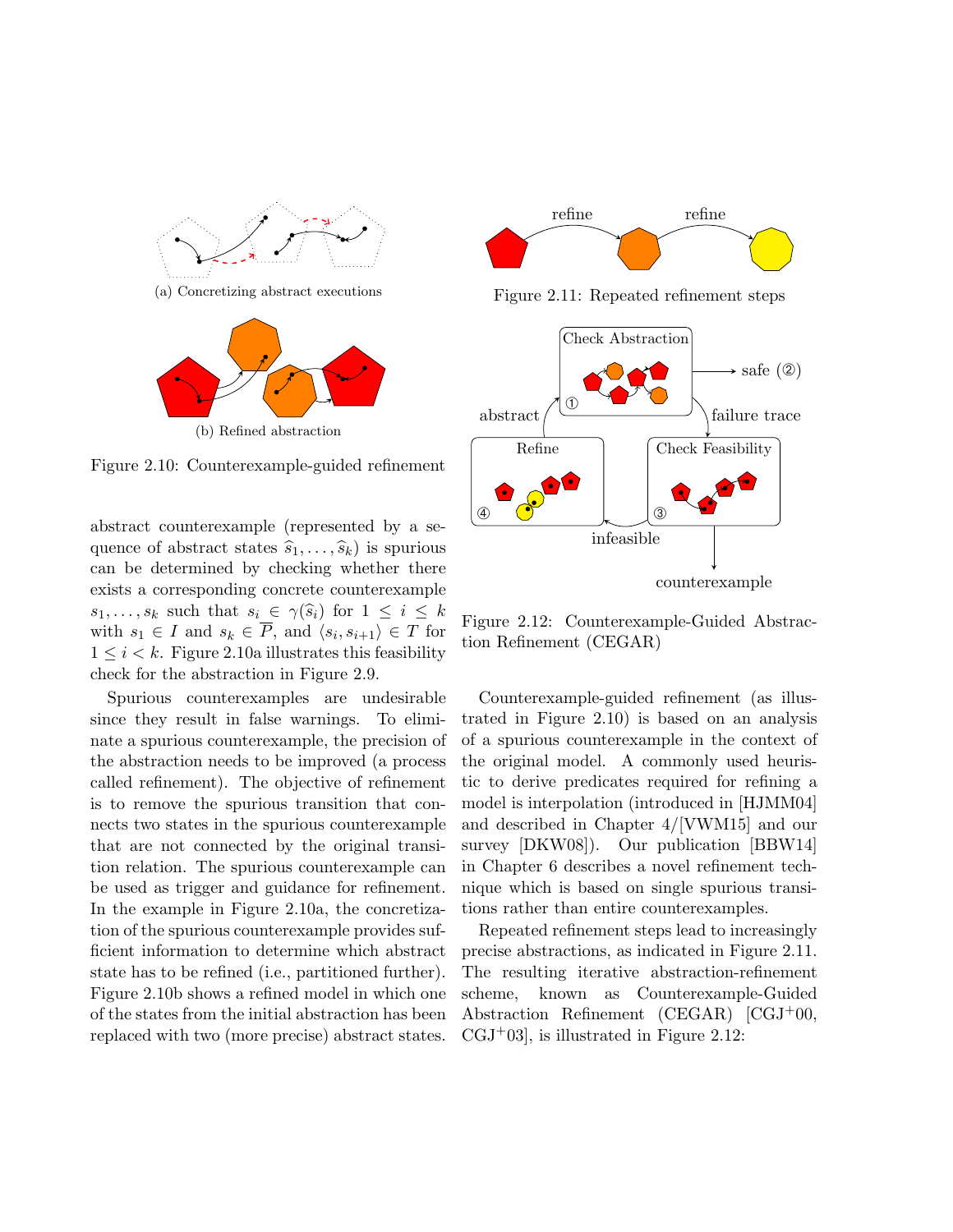

Figure 2.10: Counterexample-guided refinement

abstract counterexample (represented by a sequence of abstract states  $\widehat{s}_1, \ldots, \widehat{s}_k$  is spurious can be determined by checking whether there exists a corresponding concrete counterexample  $s_1, \ldots, s_k$  such that  $s_i \in \gamma(\widehat{s}_i)$  for  $1 \leq i \leq k$ with  $s_1 \in I$  and  $s_k \in P$ , and  $\langle s_i, s_{i+1} \rangle \in T$  for  $1 \leq i \leq k$ . Figure 2.10a illustrates this feasibility check for the abstraction in Figure 2.9.

Spurious counterexamples are undesirable since they result in false warnings. To eliminate a spurious counterexample, the precision of the abstraction needs to be improved (a process called refinement). The objective of refinement is to remove the spurious transition that connects two states in the spurious counterexample that are not connected by the original transition relation. The spurious counterexample can be used as trigger and guidance for refinement. In the example in Figure 2.10a, the concretization of the spurious counterexample provides sufficient information to determine which abstract state has to be refined (i.e., partitioned further). Figure 2.10b shows a refined model in which one of the states from the initial abstraction has been replaced with two (more precise) abstract states.



Figure 2.11: Repeated refinement steps



Figure 2.12: Counterexample-Guided Abstraction Refinement (CEGAR)

Counterexample-guided refinement (as illustrated in Figure 2.10) is based on an analysis of a spurious counterexample in the context of the original model. A commonly used heuristic to derive predicates required for refining a model is interpolation (introduced in [HJMM04] and described in Chapter 4/[VWM15] and our survey [DKW08]). Our publication [BBW14] in Chapter 6 describes a novel refinement technique which is based on single spurious transitions rather than entire counterexamples.

Repeated refinement steps lead to increasingly precise abstractions, as indicated in Figure 2.11. The resulting iterative abstraction-refinement scheme, known as Counterexample-Guided Abstraction Refinement (CEGAR) [CGJ+00,  $CGJ+03$ , is illustrated in Figure 2.12: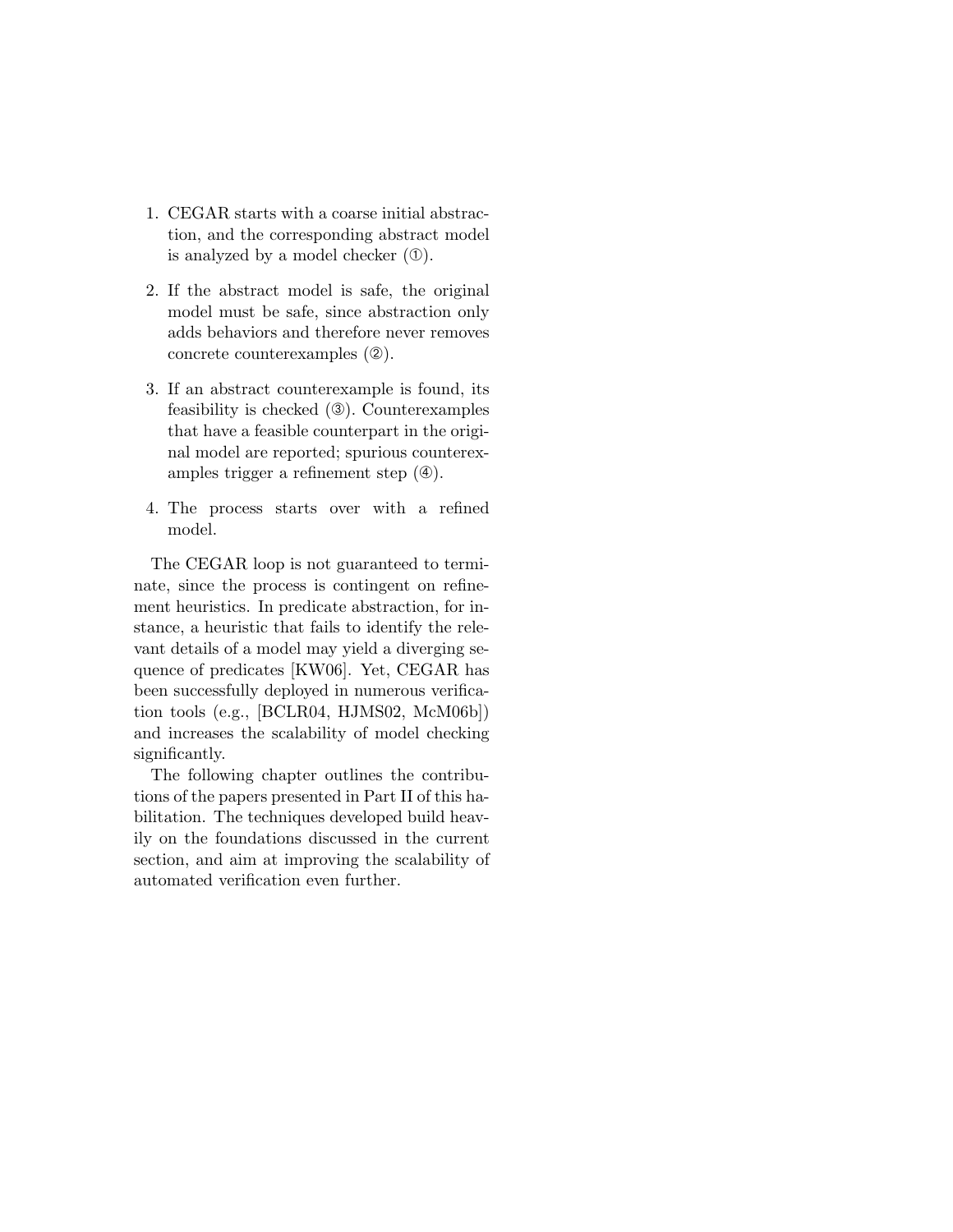- 1. CEGAR starts with a coarse initial abstraction, and the corresponding abstract model is analyzed by a model checker  $(①)$ .
- 2. If the abstract model is safe, the original model must be safe, since abstraction only adds behaviors and therefore never removes concrete counterexamples (➁).
- 3. If an abstract counterexample is found, its feasibility is checked (➂). Counterexamples that have a feasible counterpart in the original model are reported; spurious counterexamples trigger a refinement step  $(\circledast)$ .
- 4. The process starts over with a refined model.

The CEGAR loop is not guaranteed to terminate, since the process is contingent on refinement heuristics. In predicate abstraction, for instance, a heuristic that fails to identify the relevant details of a model may yield a diverging sequence of predicates [KW06]. Yet, CEGAR has been successfully deployed in numerous verification tools (e.g., [BCLR04, HJMS02, McM06b]) and increases the scalability of model checking significantly.

The following chapter outlines the contributions of the papers presented in Part II of this habilitation. The techniques developed build heavily on the foundations discussed in the current section, and aim at improving the scalability of automated verification even further.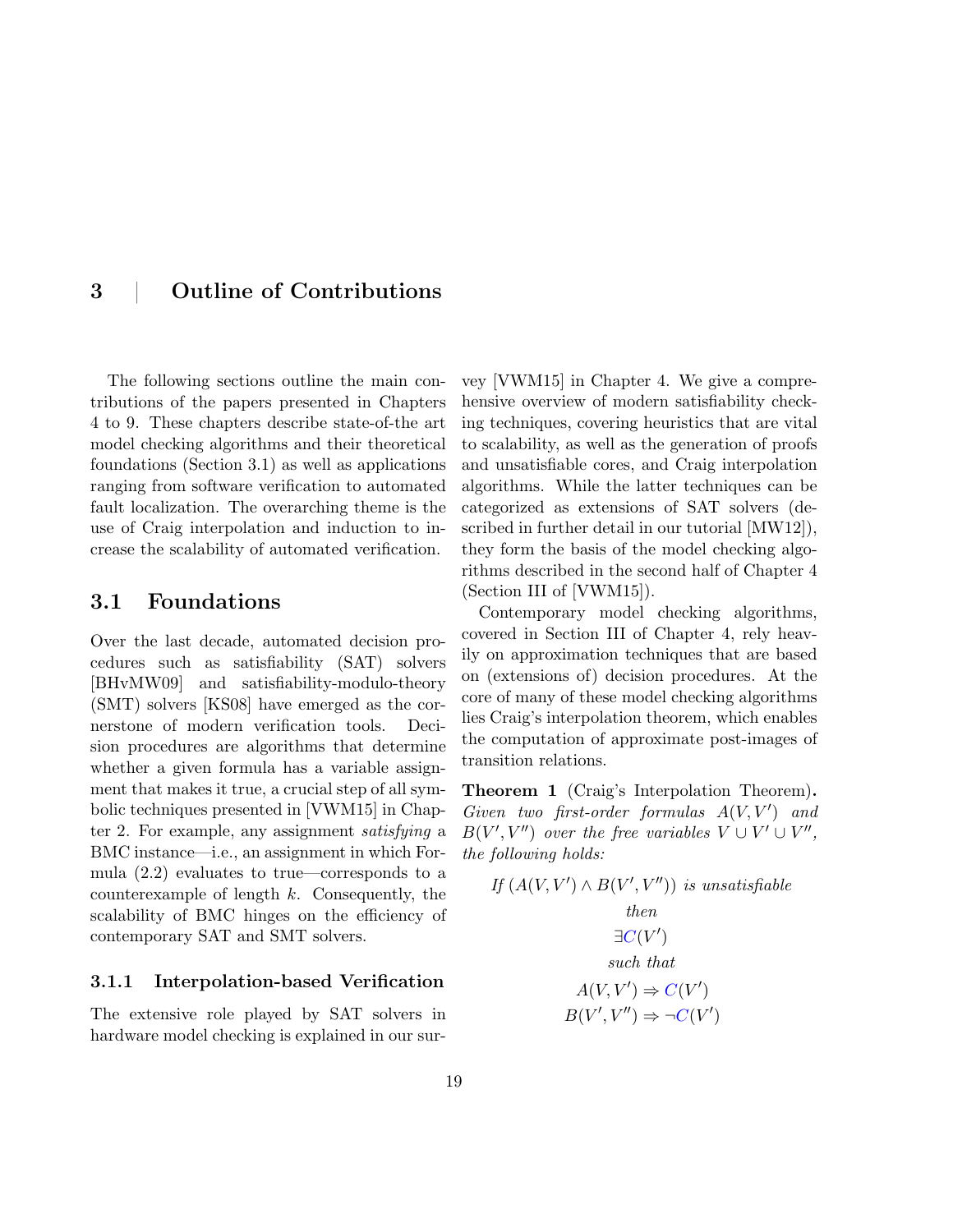## 3 | Outline of Contributions

The following sections outline the main contributions of the papers presented in Chapters 4 to 9. These chapters describe state-of-the art model checking algorithms and their theoretical foundations (Section 3.1) as well as applications ranging from software verification to automated fault localization. The overarching theme is the use of Craig interpolation and induction to increase the scalability of automated verification.

#### 3.1 Foundations

Over the last decade, automated decision procedures such as satisfiability (SAT) solvers [BHvMW09] and satisfiability-modulo-theory (SMT) solvers [KS08] have emerged as the cornerstone of modern verification tools. Decision procedures are algorithms that determine whether a given formula has a variable assignment that makes it true, a crucial step of all symbolic techniques presented in [VWM15] in Chapter 2. For example, any assignment satisfying a BMC instance—i.e., an assignment in which Formula (2.2) evaluates to true—corresponds to a counterexample of length k. Consequently, the scalability of BMC hinges on the efficiency of contemporary SAT and SMT solvers.

#### 3.1.1 Interpolation-based Verification

The extensive role played by SAT solvers in hardware model checking is explained in our sur-

vey [VWM15] in Chapter 4. We give a comprehensive overview of modern satisfiability checking techniques, covering heuristics that are vital to scalability, as well as the generation of proofs and unsatisfiable cores, and Craig interpolation algorithms. While the latter techniques can be categorized as extensions of SAT solvers (described in further detail in our tutorial [MW12]), they form the basis of the model checking algorithms described in the second half of Chapter 4 (Section III of [VWM15]).

Contemporary model checking algorithms, covered in Section III of Chapter 4, rely heavily on approximation techniques that are based on (extensions of) decision procedures. At the core of many of these model checking algorithms lies Craig's interpolation theorem, which enables the computation of approximate post-images of transition relations.

Theorem 1 (Craig's Interpolation Theorem). Given two first-order formulas  $A(V, V')$  and  $B(V', V'')$  over the free variables  $V \cup V' \cup V''$ , the following holds:

 $\cdots$   $\cdots$ 

If 
$$
(A(V, V') \wedge B(V', V''))
$$
 is unsatisfiable  
\nthen  
\n $\exists C(V')$   
\nsuch that  
\n $A(V, V') \Rightarrow C(V')$   
\n $B(V', V'') \Rightarrow \neg C(V')$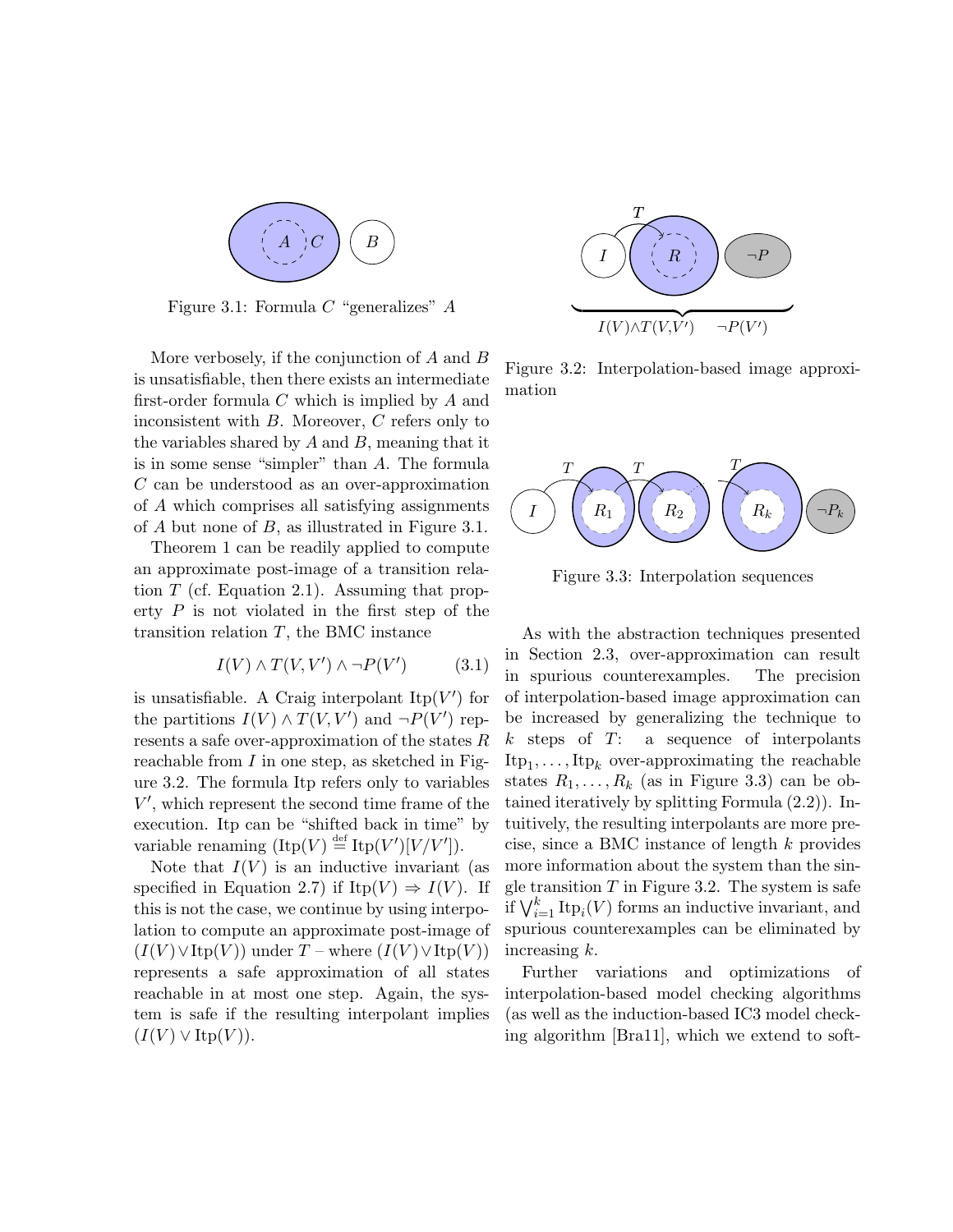

Figure 3.1: Formula  $C$  "generalizes"  $A$ 

More verbosely, if the conjunction of A and B is unsatisfiable, then there exists an intermediate first-order formula  $C$  which is implied by  $A$  and inconsistent with B. Moreover, C refers only to the variables shared by  $A$  and  $B$ , meaning that it is in some sense "simpler" than A. The formula C can be understood as an over-approximation of A which comprises all satisfying assignments of A but none of B, as illustrated in Figure 3.1.

Theorem 1 can be readily applied to compute an approximate post-image of a transition relation  $T$  (cf. Equation 2.1). Assuming that property  $P$  is not violated in the first step of the transition relation  $T$ , the BMC instance

$$
I(V) \wedge T(V, V') \wedge \neg P(V') \tag{3.1}
$$

is unsatisfiable. A Craig interpolant  $\text{Itp}(V')$  for the partitions  $I(V) \wedge T(V, V')$  and  $\neg P(V')$  represents a safe over-approximation of the states R reachable from  $I$  in one step, as sketched in Figure 3.2. The formula Itp refers only to variables  $V'$ , which represent the second time frame of the execution. Itp can be "shifted back in time" by variable renaming  $(\text{Itp}(V) \stackrel{\text{def}}{=} \text{Itp}(V')[V/V']).$ 

Note that  $I(V)$  is an inductive invariant (as specified in Equation 2.7) if Itp(V)  $\Rightarrow$  I(V). If this is not the case, we continue by using interpolation to compute an approximate post-image of  $(I(V) \vee \text{Itp}(V))$  under T – where  $(I(V) \vee \text{Itp}(V))$ represents a safe approximation of all states reachable in at most one step. Again, the system is safe if the resulting interpolant implies  $(I(V) \vee \text{Itp}(V)).$ 



Figure 3.2: Interpolation-based image approximation



Figure 3.3: Interpolation sequences

As with the abstraction techniques presented in Section 2.3, over-approximation can result in spurious counterexamples. The precision of interpolation-based image approximation can be increased by generalizing the technique to  $k$  steps of  $T: a$  sequence of interpolants  $\text{Itp}_1, \ldots, \text{Itp}_k$  over-approximating the reachable states  $R_1, \ldots, R_k$  (as in Figure 3.3) can be obtained iteratively by splitting Formula (2.2)). Intuitively, the resulting interpolants are more precise, since a BMC instance of length k provides more information about the system than the single transition  $T$  in Figure 3.2. The system is safe if  $\bigvee_{i=1}^{k} \text{Itp}_i(V)$  forms an inductive invariant, and spurious counterexamples can be eliminated by increasing k.

Further variations and optimizations of interpolation-based model checking algorithms (as well as the induction-based IC3 model checking algorithm [Bra11], which we extend to soft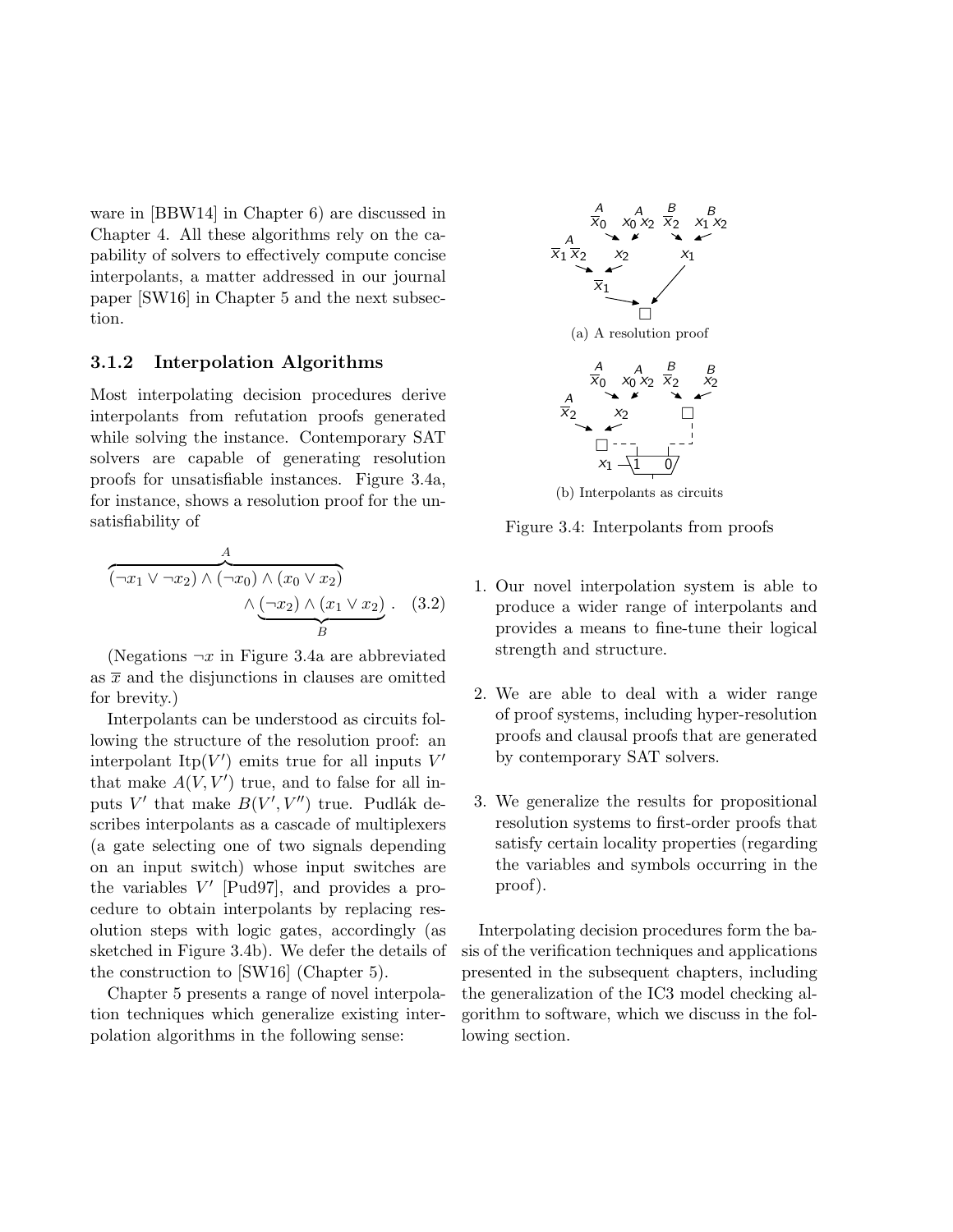ware in [BBW14] in Chapter 6) are discussed in Chapter 4. All these algorithms rely on the capability of solvers to effectively compute concise interpolants, a matter addressed in our journal paper [SW16] in Chapter 5 and the next subsection.

#### 3.1.2 Interpolation Algorithms

Most interpolating decision procedures derive interpolants from refutation proofs generated while solving the instance. Contemporary SAT solvers are capable of generating resolution proofs for unsatisfiable instances. Figure 3.4a, for instance, shows a resolution proof for the unsatisfiability of

$$
\overbrace{(\neg x_1 \lor \neg x_2) \land (\neg x_0) \land (x_0 \lor x_2)}^{A}
$$

$$
\land \underline{(\neg x_2) \land (x_1 \lor x_2)}_{B} . (3.2)
$$

(Negations  $\neg x$  in Figure 3.4a are abbreviated as  $\bar{x}$  and the disjunctions in clauses are omitted for brevity.)

Interpolants can be understood as circuits following the structure of the resolution proof: an interpolant Itp $(V')$  emits true for all inputs  $V'$ that make  $A(V, V')$  true, and to false for all inputs V' that make  $B(V', V'')$  true. Pudlák describes interpolants as a cascade of multiplexers (a gate selecting one of two signals depending on an input switch) whose input switches are the variables  $V'$  [Pud97], and provides a procedure to obtain interpolants by replacing resolution steps with logic gates, accordingly (as sketched in Figure 3.4b). We defer the details of the construction to [SW16] (Chapter 5).

Chapter 5 presents a range of novel interpolation techniques which generalize existing interpolation algorithms in the following sense:



Figure 3.4: Interpolants from proofs

- 1. Our novel interpolation system is able to produce a wider range of interpolants and provides a means to fine-tune their logical strength and structure.
- 2. We are able to deal with a wider range of proof systems, including hyper-resolution proofs and clausal proofs that are generated by contemporary SAT solvers.
- 3. We generalize the results for propositional resolution systems to first-order proofs that satisfy certain locality properties (regarding the variables and symbols occurring in the proof).

Interpolating decision procedures form the basis of the verification techniques and applications presented in the subsequent chapters, including the generalization of the IC3 model checking algorithm to software, which we discuss in the following section.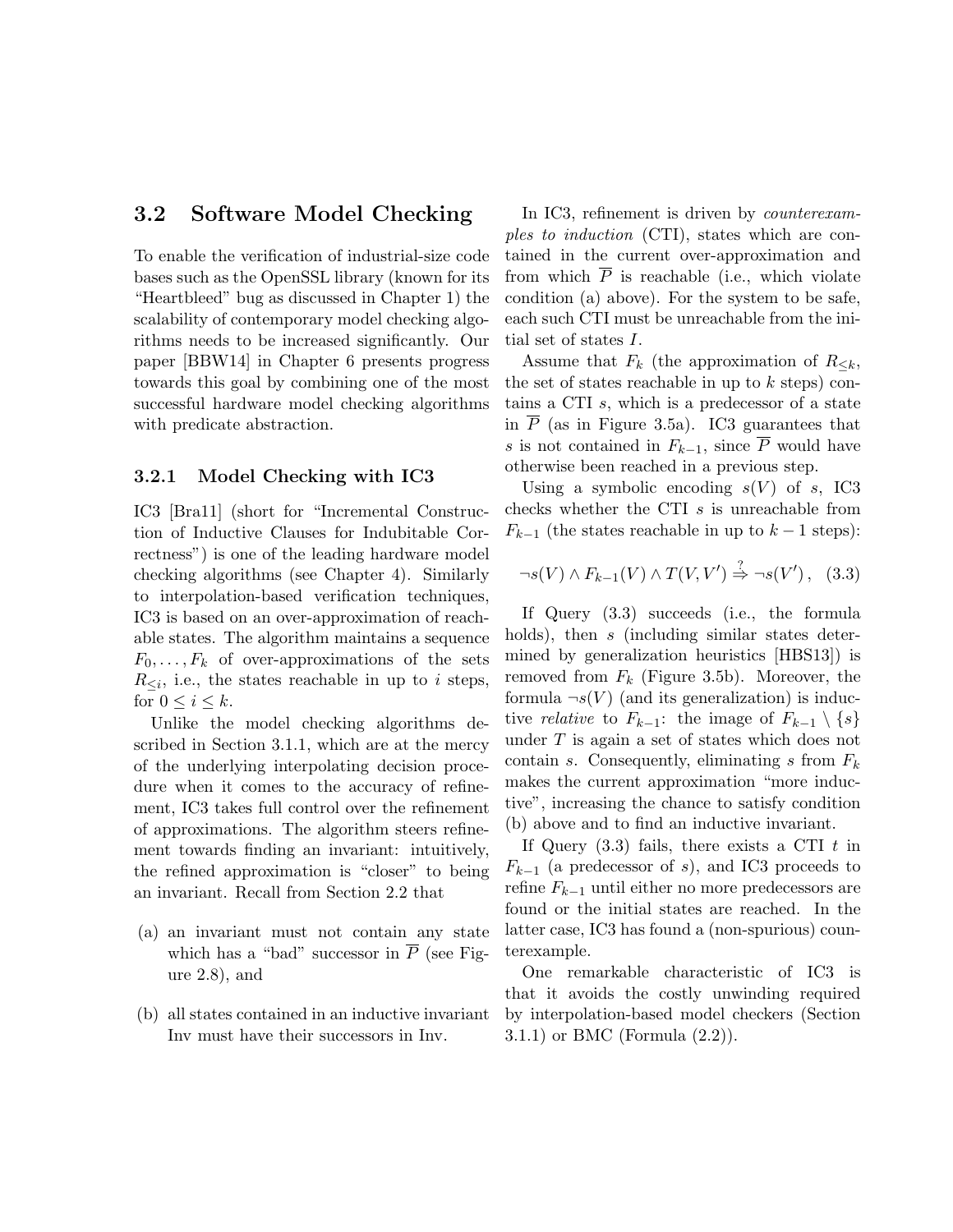#### 3.2 Software Model Checking

To enable the verification of industrial-size code bases such as the OpenSSL library (known for its "Heartbleed" bug as discussed in Chapter 1) the scalability of contemporary model checking algorithms needs to be increased significantly. Our paper [BBW14] in Chapter 6 presents progress towards this goal by combining one of the most successful hardware model checking algorithms with predicate abstraction.

#### 3.2.1 Model Checking with IC3

IC3 [Bra11] (short for "Incremental Construction of Inductive Clauses for Indubitable Correctness") is one of the leading hardware model checking algorithms (see Chapter 4). Similarly to interpolation-based verification techniques, IC3 is based on an over-approximation of reachable states. The algorithm maintains a sequence  $F_0, \ldots, F_k$  of over-approximations of the sets  $R_{\leq i}$ , i.e., the states reachable in up to *i* steps, for  $0 \leq i \leq k$ .

Unlike the model checking algorithms described in Section 3.1.1, which are at the mercy of the underlying interpolating decision procedure when it comes to the accuracy of refinement, IC3 takes full control over the refinement of approximations. The algorithm steers refinement towards finding an invariant: intuitively, the refined approximation is "closer" to being an invariant. Recall from Section 2.2 that

- (a) an invariant must not contain any state which has a "bad" successor in  $\overline{P}$  (see Figure 2.8), and
- (b) all states contained in an inductive invariant Inv must have their successors in Inv.

In IC3, refinement is driven by *counterexam*ples to induction (CTI), states which are contained in the current over-approximation and from which  $\overline{P}$  is reachable (i.e., which violate condition (a) above). For the system to be safe, each such CTI must be unreachable from the initial set of states I.

Assume that  $F_k$  (the approximation of  $R_{\leq k}$ , the set of states reachable in up to  $k$  steps) contains a CTI s, which is a predecessor of a state in  $P$  (as in Figure 3.5a). IC3 guarantees that s is not contained in  $F_{k-1}$ , since  $\overline{P}$  would have otherwise been reached in a previous step.

Using a symbolic encoding  $s(V)$  of s, IC3 checks whether the CTI s is unreachable from  $F_{k-1}$  (the states reachable in up to  $k-1$  steps):

$$
\neg s(V) \land F_{k-1}(V) \land T(V, V') \stackrel{?}{\Rightarrow} \neg s(V'), \quad (3.3)
$$

If Query (3.3) succeeds (i.e., the formula holds), then s (including similar states determined by generalization heuristics [HBS13]) is removed from  $F_k$  (Figure 3.5b). Moreover, the formula  $\neg s(V)$  (and its generalization) is inductive *relative* to  $F_{k-1}$ : the image of  $F_{k-1} \setminus \{s\}$ under  $T$  is again a set of states which does not contain s. Consequently, eliminating s from  $F_k$ makes the current approximation "more inductive", increasing the chance to satisfy condition (b) above and to find an inductive invariant.

If Query  $(3.3)$  fails, there exists a CTI t in  $F_{k-1}$  (a predecessor of s), and IC3 proceeds to refine  $F_{k-1}$  until either no more predecessors are found or the initial states are reached. In the latter case, IC3 has found a (non-spurious) counterexample.

One remarkable characteristic of IC3 is that it avoids the costly unwinding required by interpolation-based model checkers (Section 3.1.1) or BMC (Formula (2.2)).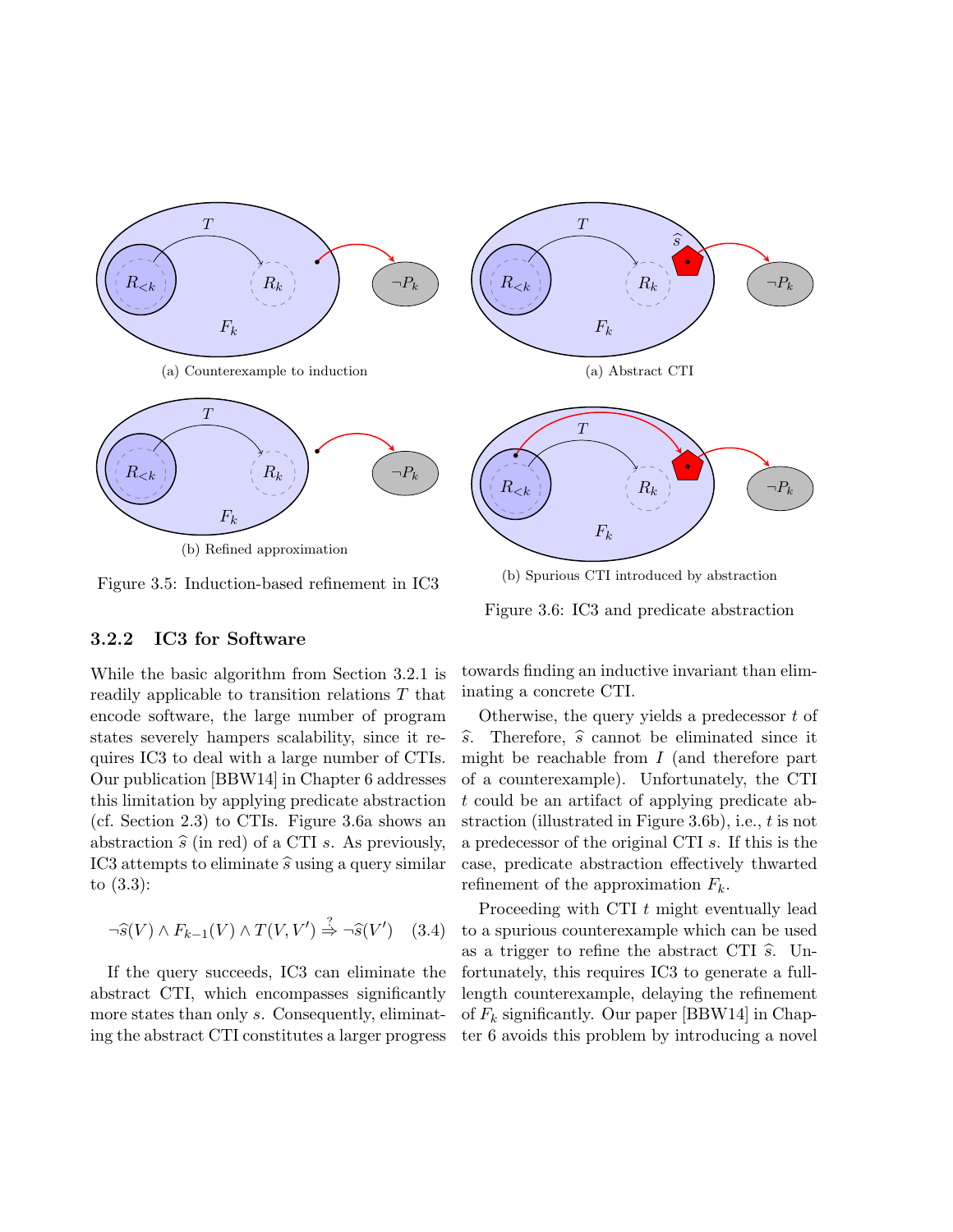

Figure 3.5: Induction-based refinement in IC3

(b) Spurious CTI introduced by abstraction

Figure 3.6: IC3 and predicate abstraction

#### 3.2.2 IC3 for Software

While the basic algorithm from Section 3.2.1 is readily applicable to transition relations T that encode software, the large number of program states severely hampers scalability, since it requires IC3 to deal with a large number of CTIs. Our publication [BBW14] in Chapter 6 addresses this limitation by applying predicate abstraction (cf. Section 2.3) to CTIs. Figure 3.6a shows an abstraction  $\hat{s}$  (in red) of a CTI s. As previously, IC3 attempts to eliminate  $\hat{s}$  using a query similar to (3.3):

$$
\neg \widehat{s}(V) \land F_{k-1}(V) \land T(V, V') \stackrel{?}{\Rightarrow} \neg \widehat{s}(V') \quad (3.4)
$$

If the query succeeds, IC3 can eliminate the abstract CTI, which encompasses significantly more states than only s. Consequently, eliminating the abstract CTI constitutes a larger progress

towards finding an inductive invariant than eliminating a concrete CTI.

Otherwise, the query yields a predecessor  $t$  of  $\widehat{s}$ . Therefore,  $\widehat{s}$  cannot be eliminated since it might be reachable from  $I$  (and therefore part of a counterexample). Unfortunately, the CTI t could be an artifact of applying predicate abstraction (illustrated in Figure 3.6b), i.e., t is not a predecessor of the original CTI s. If this is the case, predicate abstraction effectively thwarted refinement of the approximation  $F_k$ .

Proceeding with CTI t might eventually lead to a spurious counterexample which can be used as a trigger to refine the abstract CTI  $\hat{s}$ . Unfortunately, this requires IC3 to generate a fulllength counterexample, delaying the refinement of  $F_k$  significantly. Our paper [BBW14] in Chapter 6 avoids this problem by introducing a novel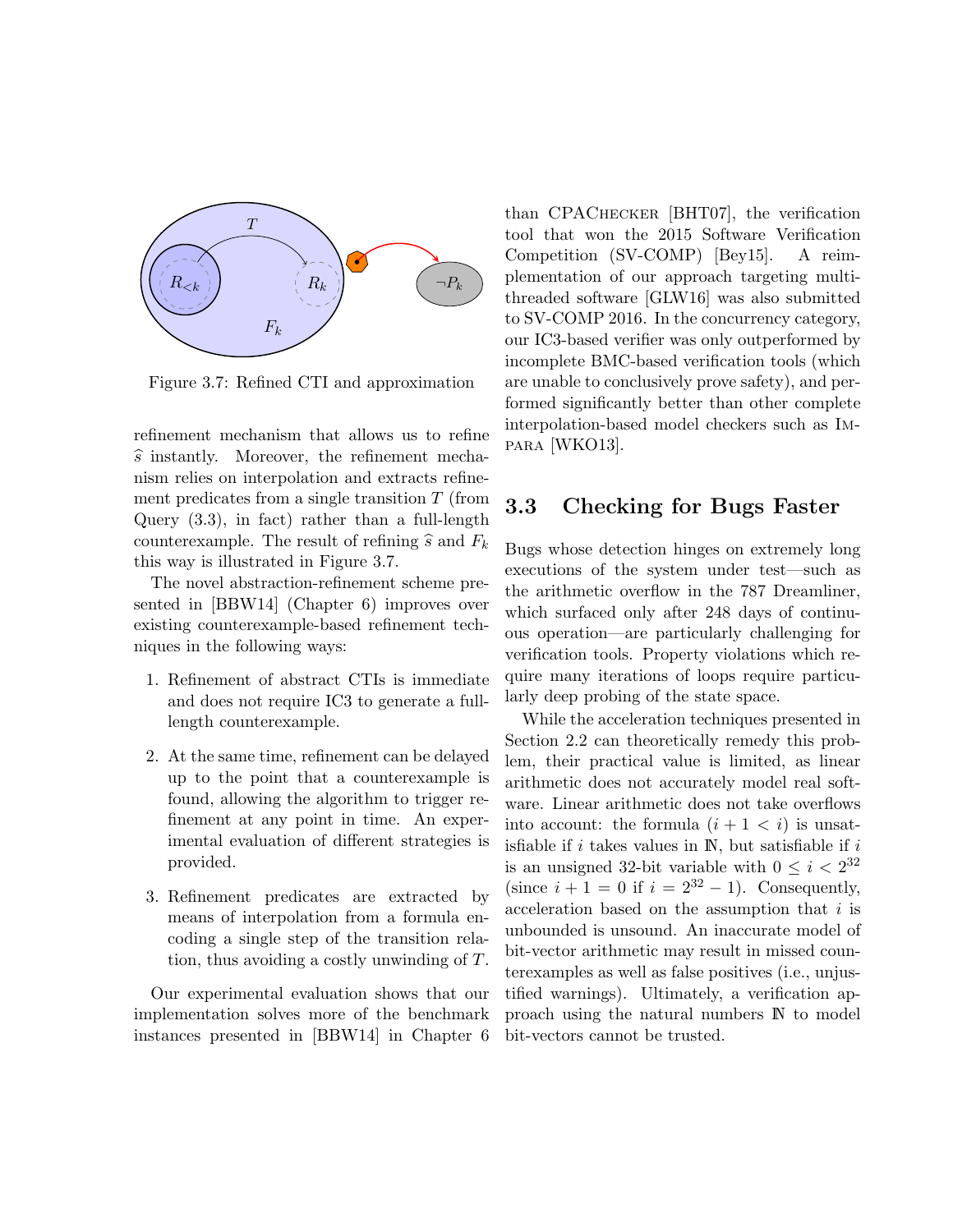

Figure 3.7: Refined CTI and approximation

refinement mechanism that allows us to refine  $\widehat{s}$  instantly. Moreover, the refinement mechanism relies on interpolation and extracts refinement predicates from a single transition  $T$  (from Query (3.3), in fact) rather than a full-length counterexample. The result of refining  $\hat{s}$  and  $F_k$ this way is illustrated in Figure 3.7.

The novel abstraction-refinement scheme presented in [BBW14] (Chapter 6) improves over existing counterexample-based refinement techniques in the following ways:

- 1. Refinement of abstract CTIs is immediate and does not require IC3 to generate a fulllength counterexample.
- 2. At the same time, refinement can be delayed up to the point that a counterexample is found, allowing the algorithm to trigger refinement at any point in time. An experimental evaluation of different strategies is provided.
- 3. Refinement predicates are extracted by means of interpolation from a formula encoding a single step of the transition relation, thus avoiding a costly unwinding of T.

Our experimental evaluation shows that our implementation solves more of the benchmark instances presented in [BBW14] in Chapter 6 than CPAChecker [BHT07], the verification tool that won the 2015 Software Verification Competition (SV-COMP) [Bey15]. A reimplementation of our approach targeting multithreaded software [GLW16] was also submitted to SV-COMP 2016. In the concurrency category, our IC3-based verifier was only outperformed by incomplete BMC-based verification tools (which are unable to conclusively prove safety), and performed significantly better than other complete interpolation-based model checkers such as Impara [WKO13].

#### 3.3 Checking for Bugs Faster

Bugs whose detection hinges on extremely long executions of the system under test—such as the arithmetic overflow in the 787 Dreamliner, which surfaced only after 248 days of continuous operation—are particularly challenging for verification tools. Property violations which require many iterations of loops require particularly deep probing of the state space.

While the acceleration techniques presented in Section 2.2 can theoretically remedy this problem, their practical value is limited, as linear arithmetic does not accurately model real software. Linear arithmetic does not take overflows into account: the formula  $(i + 1 < i)$  is unsatisfiable if  $i$  takes values in  $\mathbb{N}$ , but satisfiable if  $i$ is an unsigned 32-bit variable with  $0 \leq i < 2^{32}$ (since  $i + 1 = 0$  if  $i = 2^{32} - 1$ ). Consequently, acceleration based on the assumption that i is unbounded is unsound. An inaccurate model of bit-vector arithmetic may result in missed counterexamples as well as false positives (i.e., unjustified warnings). Ultimately, a verification approach using the natural numbers N to model bit-vectors cannot be trusted.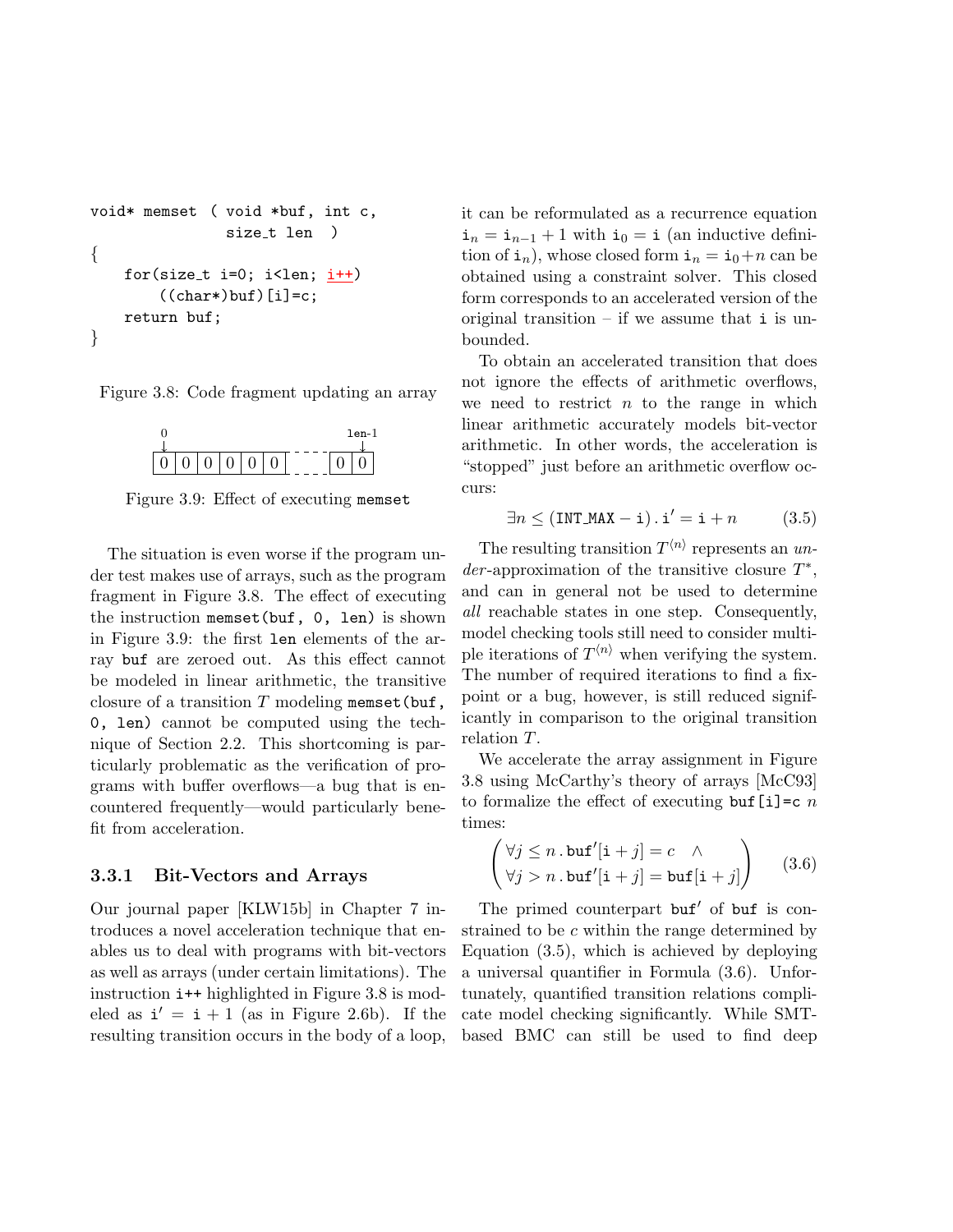```
void* memset ( void *buf, int c,
               size_t len )
{
   for(size_t i=0; i<len; i++)
        ((char*)buf)[i]=c;return buf;
}
```
Figure 3.8: Code fragment updating an array



Figure 3.9: Effect of executing memset

The situation is even worse if the program under test makes use of arrays, such as the program fragment in Figure 3.8. The effect of executing the instruction memset(buf, 0, len) is shown in Figure 3.9: the first len elements of the array buf are zeroed out. As this effect cannot be modeled in linear arithmetic, the transitive closure of a transition  $T$  modeling memset (buf, 0, len) cannot be computed using the technique of Section 2.2. This shortcoming is particularly problematic as the verification of programs with buffer overflows—a bug that is encountered frequently—would particularly benefit from acceleration.

#### 3.3.1 Bit-Vectors and Arrays

Our journal paper [KLW15b] in Chapter 7 introduces a novel acceleration technique that enables us to deal with programs with bit-vectors as well as arrays (under certain limitations). The instruction i++ highlighted in Figure 3.8 is modeled as  $i' = i + 1$  (as in Figure 2.6b). If the resulting transition occurs in the body of a loop, it can be reformulated as a recurrence equation  $i_n = i_{n-1} + 1$  with  $i_0 = i$  (an inductive definition of  $\mathbf{i}_n$ , whose closed form  $\mathbf{i}_n = \mathbf{i}_0+n$  can be obtained using a constraint solver. This closed form corresponds to an accelerated version of the original transition  $-$  if we assume that i is unbounded.

To obtain an accelerated transition that does not ignore the effects of arithmetic overflows, we need to restrict  $n$  to the range in which linear arithmetic accurately models bit-vector arithmetic. In other words, the acceleration is "stopped" just before an arithmetic overflow occurs:

$$
\exists n \le (\text{INT\_MAX} - \mathbf{i}) \cdot \mathbf{i}' = \mathbf{i} + n \tag{3.5}
$$

The resulting transition  $T^{\langle n \rangle}$  represents an un $der$ -approximation of the transitive closure  $T^*$ , and can in general not be used to determine all reachable states in one step. Consequently, model checking tools still need to consider multiple iterations of  $T^{\langle n \rangle}$  when verifying the system. The number of required iterations to find a fixpoint or a bug, however, is still reduced significantly in comparison to the original transition relation T.

We accelerate the array assignment in Figure 3.8 using McCarthy's theory of arrays [McC93] to formalize the effect of executing buf  $[i]=c$  n times:

$$
\begin{pmatrix} \forall j \leq n \cdot \text{buf}'[i+j] = c & \wedge \\ \forall j > n \cdot \text{buf}'[i+j] = \text{buf}[i+j] \end{pmatrix} \qquad (3.6)
$$

The primed counterpart buf' of buf is constrained to be c within the range determined by Equation (3.5), which is achieved by deploying a universal quantifier in Formula (3.6). Unfortunately, quantified transition relations complicate model checking significantly. While SMTbased BMC can still be used to find deep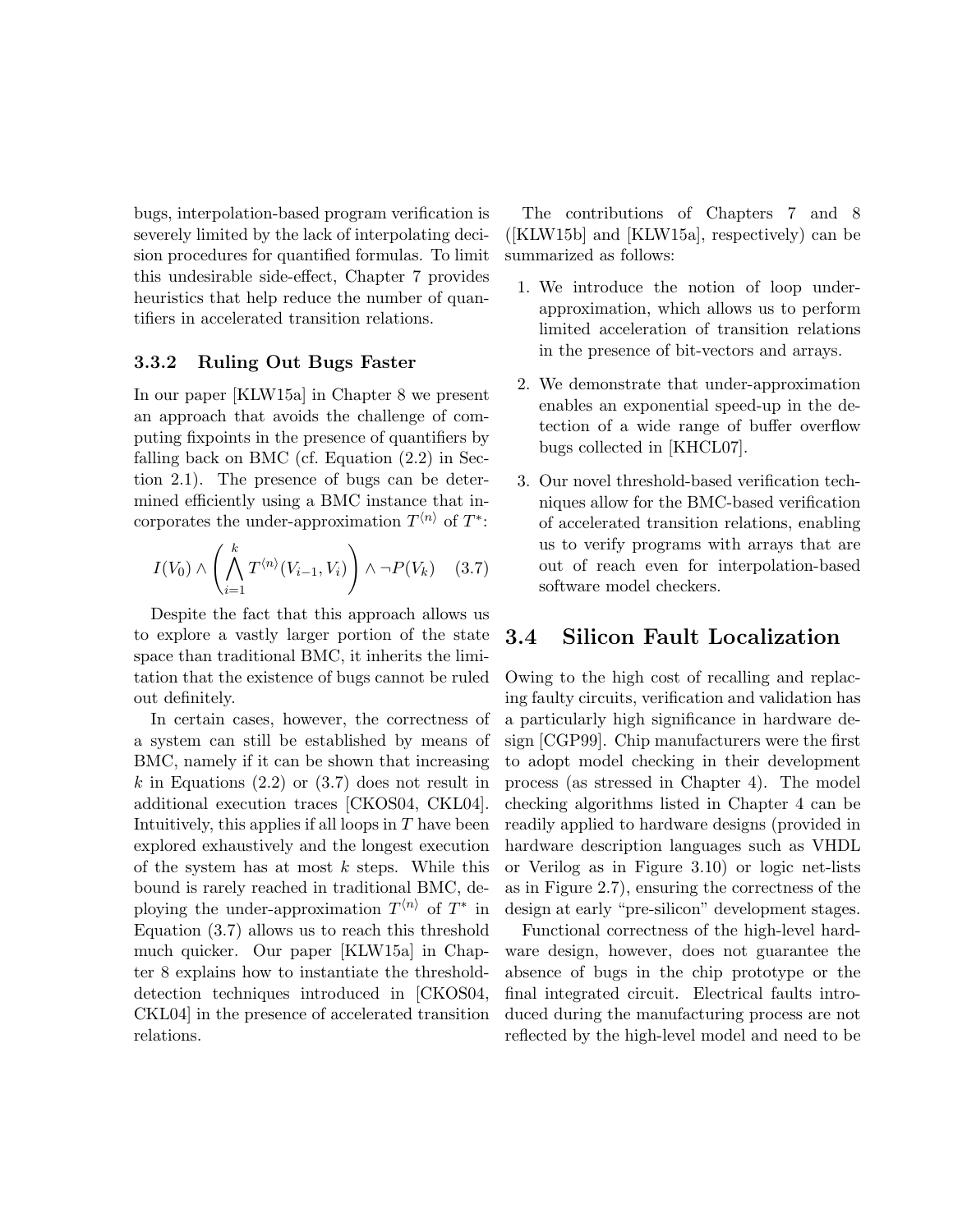bugs, interpolation-based program verification is severely limited by the lack of interpolating decision procedures for quantified formulas. To limit this undesirable side-effect, Chapter 7 provides heuristics that help reduce the number of quantifiers in accelerated transition relations.

#### 3.3.2 Ruling Out Bugs Faster

In our paper [KLW15a] in Chapter 8 we present an approach that avoids the challenge of computing fixpoints in the presence of quantifiers by falling back on BMC (cf. Equation (2.2) in Section 2.1). The presence of bugs can be determined efficiently using a BMC instance that incorporates the under-approximation  $T^{\langle n \rangle}$  of  $T^*$ :

$$
I(V_0) \wedge \left(\bigwedge_{i=1}^k T^{\langle n\rangle}(V_{i-1}, V_i)\right) \wedge \neg P(V_k) \quad (3.7)
$$

Despite the fact that this approach allows us to explore a vastly larger portion of the state space than traditional BMC, it inherits the limitation that the existence of bugs cannot be ruled out definitely.

In certain cases, however, the correctness of a system can still be established by means of BMC, namely if it can be shown that increasing  $k$  in Equations (2.2) or (3.7) does not result in additional execution traces [CKOS04, CKL04]. Intuitively, this applies if all loops in  $T$  have been explored exhaustively and the longest execution of the system has at most  $k$  steps. While this bound is rarely reached in traditional BMC, deploying the under-approximation  $T^{\langle n \rangle}$  of  $T^*$  in Equation (3.7) allows us to reach this threshold much quicker. Our paper [KLW15a] in Chapter 8 explains how to instantiate the thresholddetection techniques introduced in [CKOS04, CKL04] in the presence of accelerated transition relations.

The contributions of Chapters 7 and 8 ([KLW15b] and [KLW15a], respectively) can be summarized as follows:

- 1. We introduce the notion of loop underapproximation, which allows us to perform limited acceleration of transition relations in the presence of bit-vectors and arrays.
- 2. We demonstrate that under-approximation enables an exponential speed-up in the detection of a wide range of buffer overflow bugs collected in [KHCL07].
- 3. Our novel threshold-based verification techniques allow for the BMC-based verification of accelerated transition relations, enabling us to verify programs with arrays that are out of reach even for interpolation-based software model checkers.

#### 3.4 Silicon Fault Localization

Owing to the high cost of recalling and replacing faulty circuits, verification and validation has a particularly high significance in hardware design [CGP99]. Chip manufacturers were the first to adopt model checking in their development process (as stressed in Chapter 4). The model checking algorithms listed in Chapter 4 can be readily applied to hardware designs (provided in hardware description languages such as VHDL or Verilog as in Figure 3.10) or logic net-lists as in Figure 2.7), ensuring the correctness of the design at early "pre-silicon" development stages.

Functional correctness of the high-level hardware design, however, does not guarantee the absence of bugs in the chip prototype or the final integrated circuit. Electrical faults introduced during the manufacturing process are not reflected by the high-level model and need to be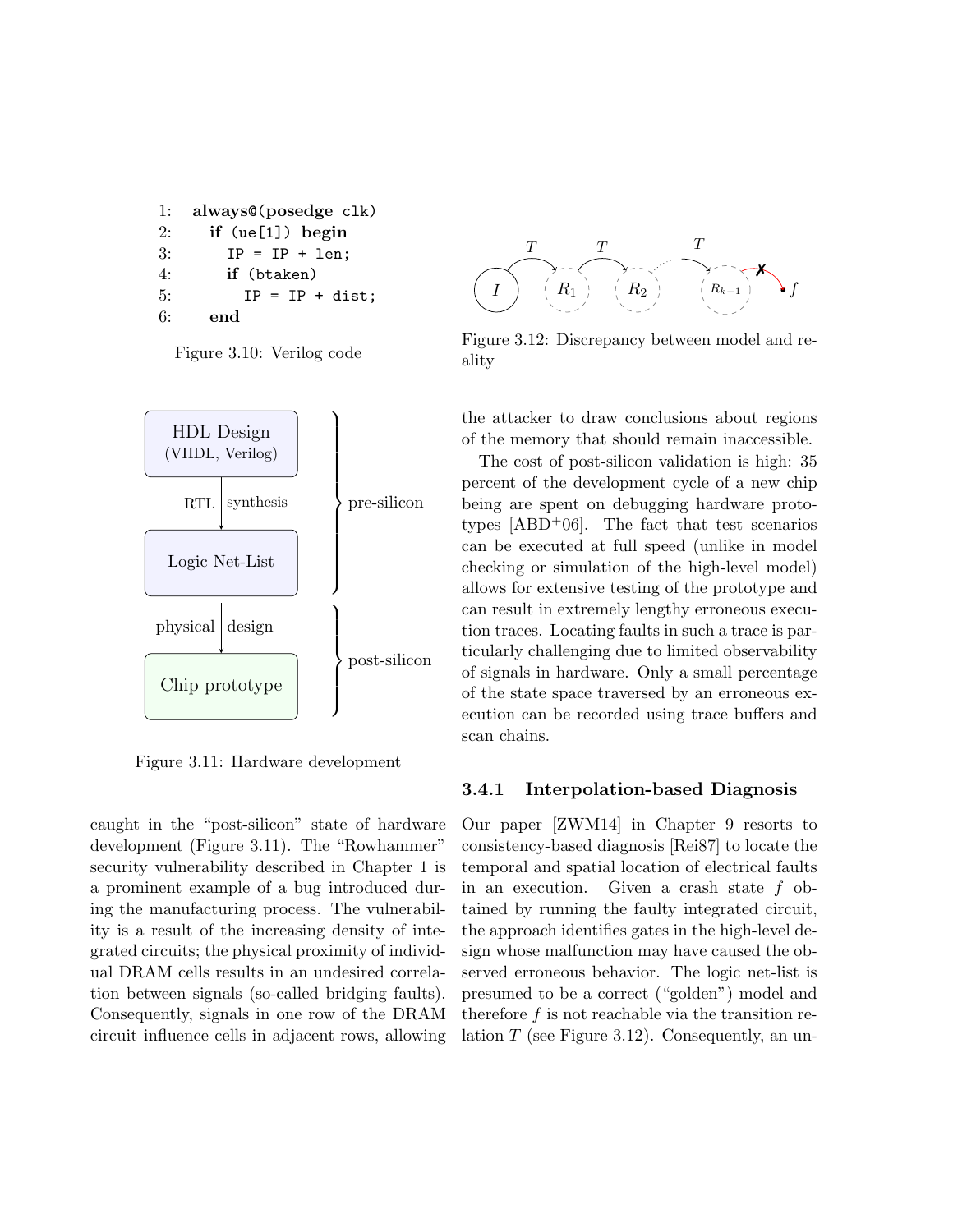```
1: always@(posedge clk)
2: if (ue[1]) begin
3: IP = IP + len;
4: if (btaken)
5: IP = IP + dist;
6: end
```
Figure 3.10: Verilog code



Figure 3.11: Hardware development

caught in the "post-silicon" state of hardware development (Figure 3.11). The "Rowhammer" security vulnerability described in Chapter 1 is a prominent example of a bug introduced during the manufacturing process. The vulnerability is a result of the increasing density of integrated circuits; the physical proximity of individual DRAM cells results in an undesired correlation between signals (so-called bridging faults). Consequently, signals in one row of the DRAM circuit influence cells in adjacent rows, allowing



Figure 3.12: Discrepancy between model and reality

the attacker to draw conclusions about regions of the memory that should remain inaccessible.

The cost of post-silicon validation is high: 35 percent of the development cycle of a new chip being are spent on debugging hardware prototypes  $[ABD+06]$ . The fact that test scenarios can be executed at full speed (unlike in model checking or simulation of the high-level model) allows for extensive testing of the prototype and can result in extremely lengthy erroneous execution traces. Locating faults in such a trace is particularly challenging due to limited observability of signals in hardware. Only a small percentage of the state space traversed by an erroneous execution can be recorded using trace buffers and scan chains.

#### 3.4.1 Interpolation-based Diagnosis

Our paper [ZWM14] in Chapter 9 resorts to consistency-based diagnosis [Rei87] to locate the temporal and spatial location of electrical faults in an execution. Given a crash state  $f$  obtained by running the faulty integrated circuit, the approach identifies gates in the high-level design whose malfunction may have caused the observed erroneous behavior. The logic net-list is presumed to be a correct ("golden") model and therefore f is not reachable via the transition relation  $T$  (see Figure 3.12). Consequently, an un-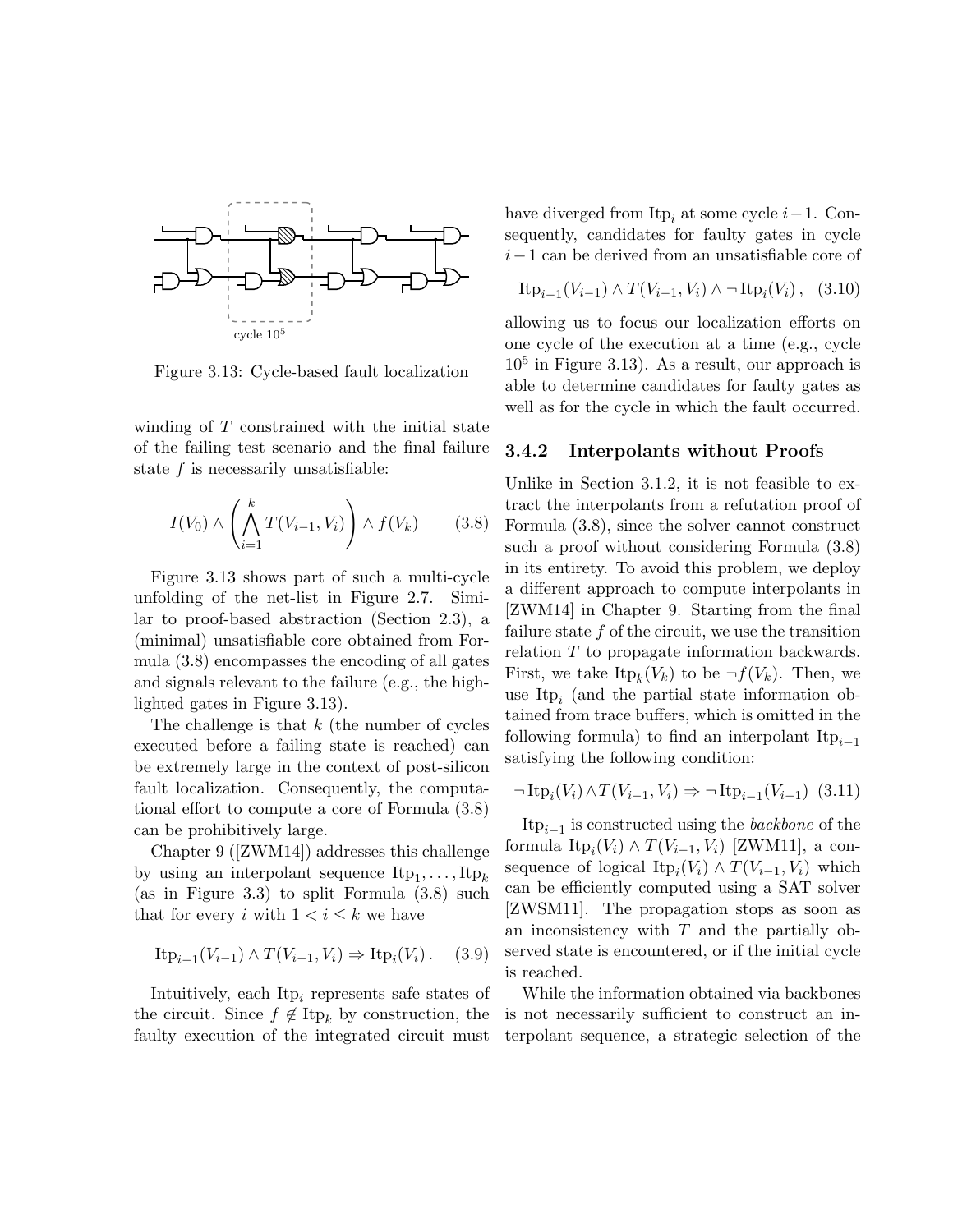

Figure 3.13: Cycle-based fault localization

winding of  $T$  constrained with the initial state of the failing test scenario and the final failure state  $f$  is necessarily unsatisfiable:

$$
I(V_0) \wedge \left(\bigwedge_{i=1}^k T(V_{i-1}, V_i)\right) \wedge f(V_k) \tag{3.8}
$$

Figure 3.13 shows part of such a multi-cycle unfolding of the net-list in Figure 2.7. Similar to proof-based abstraction (Section 2.3), a (minimal) unsatisfiable core obtained from Formula (3.8) encompasses the encoding of all gates and signals relevant to the failure (e.g., the highlighted gates in Figure 3.13).

The challenge is that  $k$  (the number of cycles executed before a failing state is reached) can be extremely large in the context of post-silicon fault localization. Consequently, the computational effort to compute a core of Formula (3.8) can be prohibitively large.

Chapter 9 ([ZWM14]) addresses this challenge by using an interpolant sequence  $\text{Itp}_1, \ldots, \text{Itp}_k$ (as in Figure 3.3) to split Formula (3.8) such that for every i with  $1 < i \leq k$  we have

$$
\text{Itp}_{i-1}(V_{i-1}) \wedge T(V_{i-1}, V_i) \Rightarrow \text{Itp}_i(V_i). \quad (3.9)
$$

Intuitively, each  $Itp_i$  represents safe states of the circuit. Since  $f \notin \text{Itp}_k$  by construction, the faulty execution of the integrated circuit must have diverged from Itp<sub>i</sub> at some cycle  $i-1$ . Consequently, candidates for faulty gates in cycle i−1 can be derived from an unsatisfiable core of

$$
\text{Itp}_{i-1}(V_{i-1}) \wedge T(V_{i-1}, V_i) \wedge \neg \text{Itp}_i(V_i), \quad (3.10)
$$

allowing us to focus our localization efforts on one cycle of the execution at a time (e.g., cycle  $10<sup>5</sup>$  in Figure 3.13). As a result, our approach is able to determine candidates for faulty gates as well as for the cycle in which the fault occurred.

#### 3.4.2 Interpolants without Proofs

Unlike in Section 3.1.2, it is not feasible to extract the interpolants from a refutation proof of Formula (3.8), since the solver cannot construct such a proof without considering Formula (3.8) in its entirety. To avoid this problem, we deploy a different approach to compute interpolants in [ZWM14] in Chapter 9. Starting from the final failure state  $f$  of the circuit, we use the transition relation T to propagate information backwards. First, we take  $\text{Itp}_k(V_k)$  to be  $\neg f(V_k)$ . Then, we use It $p_i$  (and the partial state information obtained from trace buffers, which is omitted in the following formula) to find an interpolant  $\text{It}_{i-1}$ satisfying the following condition:

$$
\neg \operatorname{Itp}_i(V_i) \land T(V_{i-1}, V_i) \Rightarrow \neg \operatorname{Itp}_{i-1}(V_{i-1}) \tag{3.11}
$$

 $\text{Itp}_{i-1}$  is constructed using the *backbone* of the formula  $\text{Itp}_i(V_i) \wedge T(V_{i-1}, V_i)$  [ZWM11], a consequence of logical  $\text{Itp}_i(V_i) \wedge T(V_{i-1}, V_i)$  which can be efficiently computed using a SAT solver [ZWSM11]. The propagation stops as soon as an inconsistency with  $T$  and the partially observed state is encountered, or if the initial cycle is reached.

While the information obtained via backbones is not necessarily sufficient to construct an interpolant sequence, a strategic selection of the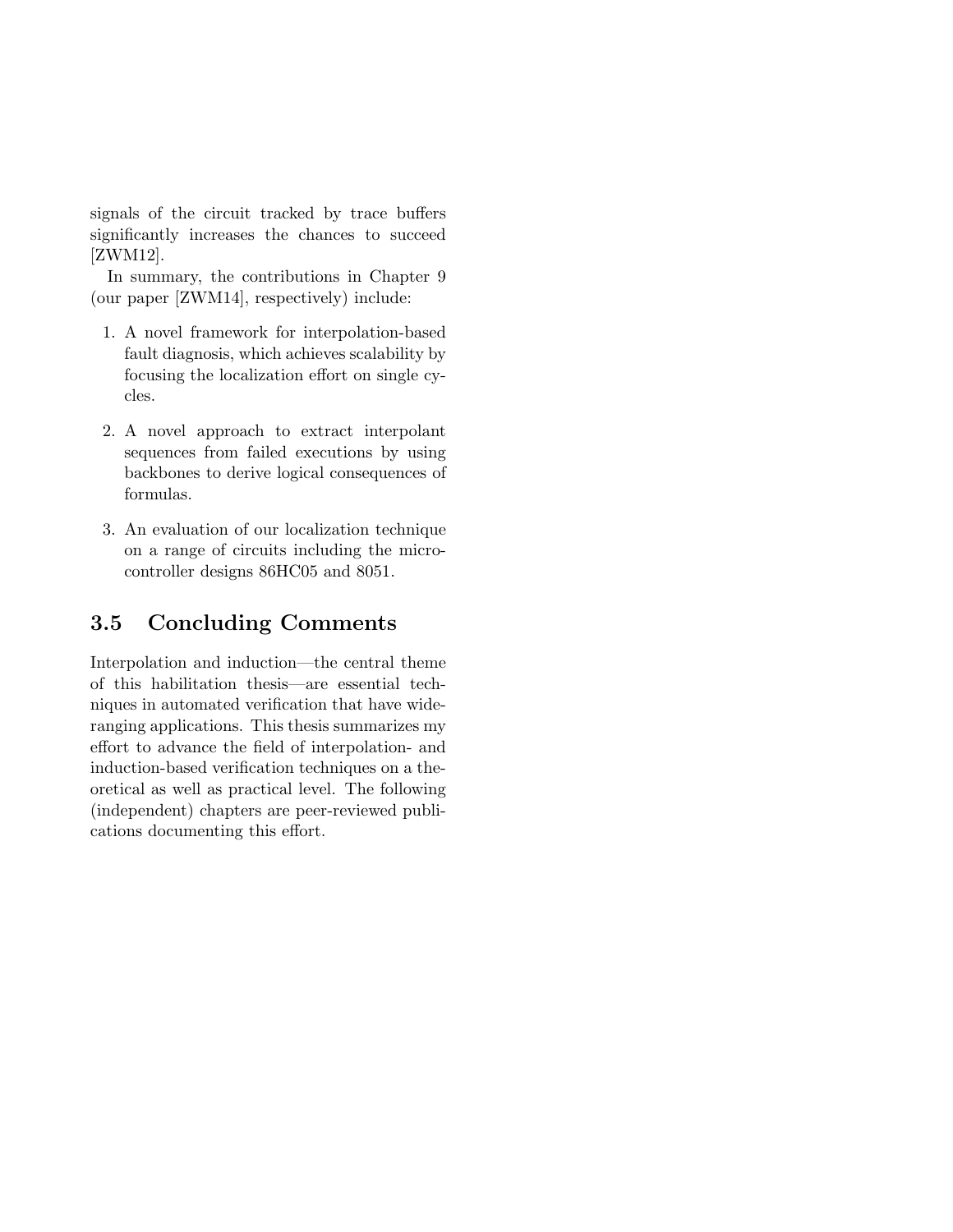signals of the circuit tracked by trace buffers significantly increases the chances to succeed [ZWM12].

In summary, the contributions in Chapter 9 (our paper [ZWM14], respectively) include:

- 1. A novel framework for interpolation-based fault diagnosis, which achieves scalability by focusing the localization effort on single cycles.
- 2. A novel approach to extract interpolant sequences from failed executions by using backbones to derive logical consequences of formulas.
- 3. An evaluation of our localization technique on a range of circuits including the microcontroller designs 86HC05 and 8051.

## 3.5 Concluding Comments

Interpolation and induction—the central theme of this habilitation thesis—are essential techniques in automated verification that have wideranging applications. This thesis summarizes my effort to advance the field of interpolation- and induction-based verification techniques on a theoretical as well as practical level. The following (independent) chapters are peer-reviewed publications documenting this effort.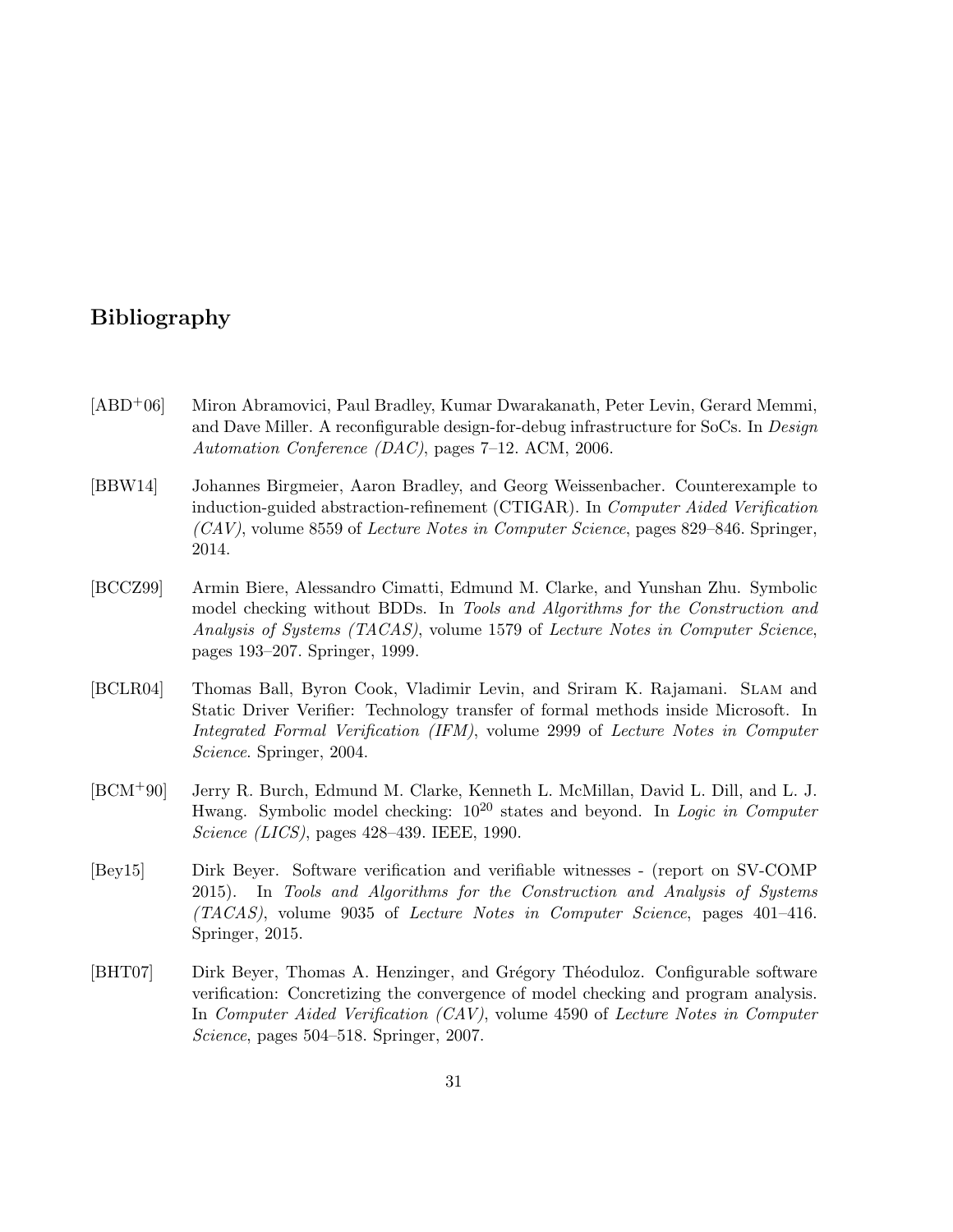### Bibliography

- [ABD+06] Miron Abramovici, Paul Bradley, Kumar Dwarakanath, Peter Levin, Gerard Memmi, and Dave Miller. A reconfigurable design-for-debug infrastructure for SoCs. In Design Automation Conference (DAC), pages 7–12. ACM, 2006.
- [BBW14] Johannes Birgmeier, Aaron Bradley, and Georg Weissenbacher. Counterexample to induction-guided abstraction-refinement (CTIGAR). In Computer Aided Verification (CAV), volume 8559 of Lecture Notes in Computer Science, pages 829–846. Springer, 2014.
- [BCCZ99] Armin Biere, Alessandro Cimatti, Edmund M. Clarke, and Yunshan Zhu. Symbolic model checking without BDDs. In Tools and Algorithms for the Construction and Analysis of Systems (TACAS), volume 1579 of Lecture Notes in Computer Science, pages 193–207. Springer, 1999.
- [BCLR04] Thomas Ball, Byron Cook, Vladimir Levin, and Sriram K. Rajamani. Slam and Static Driver Verifier: Technology transfer of formal methods inside Microsoft. In Integrated Formal Verification (IFM), volume 2999 of Lecture Notes in Computer Science. Springer, 2004.
- [BCM+90] Jerry R. Burch, Edmund M. Clarke, Kenneth L. McMillan, David L. Dill, and L. J. Hwang. Symbolic model checking:  $10^{20}$  states and beyond. In *Logic in Computer* Science (LICS), pages 428–439. IEEE, 1990.
- [Bey15] Dirk Beyer. Software verification and verifiable witnesses (report on SV-COMP 2015). In Tools and Algorithms for the Construction and Analysis of Systems (TACAS), volume 9035 of Lecture Notes in Computer Science, pages 401–416. Springer, 2015.
- [BHT07] Dirk Beyer, Thomas A. Henzinger, and Grégory Théoduloz. Configurable software verification: Concretizing the convergence of model checking and program analysis. In Computer Aided Verification (CAV), volume 4590 of Lecture Notes in Computer Science, pages 504–518. Springer, 2007.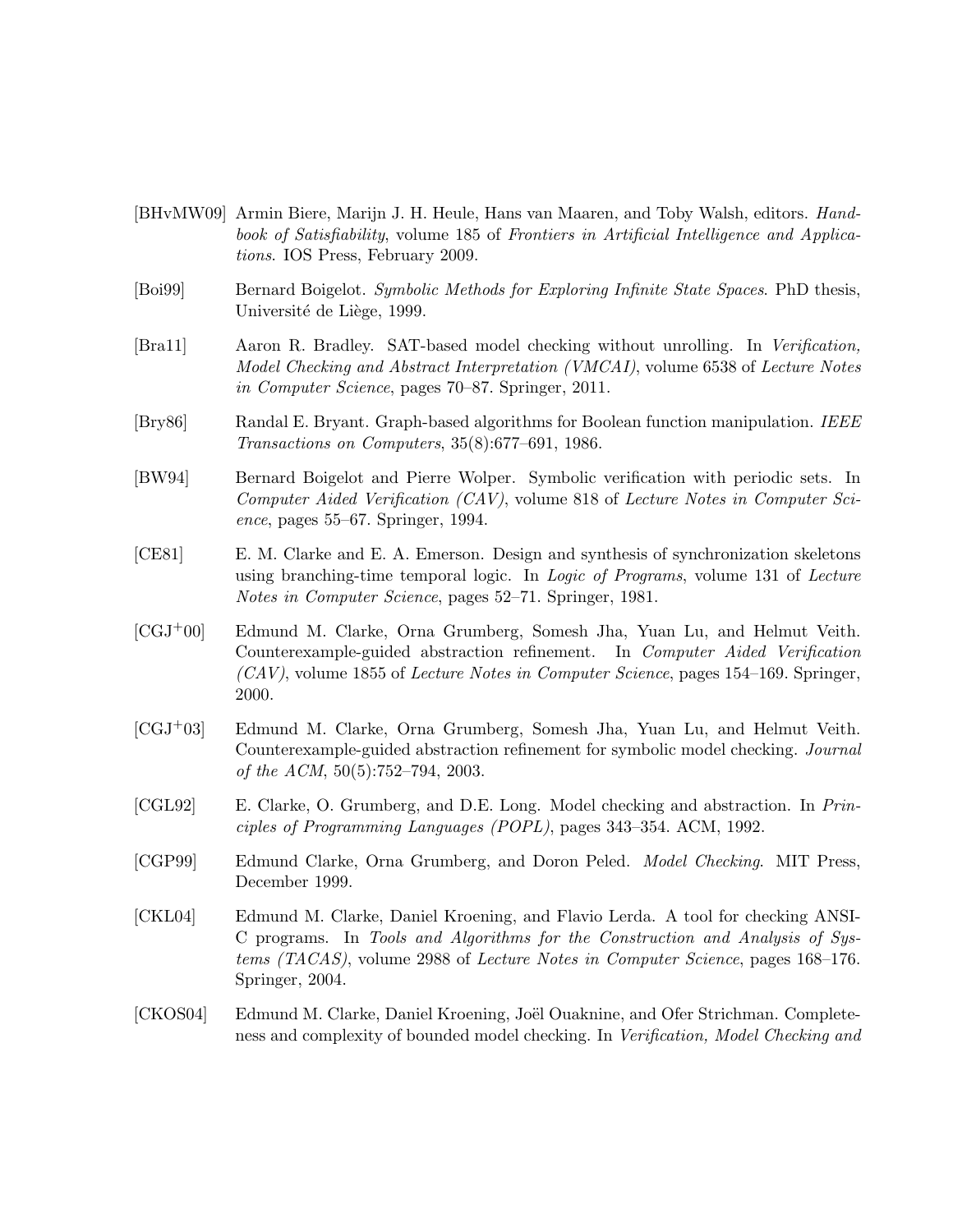- [BHvMW09] Armin Biere, Marijn J. H. Heule, Hans van Maaren, and Toby Walsh, editors. Handbook of Satisfiability, volume 185 of Frontiers in Artificial Intelligence and Applications. IOS Press, February 2009.
- [Boi99] Bernard Boigelot. Symbolic Methods for Exploring Infinite State Spaces. PhD thesis, Université de Liège, 1999.
- [Bra11] Aaron R. Bradley. SAT-based model checking without unrolling. In Verification, Model Checking and Abstract Interpretation (VMCAI), volume 6538 of Lecture Notes in Computer Science, pages 70–87. Springer, 2011.
- [Bry86] Randal E. Bryant. Graph-based algorithms for Boolean function manipulation. IEEE Transactions on Computers, 35(8):677–691, 1986.
- [BW94] Bernard Boigelot and Pierre Wolper. Symbolic verification with periodic sets. In Computer Aided Verification (CAV), volume 818 of Lecture Notes in Computer Science, pages 55–67. Springer, 1994.
- [CE81] E. M. Clarke and E. A. Emerson. Design and synthesis of synchronization skeletons using branching-time temporal logic. In Logic of Programs, volume 131 of Lecture Notes in Computer Science, pages 52–71. Springer, 1981.
- [CGJ+00] Edmund M. Clarke, Orna Grumberg, Somesh Jha, Yuan Lu, and Helmut Veith. Counterexample-guided abstraction refinement. In Computer Aided Verification  $(CAV)$ , volume 1855 of Lecture Notes in Computer Science, pages 154–169. Springer, 2000.
- [CGJ+03] Edmund M. Clarke, Orna Grumberg, Somesh Jha, Yuan Lu, and Helmut Veith. Counterexample-guided abstraction refinement for symbolic model checking. Journal of the ACM, 50(5):752–794, 2003.
- [CGL92] E. Clarke, O. Grumberg, and D.E. Long. Model checking and abstraction. In Principles of Programming Languages (POPL), pages 343–354. ACM, 1992.
- [CGP99] Edmund Clarke, Orna Grumberg, and Doron Peled. Model Checking. MIT Press, December 1999.
- [CKL04] Edmund M. Clarke, Daniel Kroening, and Flavio Lerda. A tool for checking ANSI-C programs. In Tools and Algorithms for the Construction and Analysis of Systems (TACAS), volume 2988 of Lecture Notes in Computer Science, pages 168–176. Springer, 2004.
- [CKOS04] Edmund M. Clarke, Daniel Kroening, Joël Ouaknine, and Ofer Strichman. Completeness and complexity of bounded model checking. In Verification, Model Checking and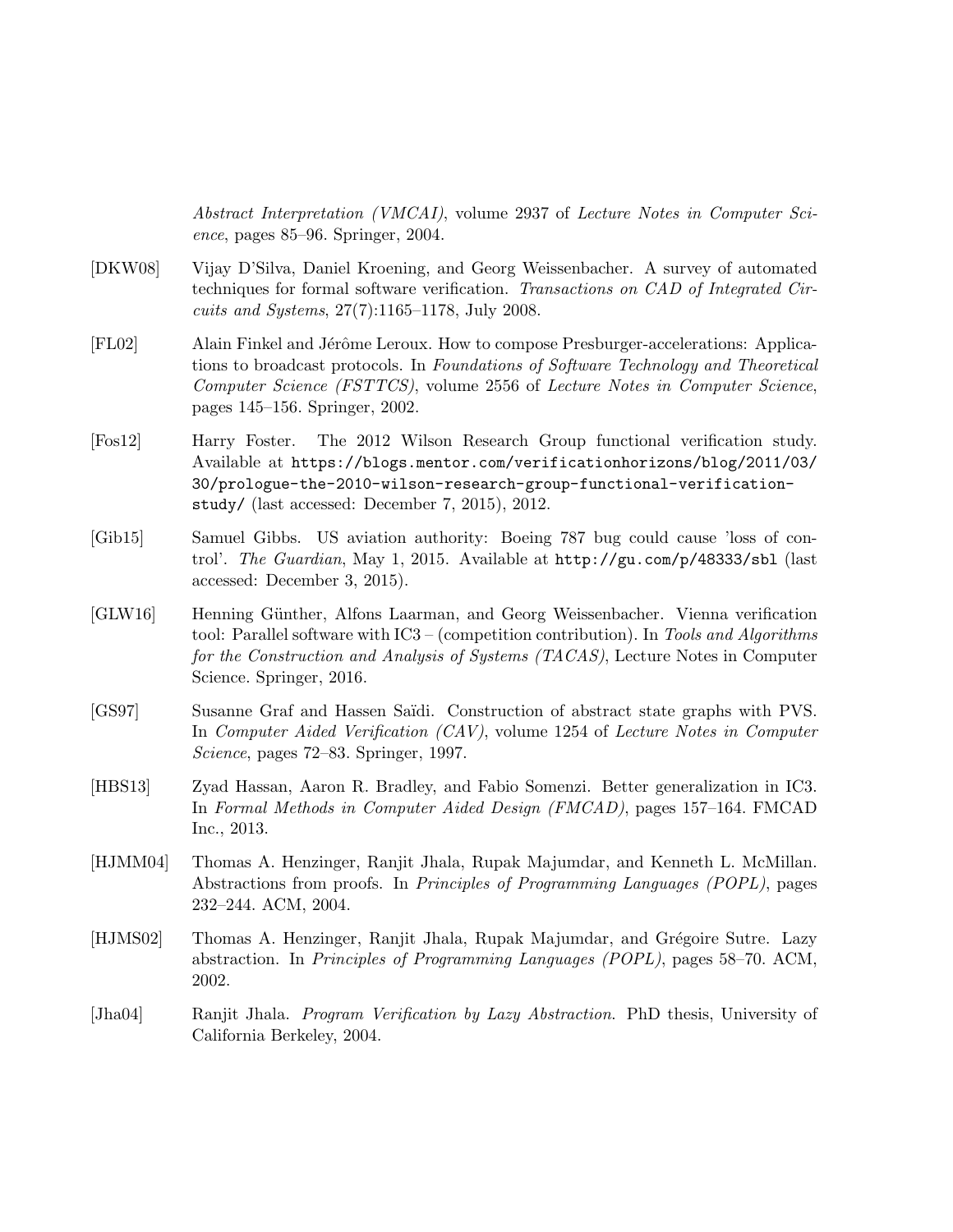Abstract Interpretation (VMCAI), volume 2937 of Lecture Notes in Computer Science, pages 85–96. Springer, 2004.

- [DKW08] Vijay D'Silva, Daniel Kroening, and Georg Weissenbacher. A survey of automated techniques for formal software verification. Transactions on CAD of Integrated Circuits and Systems, 27(7):1165–1178, July 2008.
- [FL02] Alain Finkel and Jérôme Leroux. How to compose Presburger-accelerations: Applications to broadcast protocols. In Foundations of Software Technology and Theoretical Computer Science (FSTTCS), volume 2556 of Lecture Notes in Computer Science, pages 145–156. Springer, 2002.
- [Fos12] Harry Foster. The 2012 Wilson Research Group functional verification study. Available at https://blogs.mentor.com/verificationhorizons/blog/2011/03/ 30/prologue-the-2010-wilson-research-group-functional-verificationstudy/ (last accessed: December 7, 2015), 2012.
- [Gib15] Samuel Gibbs. US aviation authority: Boeing 787 bug could cause 'loss of control'. The Guardian, May 1, 2015. Available at http://gu.com/p/48333/sbl (last accessed: December 3, 2015).
- [GLW16] Henning G¨unther, Alfons Laarman, and Georg Weissenbacher. Vienna verification tool: Parallel software with IC3 – (competition contribution). In Tools and Algorithms for the Construction and Analysis of Systems (TACAS), Lecture Notes in Computer Science. Springer, 2016.
- [GS97] Susanne Graf and Hassen Saïdi. Construction of abstract state graphs with PVS. In Computer Aided Verification (CAV), volume 1254 of Lecture Notes in Computer Science, pages 72–83. Springer, 1997.
- [HBS13] Zyad Hassan, Aaron R. Bradley, and Fabio Somenzi. Better generalization in IC3. In Formal Methods in Computer Aided Design (FMCAD), pages 157–164. FMCAD Inc., 2013.
- [HJMM04] Thomas A. Henzinger, Ranjit Jhala, Rupak Majumdar, and Kenneth L. McMillan. Abstractions from proofs. In Principles of Programming Languages (POPL), pages 232–244. ACM, 2004.
- [HJMS02] Thomas A. Henzinger, Ranjit Jhala, Rupak Majumdar, and Grégoire Sutre. Lazy abstraction. In Principles of Programming Languages (POPL), pages 58–70. ACM, 2002.
- [Jha04] Ranjit Jhala. Program Verification by Lazy Abstraction. PhD thesis, University of California Berkeley, 2004.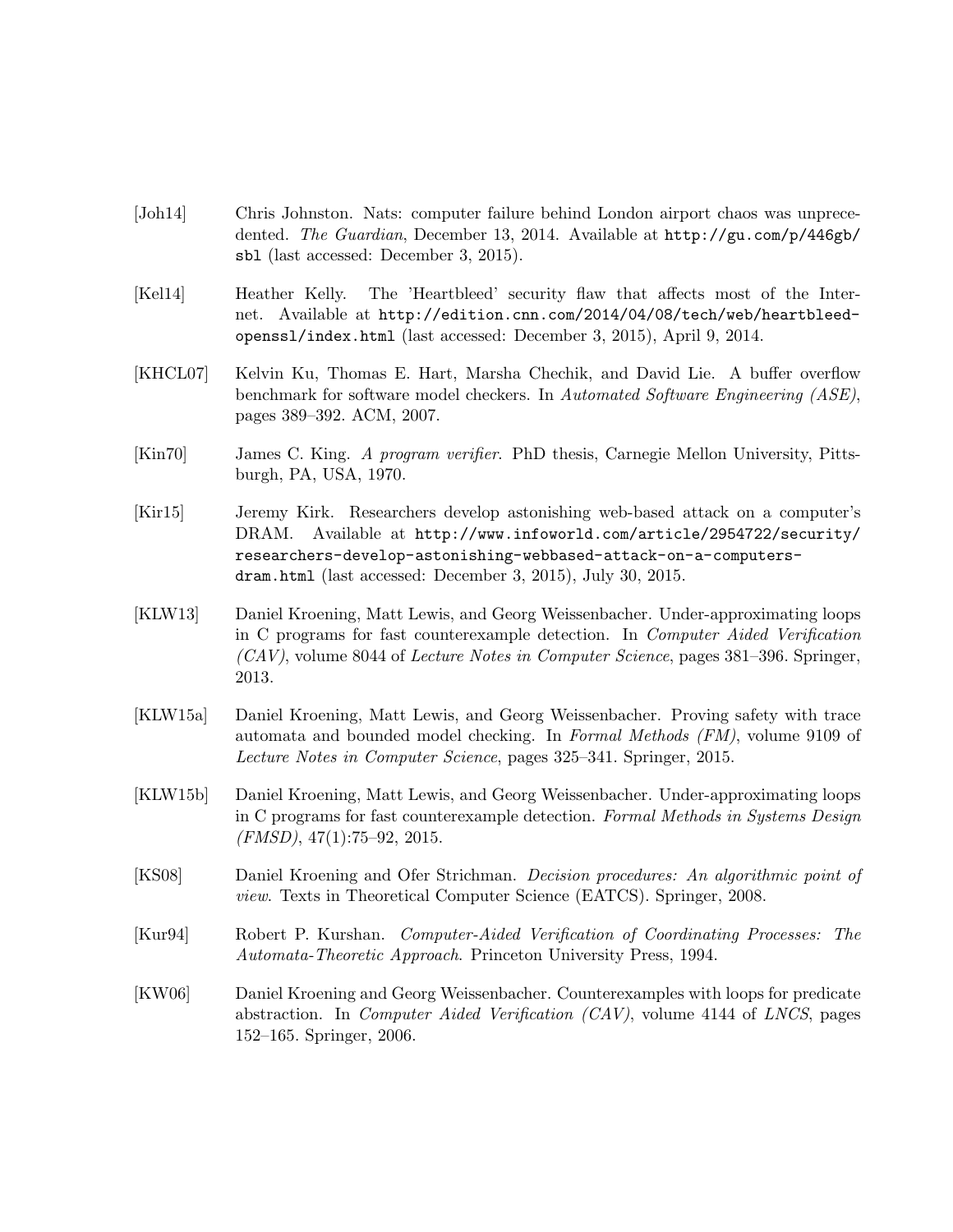- [Joh14] Chris Johnston. Nats: computer failure behind London airport chaos was unprecedented. The Guardian, December 13, 2014. Available at http://gu.com/p/446gb/ sbl (last accessed: December 3, 2015).
- [Kel14] Heather Kelly. The 'Heartbleed' security flaw that affects most of the Internet. Available at http://edition.cnn.com/2014/04/08/tech/web/heartbleedopenssl/index.html (last accessed: December 3, 2015), April 9, 2014.
- [KHCL07] Kelvin Ku, Thomas E. Hart, Marsha Chechik, and David Lie. A buffer overflow benchmark for software model checkers. In Automated Software Engineering (ASE), pages 389–392. ACM, 2007.
- [Kin70] James C. King. A program verifier. PhD thesis, Carnegie Mellon University, Pittsburgh, PA, USA, 1970.
- [Kir15] Jeremy Kirk. Researchers develop astonishing web-based attack on a computer's DRAM. Available at http://www.infoworld.com/article/2954722/security/ researchers-develop-astonishing-webbased-attack-on-a-computersdram.html (last accessed: December 3, 2015), July 30, 2015.
- [KLW13] Daniel Kroening, Matt Lewis, and Georg Weissenbacher. Under-approximating loops in C programs for fast counterexample detection. In Computer Aided Verification (CAV), volume 8044 of Lecture Notes in Computer Science, pages 381–396. Springer, 2013.
- [KLW15a] Daniel Kroening, Matt Lewis, and Georg Weissenbacher. Proving safety with trace automata and bounded model checking. In Formal Methods (FM), volume 9109 of Lecture Notes in Computer Science, pages 325–341. Springer, 2015.
- [KLW15b] Daniel Kroening, Matt Lewis, and Georg Weissenbacher. Under-approximating loops in C programs for fast counterexample detection. Formal Methods in Systems Design  $(FMSD)$ , 47(1):75–92, 2015.
- [KS08] Daniel Kroening and Ofer Strichman. Decision procedures: An algorithmic point of view. Texts in Theoretical Computer Science (EATCS). Springer, 2008.
- [Kur94] Robert P. Kurshan. Computer-Aided Verification of Coordinating Processes: The Automata-Theoretic Approach. Princeton University Press, 1994.
- [KW06] Daniel Kroening and Georg Weissenbacher. Counterexamples with loops for predicate abstraction. In Computer Aided Verification (CAV), volume 4144 of LNCS, pages 152–165. Springer, 2006.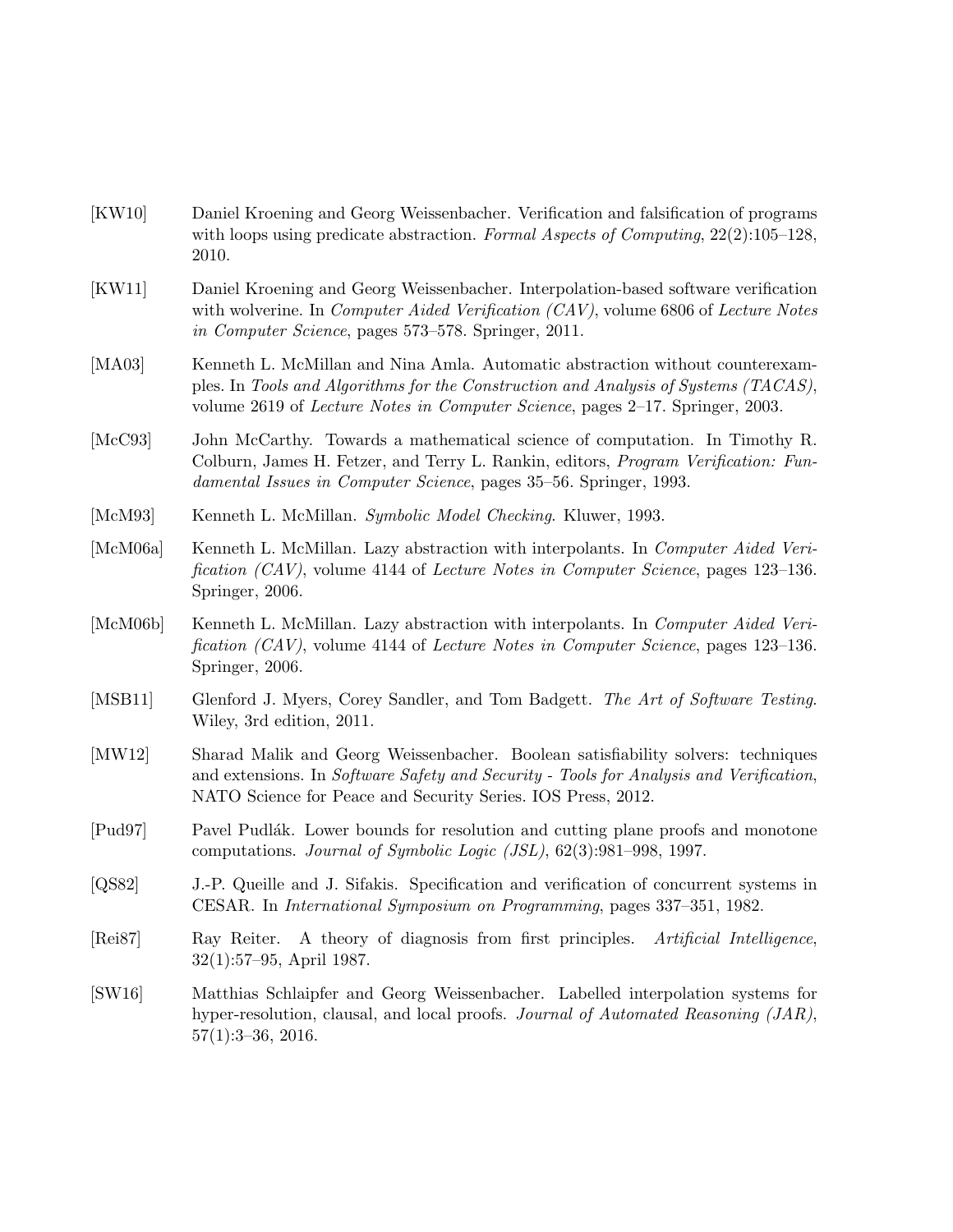- [KW10] Daniel Kroening and Georg Weissenbacher. Verification and falsification of programs with loops using predicate abstraction. Formal Aspects of Computing, 22(2):105–128, 2010.
- [KW11] Daniel Kroening and Georg Weissenbacher. Interpolation-based software verification with wolverine. In *Computer Aided Verification (CAV)*, volume 6806 of *Lecture Notes* in Computer Science, pages 573–578. Springer, 2011.
- [MA03] Kenneth L. McMillan and Nina Amla. Automatic abstraction without counterexamples. In Tools and Algorithms for the Construction and Analysis of Systems (TACAS), volume 2619 of Lecture Notes in Computer Science, pages 2–17. Springer, 2003.
- [McC93] John McCarthy. Towards a mathematical science of computation. In Timothy R. Colburn, James H. Fetzer, and Terry L. Rankin, editors, Program Verification: Fundamental Issues in Computer Science, pages 35–56. Springer, 1993.
- [McM93] Kenneth L. McMillan. Symbolic Model Checking. Kluwer, 1993.
- [McM06a] Kenneth L. McMillan. Lazy abstraction with interpolants. In Computer Aided Verification (CAV), volume 4144 of Lecture Notes in Computer Science, pages 123–136. Springer, 2006.
- [McM06b] Kenneth L. McMillan. Lazy abstraction with interpolants. In Computer Aided Verification (CAV), volume 4144 of Lecture Notes in Computer Science, pages 123–136. Springer, 2006.
- [MSB11] Glenford J. Myers, Corey Sandler, and Tom Badgett. The Art of Software Testing. Wiley, 3rd edition, 2011.
- [MW12] Sharad Malik and Georg Weissenbacher. Boolean satisfiability solvers: techniques and extensions. In Software Safety and Security - Tools for Analysis and Verification, NATO Science for Peace and Security Series. IOS Press, 2012.
- [Pud97] Pavel Pudlák. Lower bounds for resolution and cutting plane proofs and monotone computations. Journal of Symbolic Logic (JSL), 62(3):981–998, 1997.
- [QS82] J.-P. Queille and J. Sifakis. Specification and verification of concurrent systems in CESAR. In International Symposium on Programming, pages 337–351, 1982.
- [Rei87] Ray Reiter. A theory of diagnosis from first principles. Artificial Intelligence, 32(1):57–95, April 1987.
- [SW16] Matthias Schlaipfer and Georg Weissenbacher. Labelled interpolation systems for hyper-resolution, clausal, and local proofs. *Journal of Automated Reasoning (JAR)*, 57(1):3–36, 2016.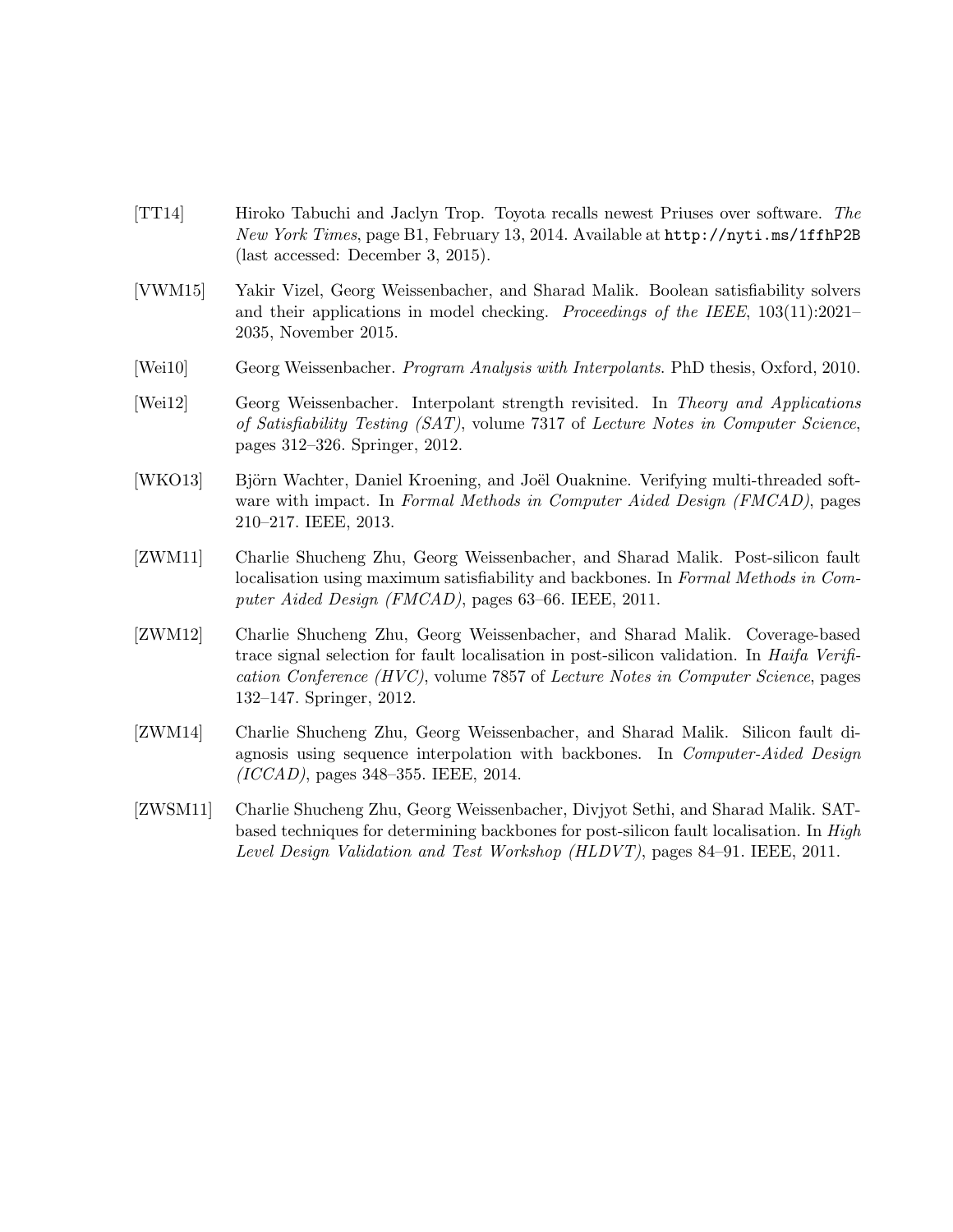- [TT14] Hiroko Tabuchi and Jaclyn Trop. Toyota recalls newest Priuses over software. The New York Times, page B1, February 13, 2014. Available at http://nyti.ms/1ffhP2B (last accessed: December 3, 2015).
- [VWM15] Yakir Vizel, Georg Weissenbacher, and Sharad Malik. Boolean satisfiability solvers and their applications in model checking. Proceedings of the IEEE, 103(11):2021– 2035, November 2015.
- [Wei10] Georg Weissenbacher. Program Analysis with Interpolants. PhD thesis, Oxford, 2010.
- [Wei12] Georg Weissenbacher. Interpolant strength revisited. In Theory and Applications of Satisfiability Testing (SAT), volume 7317 of Lecture Notes in Computer Science, pages 312–326. Springer, 2012.
- [WKO13] Björn Wachter, Daniel Kroening, and Joël Ouaknine. Verifying multi-threaded software with impact. In Formal Methods in Computer Aided Design (FMCAD), pages 210–217. IEEE, 2013.
- [ZWM11] Charlie Shucheng Zhu, Georg Weissenbacher, and Sharad Malik. Post-silicon fault localisation using maximum satisfiability and backbones. In Formal Methods in Computer Aided Design (FMCAD), pages 63–66. IEEE, 2011.
- [ZWM12] Charlie Shucheng Zhu, Georg Weissenbacher, and Sharad Malik. Coverage-based trace signal selection for fault localisation in post-silicon validation. In Haifa Verification Conference (HVC), volume 7857 of Lecture Notes in Computer Science, pages 132–147. Springer, 2012.
- [ZWM14] Charlie Shucheng Zhu, Georg Weissenbacher, and Sharad Malik. Silicon fault diagnosis using sequence interpolation with backbones. In Computer-Aided Design (ICCAD), pages 348–355. IEEE, 2014.
- [ZWSM11] Charlie Shucheng Zhu, Georg Weissenbacher, Divjyot Sethi, and Sharad Malik. SATbased techniques for determining backbones for post-silicon fault localisation. In High Level Design Validation and Test Workshop (HLDVT), pages 84–91. IEEE, 2011.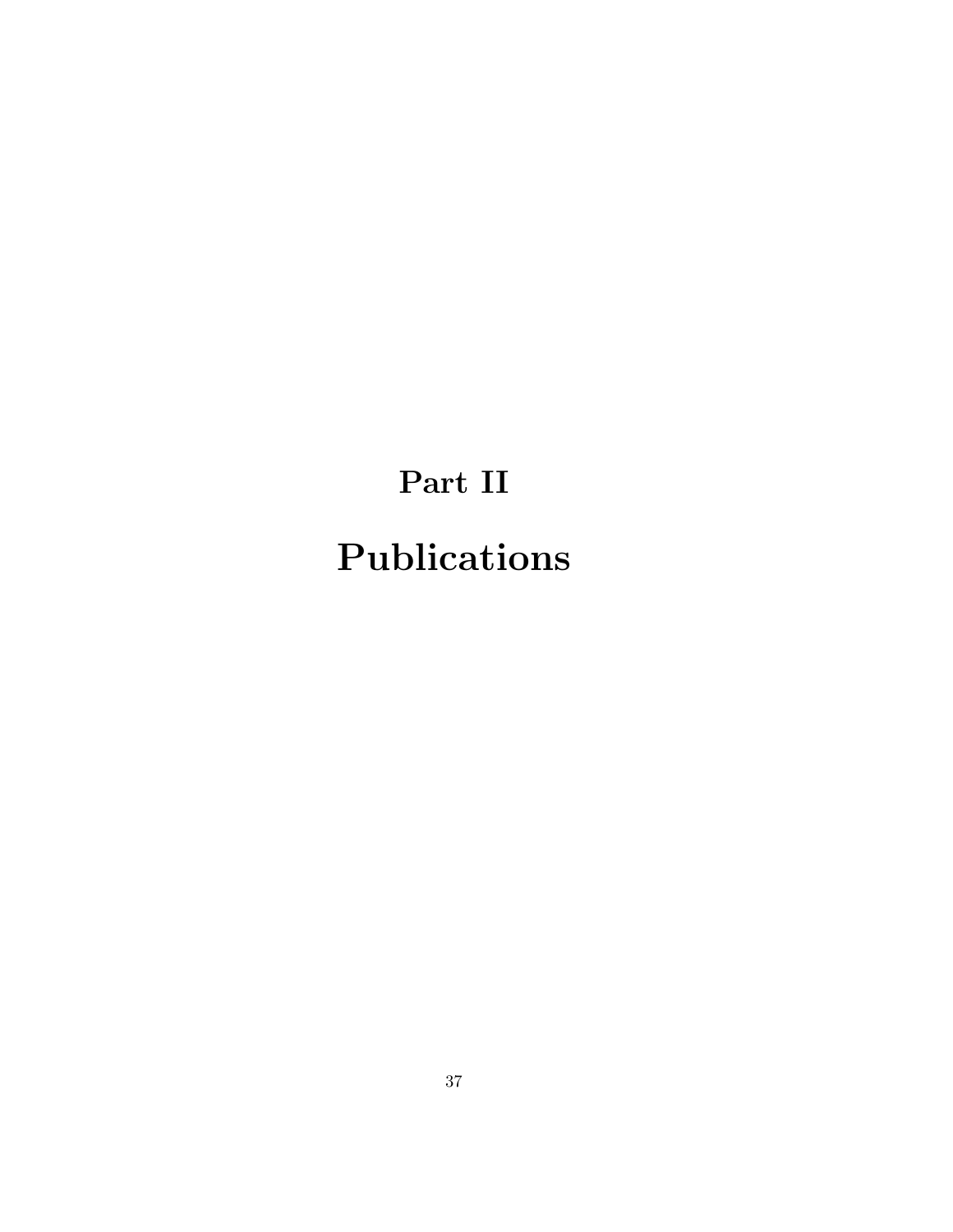# Part II Publications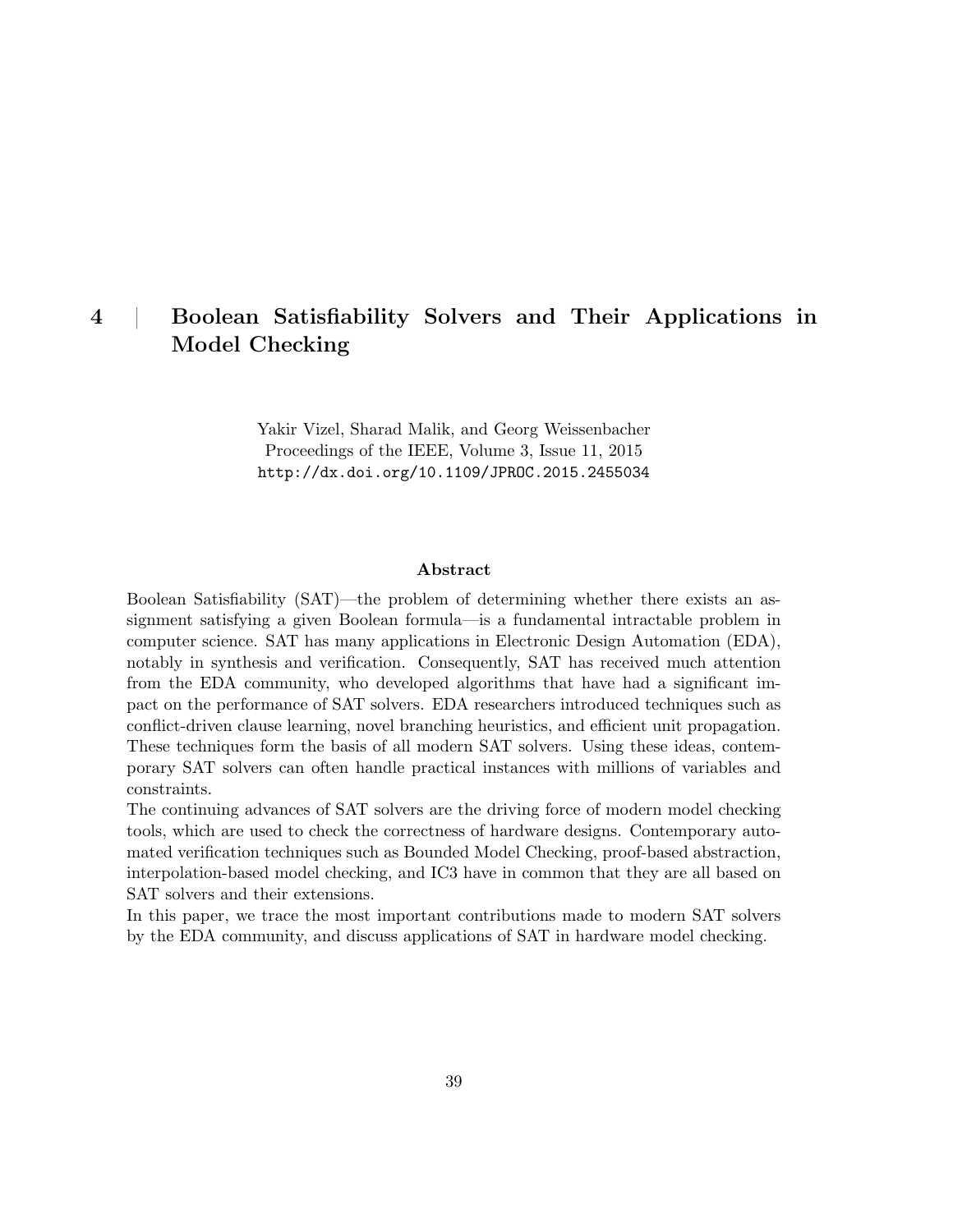## 4 | Boolean Satisfiability Solvers and Their Applications in Model Checking

Yakir Vizel, Sharad Malik, and Georg Weissenbacher Proceedings of the IEEE, Volume 3, Issue 11, 2015 http://dx.doi.org/10.1109/JPROC.2015.2455034

#### Abstract

Boolean Satisfiability (SAT)—the problem of determining whether there exists an assignment satisfying a given Boolean formula—is a fundamental intractable problem in computer science. SAT has many applications in Electronic Design Automation (EDA), notably in synthesis and verification. Consequently, SAT has received much attention from the EDA community, who developed algorithms that have had a significant impact on the performance of SAT solvers. EDA researchers introduced techniques such as conflict-driven clause learning, novel branching heuristics, and efficient unit propagation. These techniques form the basis of all modern SAT solvers. Using these ideas, contemporary SAT solvers can often handle practical instances with millions of variables and constraints.

The continuing advances of SAT solvers are the driving force of modern model checking tools, which are used to check the correctness of hardware designs. Contemporary automated verification techniques such as Bounded Model Checking, proof-based abstraction, interpolation-based model checking, and IC3 have in common that they are all based on SAT solvers and their extensions.

In this paper, we trace the most important contributions made to modern SAT solvers by the EDA community, and discuss applications of SAT in hardware model checking.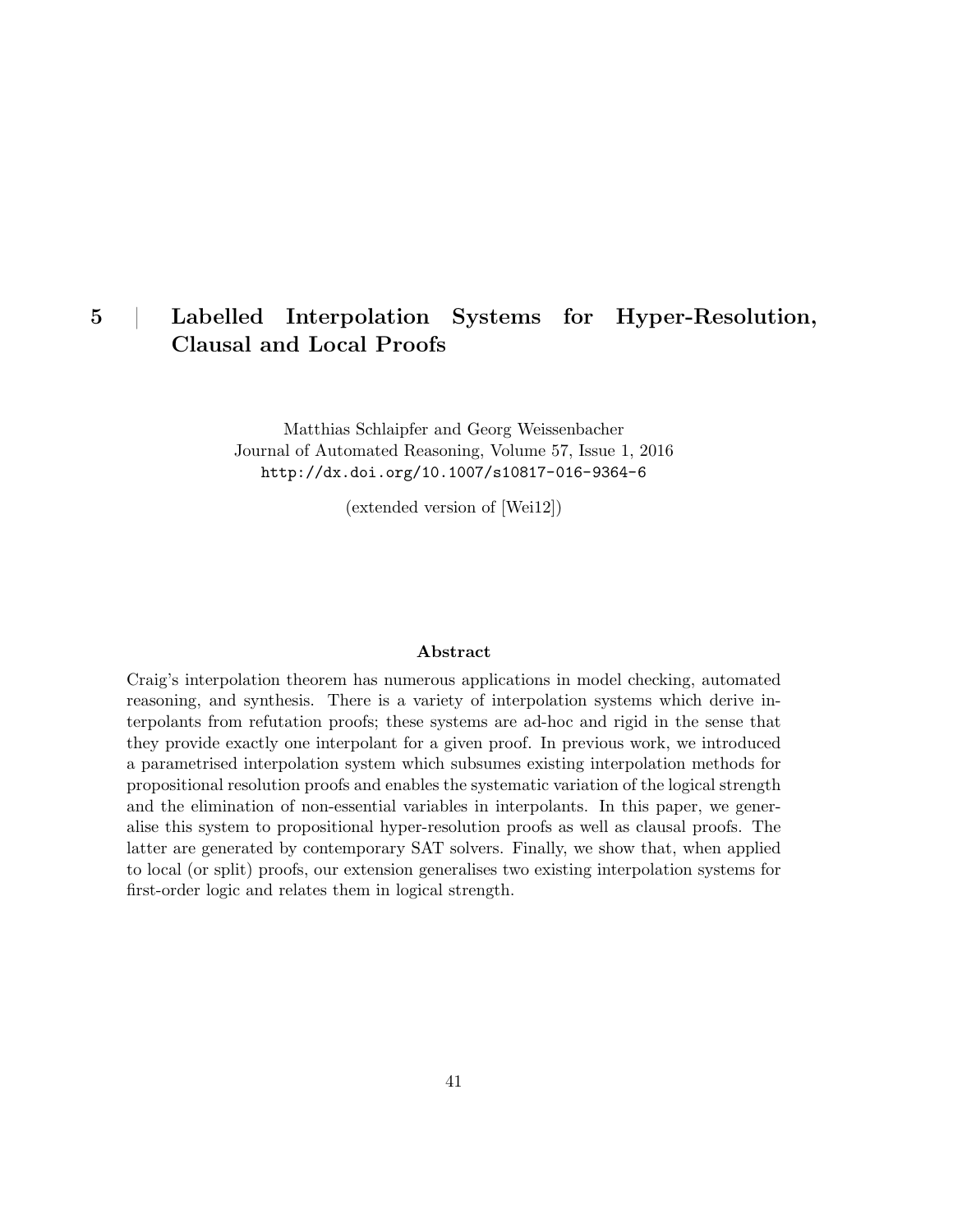## 5 | Labelled Interpolation Systems for Hyper-Resolution, Clausal and Local Proofs

Matthias Schlaipfer and Georg Weissenbacher Journal of Automated Reasoning, Volume 57, Issue 1, 2016 http://dx.doi.org/10.1007/s10817-016-9364-6

(extended version of [Wei12])

#### Abstract

Craig's interpolation theorem has numerous applications in model checking, automated reasoning, and synthesis. There is a variety of interpolation systems which derive interpolants from refutation proofs; these systems are ad-hoc and rigid in the sense that they provide exactly one interpolant for a given proof. In previous work, we introduced a parametrised interpolation system which subsumes existing interpolation methods for propositional resolution proofs and enables the systematic variation of the logical strength and the elimination of non-essential variables in interpolants. In this paper, we generalise this system to propositional hyper-resolution proofs as well as clausal proofs. The latter are generated by contemporary SAT solvers. Finally, we show that, when applied to local (or split) proofs, our extension generalises two existing interpolation systems for first-order logic and relates them in logical strength.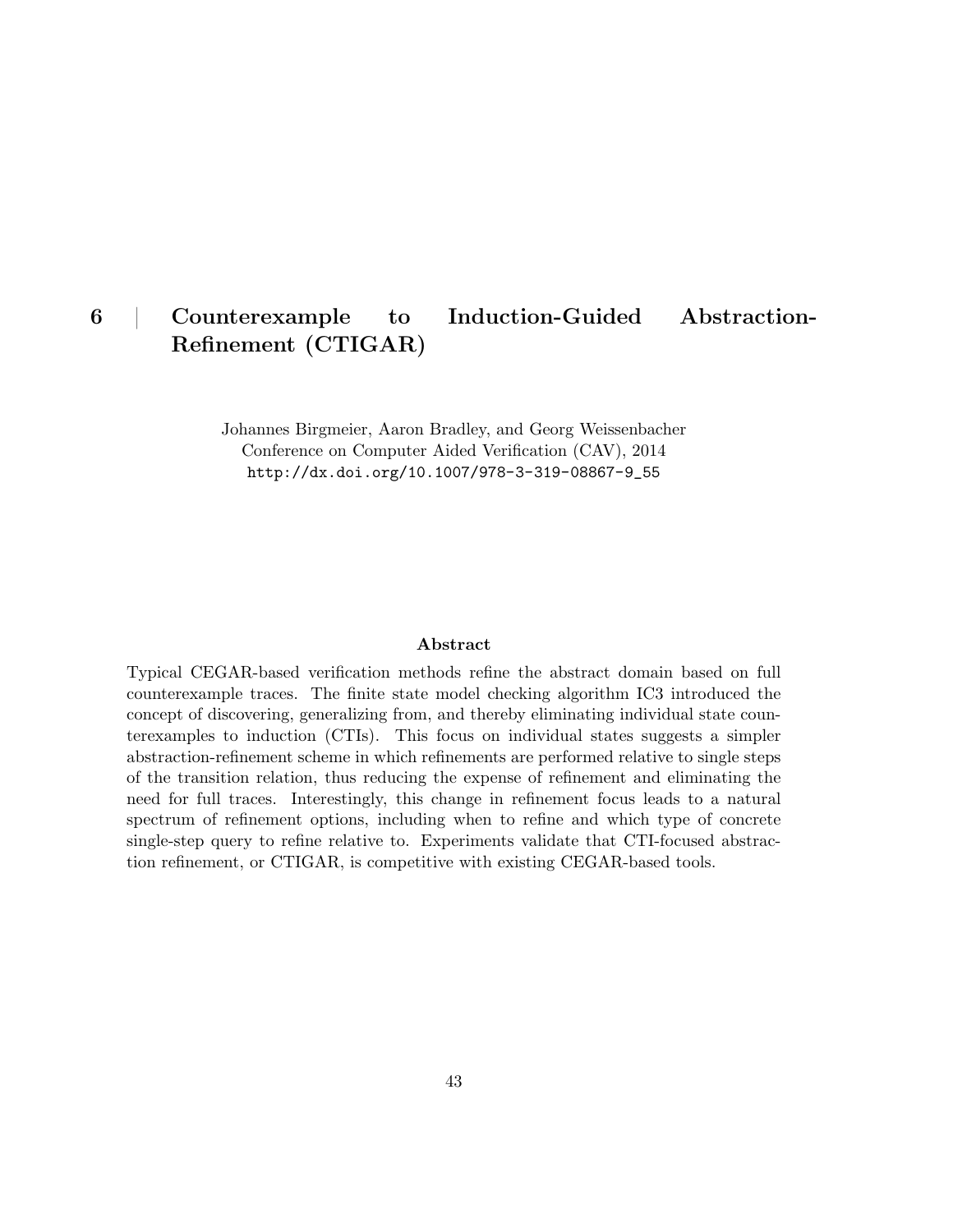## 6 | Counterexample to Induction-Guided Abstraction-Refinement (CTIGAR)

Johannes Birgmeier, Aaron Bradley, and Georg Weissenbacher Conference on Computer Aided Verification (CAV), 2014

http://dx.doi.org/10.1007/978-3-319-08867-9\_55

#### Abstract

Typical CEGAR-based verification methods refine the abstract domain based on full counterexample traces. The finite state model checking algorithm IC3 introduced the concept of discovering, generalizing from, and thereby eliminating individual state counterexamples to induction (CTIs). This focus on individual states suggests a simpler abstraction-refinement scheme in which refinements are performed relative to single steps of the transition relation, thus reducing the expense of refinement and eliminating the need for full traces. Interestingly, this change in refinement focus leads to a natural spectrum of refinement options, including when to refine and which type of concrete single-step query to refine relative to. Experiments validate that CTI-focused abstraction refinement, or CTIGAR, is competitive with existing CEGAR-based tools.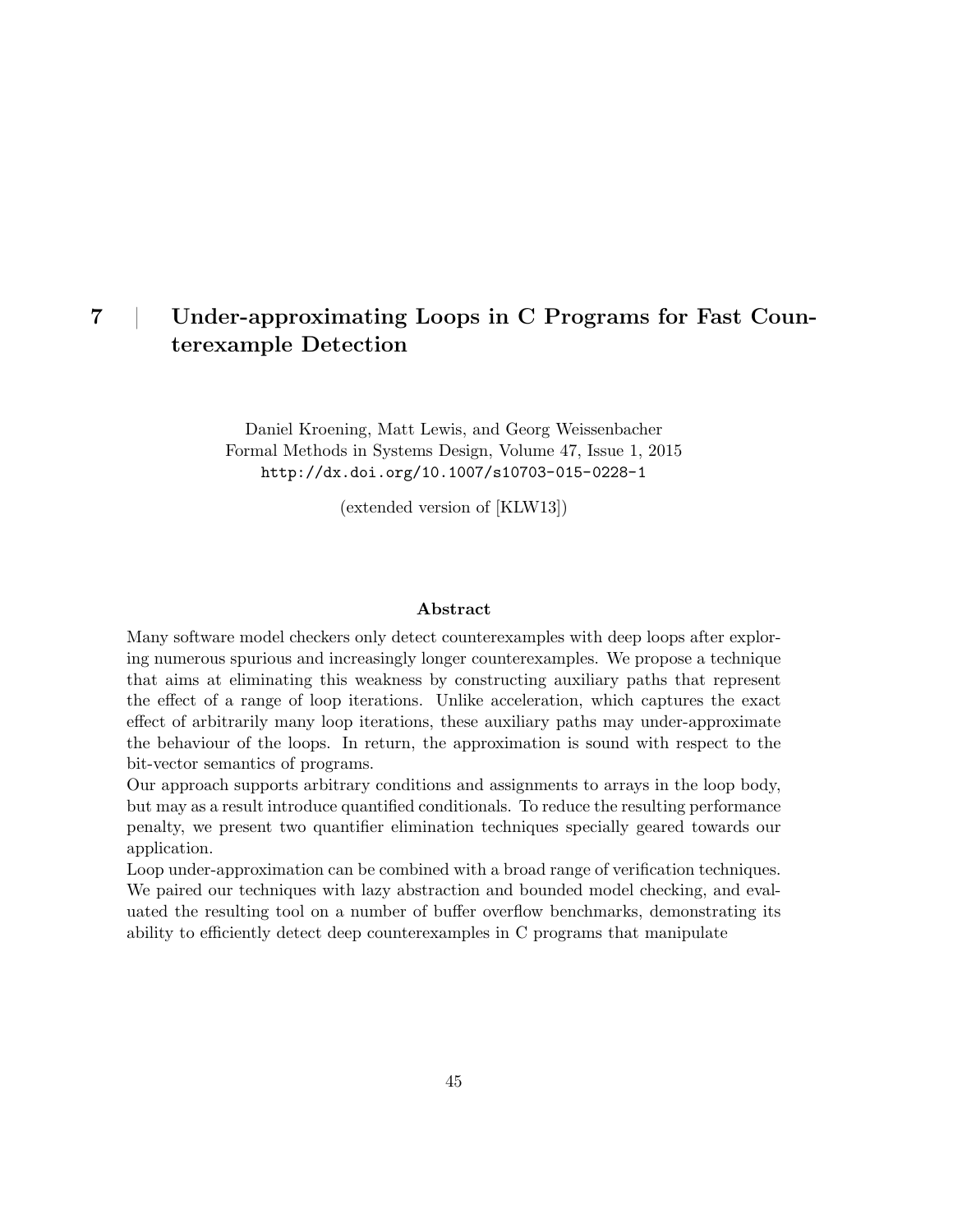## 7 | Under-approximating Loops in C Programs for Fast Counterexample Detection

Daniel Kroening, Matt Lewis, and Georg Weissenbacher Formal Methods in Systems Design, Volume 47, Issue 1, 2015 http://dx.doi.org/10.1007/s10703-015-0228-1

(extended version of [KLW13])

#### Abstract

Many software model checkers only detect counterexamples with deep loops after exploring numerous spurious and increasingly longer counterexamples. We propose a technique that aims at eliminating this weakness by constructing auxiliary paths that represent the effect of a range of loop iterations. Unlike acceleration, which captures the exact effect of arbitrarily many loop iterations, these auxiliary paths may under-approximate the behaviour of the loops. In return, the approximation is sound with respect to the bit-vector semantics of programs.

Our approach supports arbitrary conditions and assignments to arrays in the loop body, but may as a result introduce quantified conditionals. To reduce the resulting performance penalty, we present two quantifier elimination techniques specially geared towards our application.

Loop under-approximation can be combined with a broad range of verification techniques. We paired our techniques with lazy abstraction and bounded model checking, and evaluated the resulting tool on a number of buffer overflow benchmarks, demonstrating its ability to efficiently detect deep counterexamples in C programs that manipulate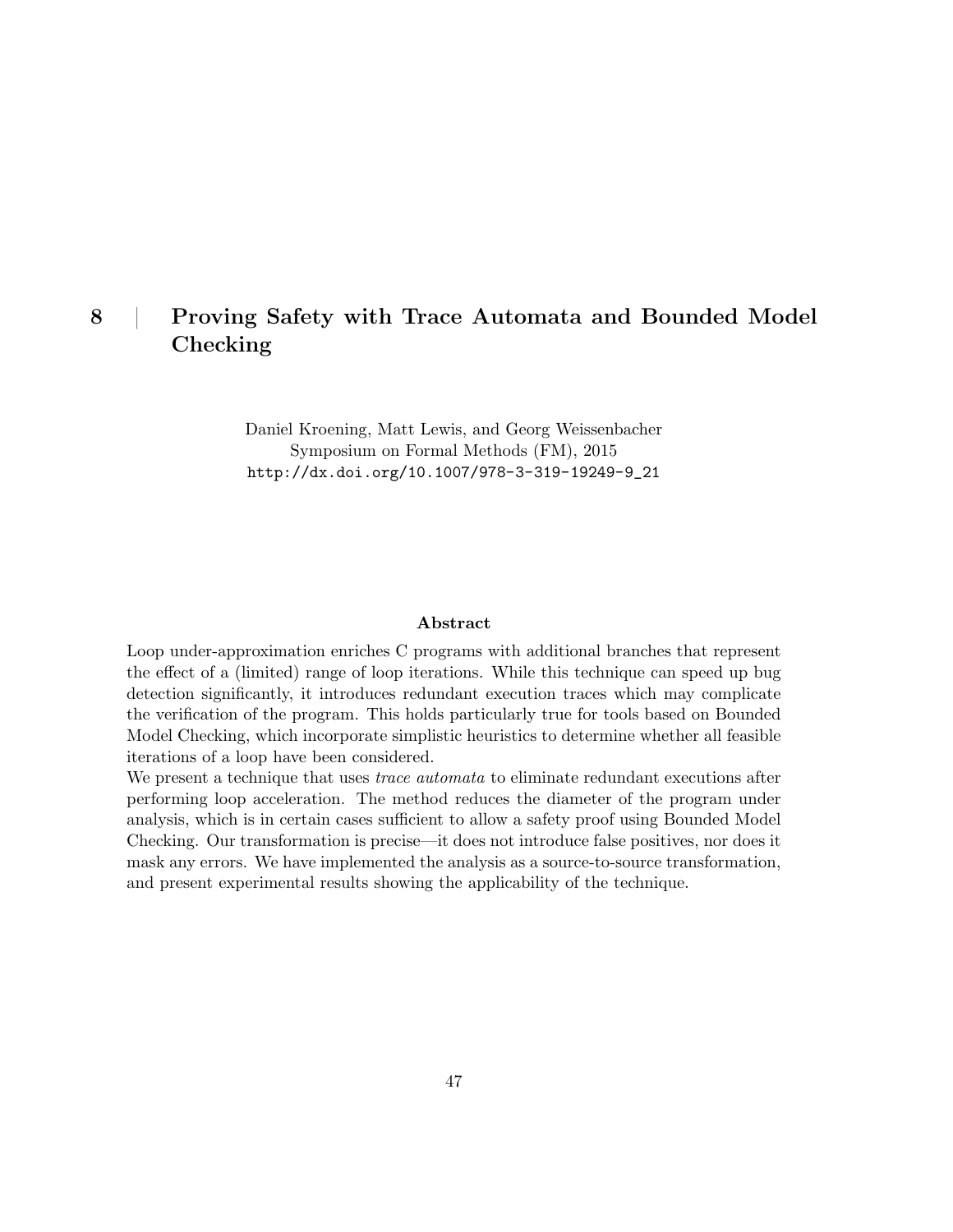## 8 | Proving Safety with Trace Automata and Bounded Model Checking

Daniel Kroening, Matt Lewis, and Georg Weissenbacher Symposium on Formal Methods (FM), 2015 http://dx.doi.org/10.1007/978-3-319-19249-9\_21

#### Abstract

Loop under-approximation enriches C programs with additional branches that represent the effect of a (limited) range of loop iterations. While this technique can speed up bug detection significantly, it introduces redundant execution traces which may complicate the verification of the program. This holds particularly true for tools based on Bounded Model Checking, which incorporate simplistic heuristics to determine whether all feasible iterations of a loop have been considered.

We present a technique that uses *trace automata* to eliminate redundant executions after performing loop acceleration. The method reduces the diameter of the program under analysis, which is in certain cases sufficient to allow a safety proof using Bounded Model Checking. Our transformation is precise—it does not introduce false positives, nor does it mask any errors. We have implemented the analysis as a source-to-source transformation, and present experimental results showing the applicability of the technique.